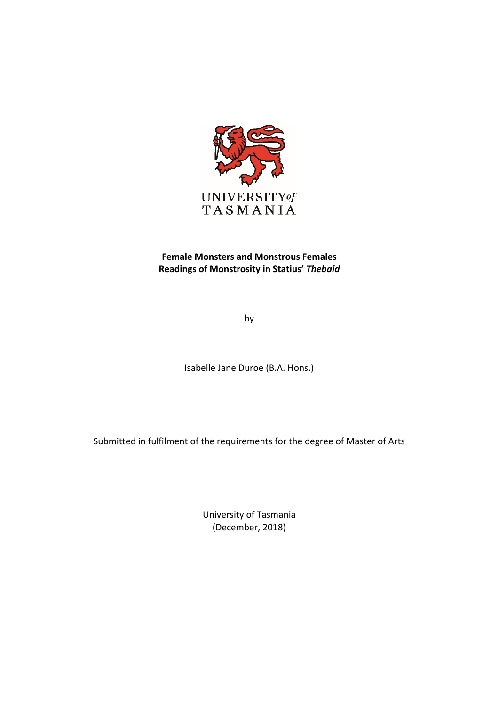

# **Female Monsters and Monstrous Females Readings of Monstrosity in Statius'** *Thebaid*

by

Isabelle Jane Duroe (B.A. Hons.)

Submitted in fulfilment of the requirements for the degree of Master of Arts

University of Tasmania (December, 2018)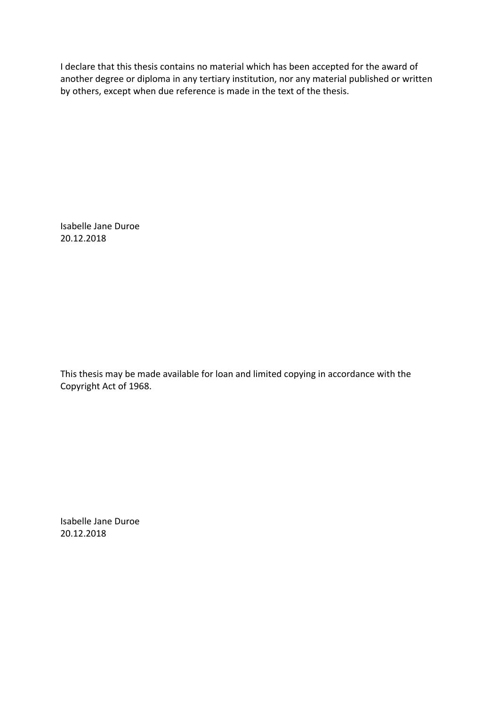I declare that this thesis contains no material which has been accepted for the award of another degree or diploma in any tertiary institution, nor any material published or written by others, except when due reference is made in the text of the thesis.

Isabelle Jane Duroe 20.12.2018

This thesis may be made available for loan and limited copying in accordance with the Copyright Act of 1968.

Isabelle Jane Duroe 20.12.2018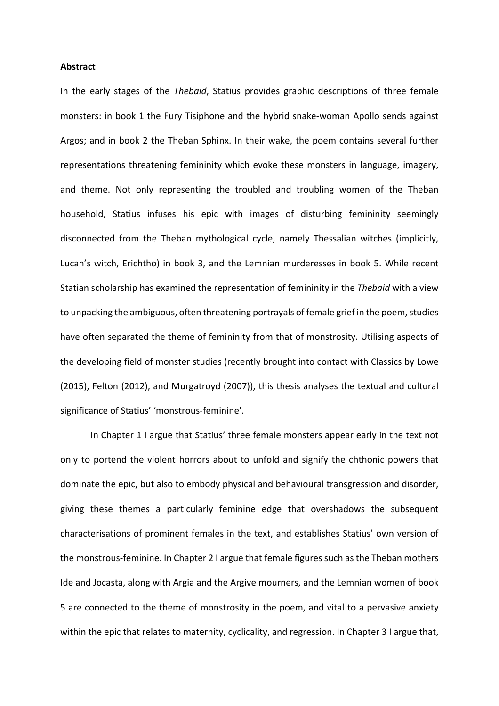#### **Abstract**

In the early stages of the *Thebaid*, Statius provides graphic descriptions of three female monsters: in book 1 the Fury Tisiphone and the hybrid snake-woman Apollo sends against Argos; and in book 2 the Theban Sphinx. In their wake, the poem contains several further representations threatening femininity which evoke these monsters in language, imagery, and theme. Not only representing the troubled and troubling women of the Theban household, Statius infuses his epic with images of disturbing femininity seemingly disconnected from the Theban mythological cycle, namely Thessalian witches (implicitly, Lucan's witch, Erichtho) in book 3, and the Lemnian murderesses in book 5. While recent Statian scholarship has examined the representation of femininity in the Thebaid with a view to unpacking the ambiguous, often threatening portrayals of female grief in the poem, studies have often separated the theme of femininity from that of monstrosity. Utilising aspects of the developing field of monster studies (recently brought into contact with Classics by Lowe (2015), Felton (2012), and Murgatroyd (2007)), this thesis analyses the textual and cultural significance of Statius' 'monstrous-feminine'.

In Chapter 1 I argue that Statius' three female monsters appear early in the text not only to portend the violent horrors about to unfold and signify the chthonic powers that dominate the epic, but also to embody physical and behavioural transgression and disorder, giving these themes a particularly feminine edge that overshadows the subsequent characterisations of prominent females in the text, and establishes Statius' own version of the monstrous-feminine. In Chapter 2 I argue that female figures such as the Theban mothers Ide and Jocasta, along with Argia and the Argive mourners, and the Lemnian women of book 5 are connected to the theme of monstrosity in the poem, and vital to a pervasive anxiety within the epic that relates to maternity, cyclicality, and regression. In Chapter 3 I argue that,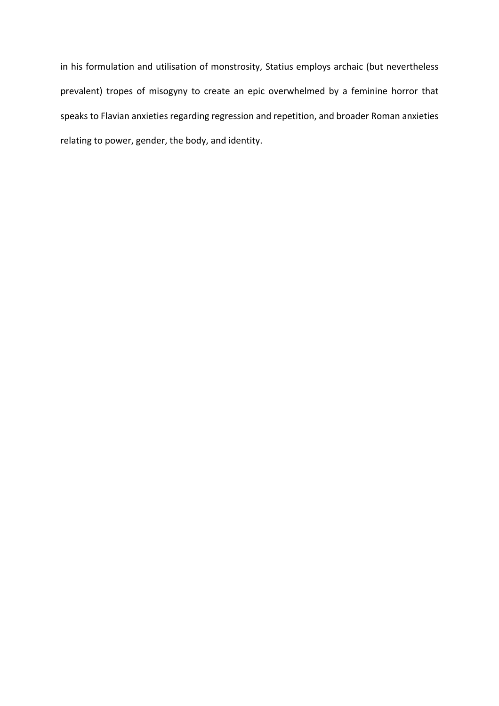in his formulation and utilisation of monstrosity, Statius employs archaic (but nevertheless prevalent) tropes of misogyny to create an epic overwhelmed by a feminine horror that speaks to Flavian anxieties regarding regression and repetition, and broader Roman anxieties relating to power, gender, the body, and identity.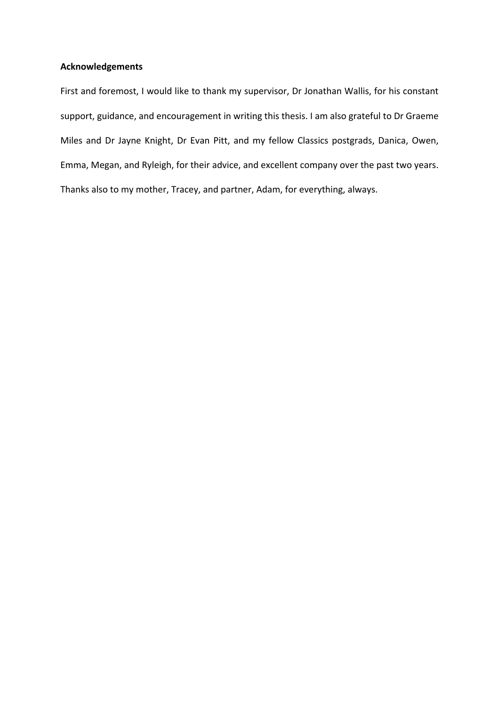## **Acknowledgements**

First and foremost, I would like to thank my supervisor, Dr Jonathan Wallis, for his constant support, guidance, and encouragement in writing this thesis. I am also grateful to Dr Graeme Miles and Dr Jayne Knight, Dr Evan Pitt, and my fellow Classics postgrads, Danica, Owen, Emma, Megan, and Ryleigh, for their advice, and excellent company over the past two years. Thanks also to my mother, Tracey, and partner, Adam, for everything, always.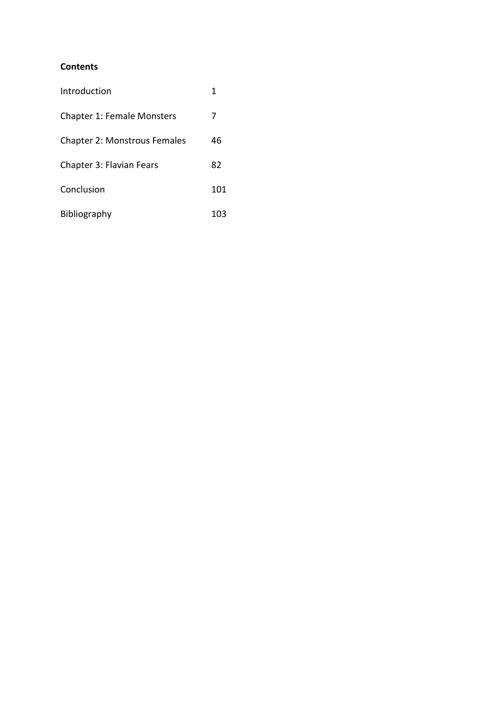## **Contents**

| Introduction                        | 1   |
|-------------------------------------|-----|
| <b>Chapter 1: Female Monsters</b>   | 7   |
| <b>Chapter 2: Monstrous Females</b> | 46  |
| <b>Chapter 3: Flavian Fears</b>     | 82  |
| Conclusion                          | 101 |
| Bibliography                        | 103 |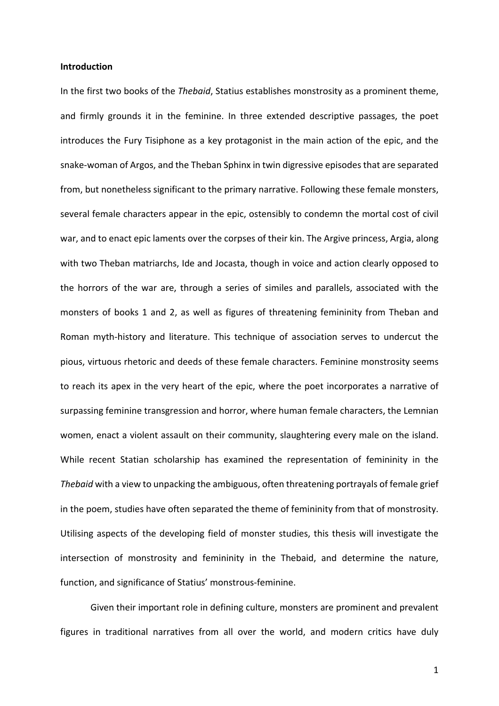#### **Introduction**

In the first two books of the *Thebaid*, Statius establishes monstrosity as a prominent theme, and firmly grounds it in the feminine. In three extended descriptive passages, the poet introduces the Fury Tisiphone as a key protagonist in the main action of the epic, and the snake-woman of Argos, and the Theban Sphinx in twin digressive episodes that are separated from, but nonetheless significant to the primary narrative. Following these female monsters, several female characters appear in the epic, ostensibly to condemn the mortal cost of civil war, and to enact epic laments over the corpses of their kin. The Argive princess, Argia, along with two Theban matriarchs, Ide and Jocasta, though in voice and action clearly opposed to the horrors of the war are, through a series of similes and parallels, associated with the monsters of books 1 and 2, as well as figures of threatening femininity from Theban and Roman myth-history and literature. This technique of association serves to undercut the pious, virtuous rhetoric and deeds of these female characters. Feminine monstrosity seems to reach its apex in the very heart of the epic, where the poet incorporates a narrative of surpassing feminine transgression and horror, where human female characters, the Lemnian women, enact a violent assault on their community, slaughtering every male on the island. While recent Statian scholarship has examined the representation of femininity in the *Thebaid* with a view to unpacking the ambiguous, often threatening portrayals of female grief in the poem, studies have often separated the theme of femininity from that of monstrosity. Utilising aspects of the developing field of monster studies, this thesis will investigate the intersection of monstrosity and femininity in the Thebaid, and determine the nature, function, and significance of Statius' monstrous-feminine.

Given their important role in defining culture, monsters are prominent and prevalent figures in traditional narratives from all over the world, and modern critics have duly

1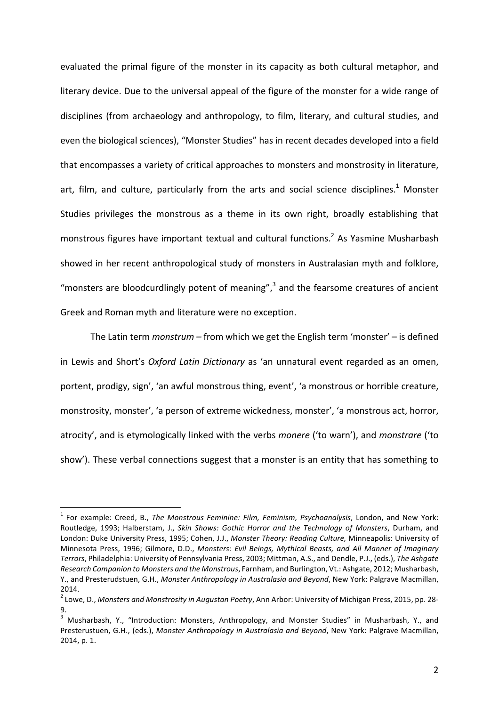evaluated the primal figure of the monster in its capacity as both cultural metaphor, and literary device. Due to the universal appeal of the figure of the monster for a wide range of disciplines (from archaeology and anthropology, to film, literary, and cultural studies, and even the biological sciences), "Monster Studies" has in recent decades developed into a field that encompasses a variety of critical approaches to monsters and monstrosity in literature, art, film, and culture, particularly from the arts and social science disciplines.<sup>1</sup> Monster Studies privileges the monstrous as a theme in its own right, broadly establishing that monstrous figures have important textual and cultural functions.<sup>2</sup> As Yasmine Musharbash showed in her recent anthropological study of monsters in Australasian myth and folklore, "monsters are bloodcurdlingly potent of meaning", $3$  and the fearsome creatures of ancient Greek and Roman myth and literature were no exception.

The Latin term *monstrum* – from which we get the English term 'monster' – is defined in Lewis and Short's *Oxford Latin Dictionary* as 'an unnatural event regarded as an omen, portent, prodigy, sign', 'an awful monstrous thing, event', 'a monstrous or horrible creature, monstrosity, monster', 'a person of extreme wickedness, monster', 'a monstrous act, horror, atrocity', and is etymologically linked with the verbs *monere* ('to warn'), and *monstrare* ('to show'). These verbal connections suggest that a monster is an entity that has something to

<sup>&</sup>lt;sup>1</sup> For example: Creed, B., *The Monstrous Feminine: Film, Feminism, Psychoanalysis*, London, and New York: Routledge, 1993; Halberstam, J., *Skin Shows: Gothic Horror and the Technology of Monsters*, Durham, and London: Duke University Press, 1995; Cohen, J.J., *Monster Theory: Reading Culture*, Minneapolis: University of Minnesota Press, 1996; Gilmore, D.D., *Monsters: Evil Beings, Mythical Beasts, and All Manner of Imaginary Terrors*, Philadelphia: University of Pennsylvania Press, 2003; Mittman, A.S., and Dendle, P.J., (eds.), The Ashgate *Research Companion to Monsters and the Monstrous*, Farnham, and Burlington, Vt.: Ashgate, 2012; Musharbash, Y., and Presterudstuen, G.H., *Monster Anthropology in Australasia and Beyond*, New York: Palgrave Macmillan, 2014.

<sup>&</sup>lt;sup>2</sup> Lowe, D., Monsters and Monstrosity in Augustan Poetry, Ann Arbor: University of Michigan Press, 2015, pp. 28-9.

 $3$  Musharbash, Y., "Introduction: Monsters, Anthropology, and Monster Studies" in Musharbash, Y., and Presterustuen, G.H., (eds.), *Monster Anthropology in Australasia and Beyond*, New York: Palgrave Macmillan, 2014, p. 1.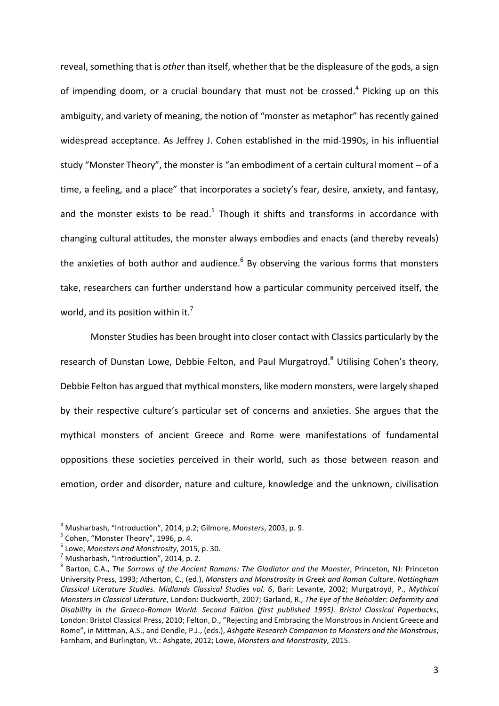reveal, something that is *other* than itself, whether that be the displeasure of the gods, a sign of impending doom, or a crucial boundary that must not be crossed.<sup>4</sup> Picking up on this ambiguity, and variety of meaning, the notion of "monster as metaphor" has recently gained widespread acceptance. As Jeffrey J. Cohen established in the mid-1990s, in his influential study "Monster Theory", the monster is "an embodiment of a certain cultural moment - of a time, a feeling, and a place" that incorporates a society's fear, desire, anxiety, and fantasy, and the monster exists to be read.<sup>5</sup> Though it shifts and transforms in accordance with changing cultural attitudes, the monster always embodies and enacts (and thereby reveals) the anxieties of both author and audience. $6$  By observing the various forms that monsters take, researchers can further understand how a particular community perceived itself, the world, and its position within it.<sup>7</sup>

Monster Studies has been brought into closer contact with Classics particularly by the research of Dunstan Lowe, Debbie Felton, and Paul Murgatroyd.<sup>8</sup> Utilising Cohen's theory, Debbie Felton has argued that mythical monsters, like modern monsters, were largely shaped by their respective culture's particular set of concerns and anxieties. She argues that the mythical monsters of ancient Greece and Rome were manifestations of fundamental oppositions these societies perceived in their world, such as those between reason and emotion, order and disorder, nature and culture, knowledge and the unknown, civilisation

<sup>&</sup>lt;sup>4</sup> Musharbash, "Introduction", 2014, p.2; Gilmore, *Monsters*, 2003, p. 9.<br><sup>5</sup> Cohen. "Monster Theory", 1996, p. 4.

 $^6$  Lowe, *Monsters and Monstrosity*, 2015, p. 30.<br><sup>7</sup> Musharbash, "Introduction", 2014, p. 2.

Barton, C.A., *The Sorrows of the Ancient Romans: The Gladiator and the Monster*, Princeton, NJ: Princeton University Press, 1993; Atherton, C., (ed.), *Monsters and Monstrosity in Greek and Roman Culture*. Nottingham *Classical Literature Studies. Midlands Classical Studies vol. 6*, Bari: Levante, 2002; Murgatroyd, P., *Mythical Monsters in Classical Literature, London: Duckworth, 2007; Garland, R., The Eye of the Beholder: Deformity and* Disability in the Graeco-Roman World. Second Edition (first published 1995). Bristol Classical Paperbacks, London: Bristol Classical Press, 2010; Felton, D., "Rejecting and Embracing the Monstrous in Ancient Greece and Rome", in Mittman, A.S., and Dendle, P.J., (eds.), *Ashgate Research Companion to Monsters and the Monstrous*, Farnham, and Burlington, Vt.: Ashgate, 2012; Lowe, *Monsters and Monstrosity*, 2015.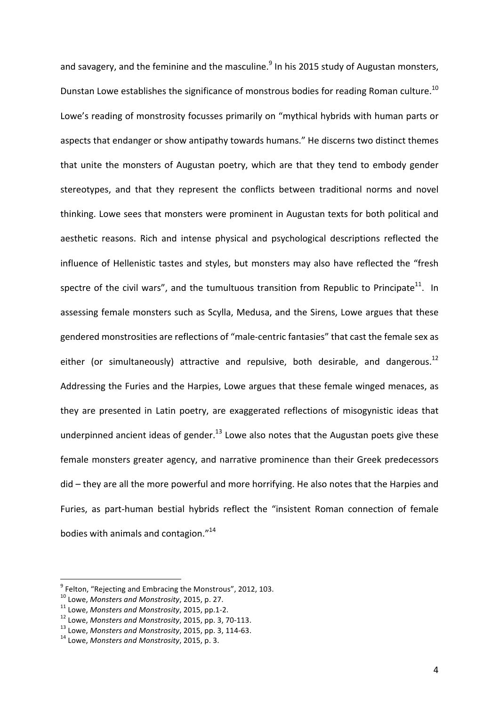and savagery, and the feminine and the masculine.<sup>9</sup> In his 2015 study of Augustan monsters, Dunstan Lowe establishes the significance of monstrous bodies for reading Roman culture.<sup>10</sup> Lowe's reading of monstrosity focusses primarily on "mythical hybrids with human parts or aspects that endanger or show antipathy towards humans." He discerns two distinct themes that unite the monsters of Augustan poetry, which are that they tend to embody gender stereotypes, and that they represent the conflicts between traditional norms and novel thinking. Lowe sees that monsters were prominent in Augustan texts for both political and aesthetic reasons. Rich and intense physical and psychological descriptions reflected the influence of Hellenistic tastes and styles, but monsters may also have reflected the "fresh spectre of the civil wars", and the tumultuous transition from Republic to Principate<sup>11</sup>. In assessing female monsters such as Scylla, Medusa, and the Sirens, Lowe argues that these gendered monstrosities are reflections of "male-centric fantasies" that cast the female sex as either (or simultaneously) attractive and repulsive, both desirable, and dangerous.<sup>12</sup> Addressing the Furies and the Harpies, Lowe argues that these female winged menaces, as they are presented in Latin poetry, are exaggerated reflections of misogynistic ideas that underpinned ancient ideas of gender.<sup>13</sup> Lowe also notes that the Augustan poets give these female monsters greater agency, and narrative prominence than their Greek predecessors did – they are all the more powerful and more horrifying. He also notes that the Harpies and Furies, as part-human bestial hybrids reflect the "insistent Roman connection of female bodies with animals and contagion. $"^{14}$ 

 $^9$  Felton, "Rejecting and Embracing the Monstrous", 2012, 103.<br><sup>10</sup> Lowe, *Monsters and Monstrosity*, 2015, p. 27.

<sup>&</sup>lt;sup>11</sup> Lowe, Monsters and Monstrosity, 2015, pp.1-2.<br><sup>12</sup> Lowe, Monsters and Monstrosity, 2015, pp. 3, 70-113.<br><sup>13</sup> Lowe, Monsters and Monstrosity, 2015, pp. 3, 114-63.<br><sup>14</sup> Lowe. Monsters and Monstrosity. 2015. p. 3.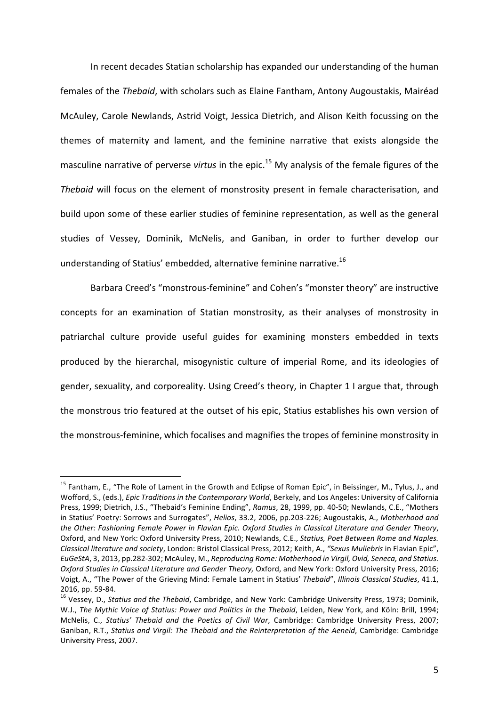In recent decades Statian scholarship has expanded our understanding of the human females of the *Thebaid*, with scholars such as Elaine Fantham, Antony Augoustakis, Mairéad McAuley, Carole Newlands, Astrid Voigt, Jessica Dietrich, and Alison Keith focussing on the themes of maternity and lament, and the feminine narrative that exists alongside the masculine narrative of perverse *virtus* in the epic.<sup>15</sup> My analysis of the female figures of the *Thebaid* will focus on the element of monstrosity present in female characterisation, and build upon some of these earlier studies of feminine representation, as well as the general studies of Vessey, Dominik, McNelis, and Ganiban, in order to further develop our understanding of Statius' embedded, alternative feminine narrative.<sup>16</sup>

Barbara Creed's "monstrous-feminine" and Cohen's "monster theory" are instructive concepts for an examination of Statian monstrosity, as their analyses of monstrosity in patriarchal culture provide useful guides for examining monsters embedded in texts produced by the hierarchal, misogynistic culture of imperial Rome, and its ideologies of gender, sexuality, and corporeality. Using Creed's theory, in Chapter 1 I argue that, through the monstrous trio featured at the outset of his epic, Statius establishes his own version of the monstrous-feminine, which focalises and magnifies the tropes of feminine monstrosity in

 $15$  Fantham, E., "The Role of Lament in the Growth and Eclipse of Roman Epic", in Beissinger, M., Tylus, J., and Wofford, S., (eds.), *Epic Traditions in the Contemporary World*, Berkely, and Los Angeles: University of California Press, 1999; Dietrich, J.S., "Thebaid's Feminine Ending", *Ramus*, 28, 1999, pp. 40-50; Newlands, C.E., "Mothers in Statius' Poetry: Sorrows and Surrogates", *Helios*, 33.2, 2006, pp.203-226; Augoustakis, A., Motherhood and the Other: Fashioning Female Power in Flavian Epic. Oxford Studies in Classical Literature and Gender Theory, Oxford, and New York: Oxford University Press, 2010; Newlands, C.E., *Statius, Poet Between Rome and Naples. Classical literature and society*, London: Bristol Classical Press, 2012; Keith, A., *"Sexus Muliebris* in Flavian Epic", *EuGeStA*, 3, 2013, pp.282-302; McAuley, M., Reproducing Rome: Motherhood in Virgil, Ovid, Seneca, and Statius. *Oxford Studies in Classical Literature and Gender Theory, Oxford, and New York: Oxford University Press, 2016;* Voigt, A., "The Power of the Grieving Mind: Female Lament in Statius' Thebaid", *Illinois Classical Studies*, 41.1, 2016, pp. 59-84.<br><sup>16</sup> Vessey, D., *Statius and the Thebaid*, Cambridge, and New York: Cambridge University Press, 1973; Dominik,

W.J., The Mythic Voice of Statius: Power and Politics in the Thebaid, Leiden, New York, and Köln: Brill, 1994; McNelis, C., *Statius' Thebaid and the Poetics of Civil War*, Cambridge: Cambridge University Press, 2007; Ganiban, R.T., *Statius and Virgil: The Thebaid and the Reinterpretation of the Aeneid*, Cambridge: Cambridge University Press, 2007.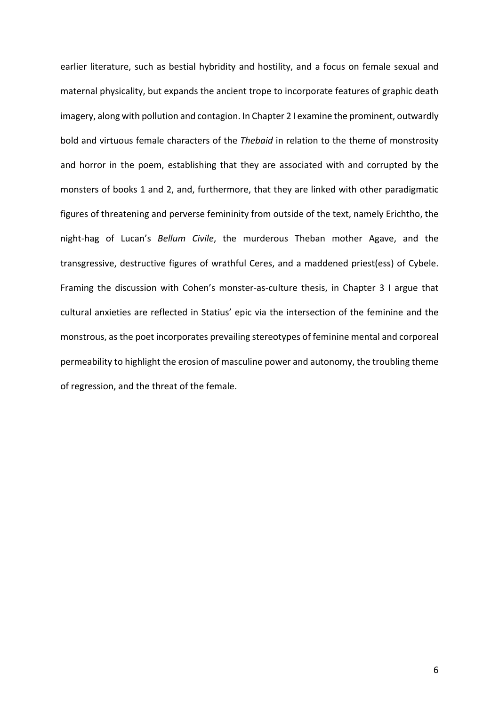earlier literature, such as bestial hybridity and hostility, and a focus on female sexual and maternal physicality, but expands the ancient trope to incorporate features of graphic death imagery, along with pollution and contagion. In Chapter 2 I examine the prominent, outwardly bold and virtuous female characters of the *Thebaid* in relation to the theme of monstrosity and horror in the poem, establishing that they are associated with and corrupted by the monsters of books 1 and 2, and, furthermore, that they are linked with other paradigmatic figures of threatening and perverse femininity from outside of the text, namely Erichtho, the night-hag of Lucan's *Bellum Civile*, the murderous Theban mother Agave, and the transgressive, destructive figures of wrathful Ceres, and a maddened priest(ess) of Cybele. Framing the discussion with Cohen's monster-as-culture thesis, in Chapter 3 I argue that cultural anxieties are reflected in Statius' epic via the intersection of the feminine and the monstrous, as the poet incorporates prevailing stereotypes of feminine mental and corporeal permeability to highlight the erosion of masculine power and autonomy, the troubling theme of regression, and the threat of the female.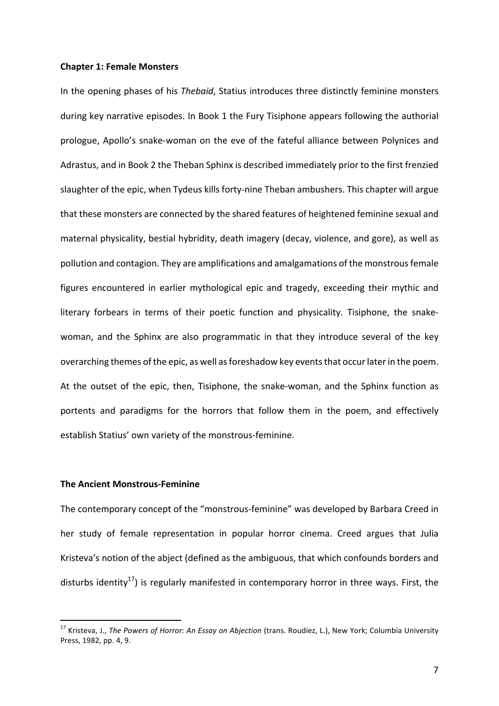#### **Chapter 1: Female Monsters**

In the opening phases of his *Thebaid*, Statius introduces three distinctly feminine monsters during key narrative episodes. In Book 1 the Fury Tisiphone appears following the authorial prologue, Apollo's snake-woman on the eve of the fateful alliance between Polynices and Adrastus, and in Book 2 the Theban Sphinx is described immediately prior to the first frenzied slaughter of the epic, when Tydeus kills forty-nine Theban ambushers. This chapter will argue that these monsters are connected by the shared features of heightened feminine sexual and maternal physicality, bestial hybridity, death imagery (decay, violence, and gore), as well as pollution and contagion. They are amplifications and amalgamations of the monstrous female figures encountered in earlier mythological epic and tragedy, exceeding their mythic and literary forbears in terms of their poetic function and physicality. Tisiphone, the snakewoman, and the Sphinx are also programmatic in that they introduce several of the key overarching themes of the epic, as well as foreshadow key events that occur later in the poem. At the outset of the epic, then, Tisiphone, the snake-woman, and the Sphinx function as portents and paradigms for the horrors that follow them in the poem, and effectively establish Statius' own variety of the monstrous-feminine.

### **The Ancient Monstrous-Feminine**

The contemporary concept of the "monstrous-feminine" was developed by Barbara Creed in her study of female representation in popular horror cinema. Creed argues that Julia Kristeva's notion of the abject (defined as the ambiguous, that which confounds borders and disturbs identity<sup>17</sup>) is regularly manifested in contemporary horror in three ways. First, the

<sup>&</sup>lt;sup>17</sup> Kristeva, J., *The Powers of Horror: An Essay on Abjection* (trans. Roudiez, L.), New York; Columbia University Press, 1982, pp. 4, 9.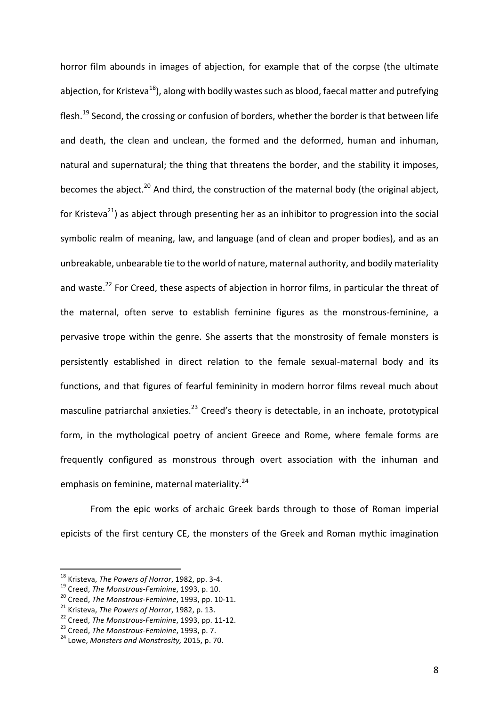horror film abounds in images of abjection, for example that of the corpse (the ultimate abiection, for Kristeva<sup>18</sup>), along with bodily wastes such as blood, faecal matter and putrefying flesh.<sup>19</sup> Second, the crossing or confusion of borders, whether the border is that between life and death, the clean and unclean, the formed and the deformed, human and inhuman, natural and supernatural; the thing that threatens the border, and the stability it imposes, becomes the abject.<sup>20</sup> And third, the construction of the maternal body (the original abject, for Kristeva<sup>21</sup>) as abject through presenting her as an inhibitor to progression into the social symbolic realm of meaning, law, and language (and of clean and proper bodies), and as an unbreakable, unbearable tie to the world of nature, maternal authority, and bodily materiality and waste.<sup>22</sup> For Creed, these aspects of abjection in horror films, in particular the threat of the maternal, often serve to establish feminine figures as the monstrous-feminine, a pervasive trope within the genre. She asserts that the monstrosity of female monsters is persistently established in direct relation to the female sexual-maternal body and its functions, and that figures of fearful femininity in modern horror films reveal much about masculine patriarchal anxieties.<sup>23</sup> Creed's theory is detectable, in an inchoate, prototypical form, in the mythological poetry of ancient Greece and Rome, where female forms are frequently configured as monstrous through overt association with the inhuman and emphasis on feminine, maternal materiality. $24$ 

From the epic works of archaic Greek bards through to those of Roman imperial epicists of the first century CE, the monsters of the Greek and Roman mythic imagination

<sup>&</sup>lt;sup>18</sup> Kristeva, *The Powers of Horror*, 1982, pp. 3-4.<br><sup>19</sup> Creed, *The Monstrous-Feminine*, 1993, p. 10.<br><sup>20</sup> Creed, *The Monstrous-Feminine*, 1993, pp. 10-11.<br><sup>21</sup> Kristeva, *The Powers of Horror*, 1982, p. 13.<br><sup>22</sup> Cree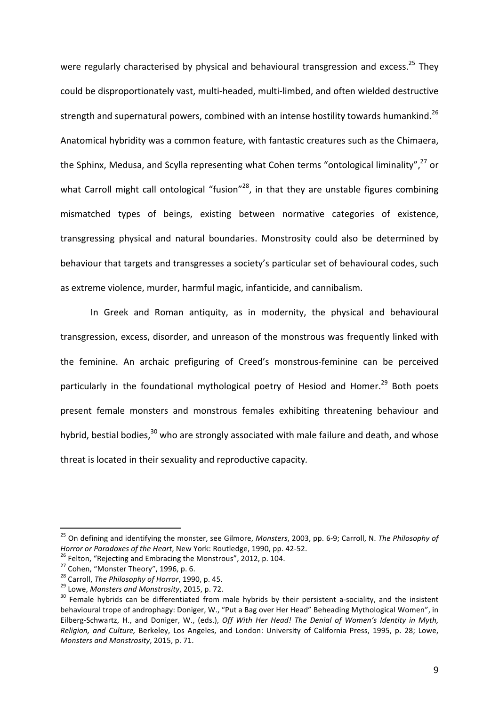were regularly characterised by physical and behavioural transgression and excess.<sup>25</sup> They could be disproportionately vast, multi-headed, multi-limbed, and often wielded destructive strength and supernatural powers, combined with an intense hostility towards humankind.<sup>26</sup> Anatomical hybridity was a common feature, with fantastic creatures such as the Chimaera, the Sphinx, Medusa, and Scylla representing what Cohen terms "ontological liminality", $^{27}$  or what Carroll might call ontological "fusion"<sup>28</sup>, in that they are unstable figures combining mismatched types of beings, existing between normative categories of existence, transgressing physical and natural boundaries. Monstrosity could also be determined by behaviour that targets and transgresses a society's particular set of behavioural codes, such as extreme violence, murder, harmful magic, infanticide, and cannibalism.

In Greek and Roman antiquity, as in modernity, the physical and behavioural transgression, excess, disorder, and unreason of the monstrous was frequently linked with the feminine. An archaic prefiguring of Creed's monstrous-feminine can be perceived particularly in the foundational mythological poetry of Hesiod and Homer.<sup>29</sup> Both poets present female monsters and monstrous females exhibiting threatening behaviour and hybrid, bestial bodies, $30$  who are strongly associated with male failure and death, and whose threat is located in their sexuality and reproductive capacity.

<sup>&</sup>lt;sup>25</sup> On defining and identifying the monster, see Gilmore, *Monsters*, 2003, pp. 6-9; Carroll, N. The Philosophy of Horror or Paradoxes of the Heart, New York: Routledge, 1990, pp. 42-52.<br><sup>26</sup> Felton, "Rejecting and Embracing the Monstrous", 2012, p. 104.<br><sup>27</sup> Cohen, "Monster Theory", 1996, p. 6.<br><sup>28</sup> Carroll, *The Philosophy of Horror* 

behavioural trope of androphagy: Doniger, W., "Put a Bag over Her Head" Beheading Mythological Women", in Eilberg-Schwartz, H., and Doniger, W., (eds.), *Off With Her Head! The Denial of Women's Identity in Myth, Religion, and Culture, Berkeley, Los Angeles, and London: University of California Press, 1995, p. 28; Lowe, Monsters and Monstrosity*, 2015, p. 71.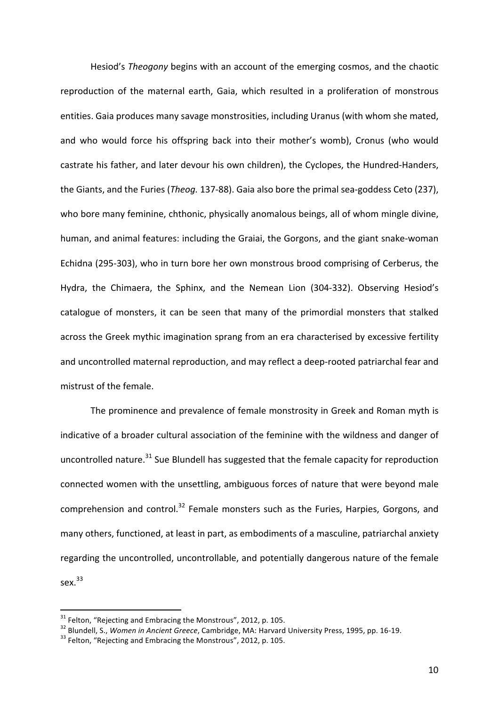Hesiod's *Theogony* begins with an account of the emerging cosmos, and the chaotic reproduction of the maternal earth. Gaia, which resulted in a proliferation of monstrous entities. Gaia produces many savage monstrosities, including Uranus (with whom she mated, and who would force his offspring back into their mother's womb), Cronus (who would castrate his father, and later devour his own children), the Cyclopes, the Hundred-Handers, the Giants, and the Furies (*Theog.* 137-88). Gaia also bore the primal sea-goddess Ceto (237), who bore many feminine, chthonic, physically anomalous beings, all of whom mingle divine, human, and animal features: including the Graiai, the Gorgons, and the giant snake-woman Echidna (295-303), who in turn bore her own monstrous brood comprising of Cerberus, the Hydra, the Chimaera, the Sphinx, and the Nemean Lion (304-332). Observing Hesiod's catalogue of monsters, it can be seen that many of the primordial monsters that stalked across the Greek mythic imagination sprang from an era characterised by excessive fertility and uncontrolled maternal reproduction, and may reflect a deep-rooted patriarchal fear and mistrust of the female.

The prominence and prevalence of female monstrosity in Greek and Roman myth is indicative of a broader cultural association of the feminine with the wildness and danger of uncontrolled nature. $31$  Sue Blundell has suggested that the female capacity for reproduction connected women with the unsettling, ambiguous forces of nature that were beyond male comprehension and control.<sup>32</sup> Female monsters such as the Furies, Harpies, Gorgons, and many others, functioned, at least in part, as embodiments of a masculine, patriarchal anxiety regarding the uncontrolled, uncontrollable, and potentially dangerous nature of the female sex. $33$ 

<sup>&</sup>lt;sup>31</sup> Felton, "Rejecting and Embracing the Monstrous", 2012, p. 105.<br><sup>32</sup> Blundell, S., *Women in Ancient Greece*, Cambridge, MA: Harvard University Press, 1995, pp. 16-19.<br><sup>33</sup> Felton. "Reiecting and Embracing the Monstro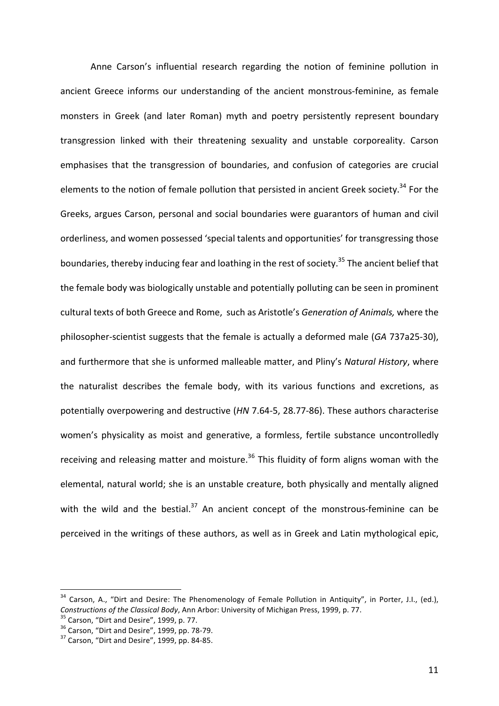Anne Carson's influential research regarding the notion of feminine pollution in ancient Greece informs our understanding of the ancient monstrous-feminine, as female monsters in Greek (and later Roman) myth and poetry persistently represent boundary transgression linked with their threatening sexuality and unstable corporeality. Carson emphasises that the transgression of boundaries, and confusion of categories are crucial elements to the notion of female pollution that persisted in ancient Greek society.<sup>34</sup> For the Greeks, argues Carson, personal and social boundaries were guarantors of human and civil orderliness, and women possessed 'special talents and opportunities' for transgressing those boundaries, thereby inducing fear and loathing in the rest of society.<sup>35</sup> The ancient belief that the female body was biologically unstable and potentially polluting can be seen in prominent cultural texts of both Greece and Rome, such as Aristotle's Generation of Animals, where the philosopher-scientist suggests that the female is actually a deformed male (*GA* 737a25-30), and furthermore that she is unformed malleable matter, and Pliny's Natural History, where the naturalist describes the female body, with its various functions and excretions, as potentially overpowering and destructive (*HN* 7.64-5, 28.77-86). These authors characterise women's physicality as moist and generative, a formless, fertile substance uncontrolledly receiving and releasing matter and moisture.<sup>36</sup> This fluidity of form aligns woman with the elemental, natural world; she is an unstable creature, both physically and mentally aligned with the wild and the bestial.<sup>37</sup> An ancient concept of the monstrous-feminine can be perceived in the writings of these authors, as well as in Greek and Latin mythological epic,

<sup>&</sup>lt;sup>34</sup> Carson, A., "Dirt and Desire: The Phenomenology of Female Pollution in Antiquity", in Porter, J.I., (ed.), Constructions of the Classical Body, Ann Arbor: University of Michigan Press, 1999, p. 77.<br><sup>35</sup> Carson, "Dirt and Desire", 1999, p. 77.<br><sup>36</sup> Carson, "Dirt and Desire", 1999, pp. 78-79.<br><sup>37</sup> Carson. "Dirt and Desire". 1999,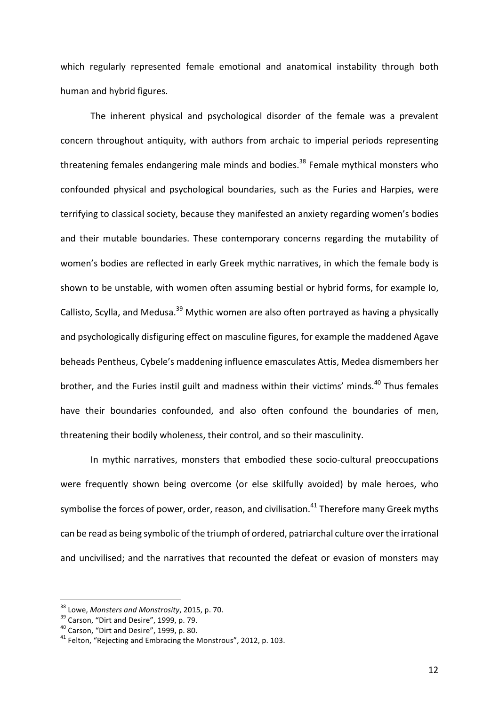which regularly represented female emotional and anatomical instability through both human and hybrid figures.

The inherent physical and psychological disorder of the female was a prevalent concern throughout antiquity, with authors from archaic to imperial periods representing threatening females endangering male minds and bodies.<sup>38</sup> Female mythical monsters who confounded physical and psychological boundaries, such as the Furies and Harpies, were terrifying to classical society, because they manifested an anxiety regarding women's bodies and their mutable boundaries. These contemporary concerns regarding the mutability of women's bodies are reflected in early Greek mythic narratives, in which the female body is shown to be unstable, with women often assuming bestial or hybrid forms, for example Io, Callisto, Scylla, and Medusa.<sup>39</sup> Mythic women are also often portrayed as having a physically and psychologically disfiguring effect on masculine figures, for example the maddened Agave beheads Pentheus, Cybele's maddening influence emasculates Attis, Medea dismembers her brother, and the Furies instil guilt and madness within their victims' minds.<sup>40</sup> Thus females have their boundaries confounded, and also often confound the boundaries of men, threatening their bodily wholeness, their control, and so their masculinity.

In mythic narratives, monsters that embodied these socio-cultural preoccupations were frequently shown being overcome (or else skilfully avoided) by male heroes, who symbolise the forces of power, order, reason, and civilisation.<sup>41</sup> Therefore many Greek myths can be read as being symbolic of the triumph of ordered, patriarchal culture over the irrational and uncivilised; and the narratives that recounted the defeat or evasion of monsters may

<sup>&</sup>lt;sup>38</sup> Lowe, *Monsters and Monstrosity*, 2015, p. 70.<br><sup>39</sup> Carson, "Dirt and Desire", 1999, p. 79.<br><sup>40</sup> Carson, "Dirt and Desire", 1999, p. 80.<br><sup>41</sup> Felton. "Rejecting and Embracing the Monstrous", 2012, p. 103.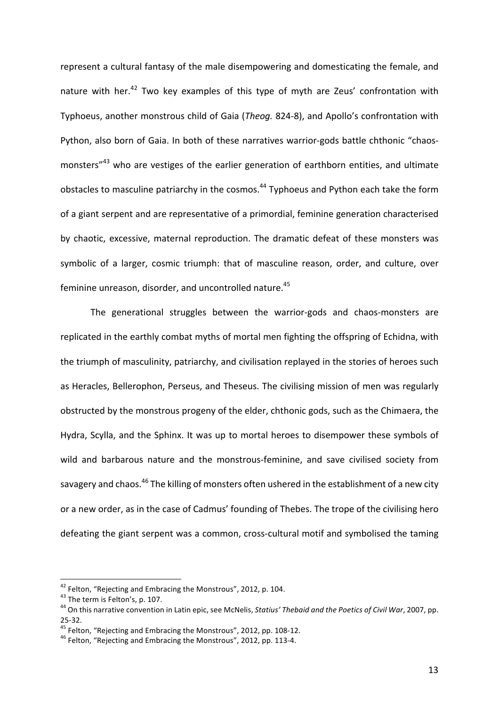represent a cultural fantasy of the male disempowering and domesticating the female, and nature with her.<sup>42</sup> Two key examples of this type of myth are Zeus' confrontation with Typhoeus, another monstrous child of Gaia (*Theog.* 824-8), and Apollo's confrontation with Python, also born of Gaia. In both of these narratives warrior-gods battle chthonic "chaosmonsters"<sup>43</sup> who are vestiges of the earlier generation of earthborn entities, and ultimate obstacles to masculine patriarchy in the cosmos.<sup>44</sup> Typhoeus and Python each take the form of a giant serpent and are representative of a primordial, feminine generation characterised by chaotic, excessive, maternal reproduction. The dramatic defeat of these monsters was symbolic of a larger, cosmic triumph: that of masculine reason, order, and culture, over feminine unreason, disorder, and uncontrolled nature.<sup>45</sup>

The generational struggles between the warrior-gods and chaos-monsters are replicated in the earthly combat myths of mortal men fighting the offspring of Echidna, with the triumph of masculinity, patriarchy, and civilisation replayed in the stories of heroes such as Heracles, Bellerophon, Perseus, and Theseus. The civilising mission of men was regularly obstructed by the monstrous progeny of the elder, chthonic gods, such as the Chimaera, the Hydra, Scylla, and the Sphinx. It was up to mortal heroes to disempower these symbols of wild and barbarous nature and the monstrous-feminine, and save civilised society from savagery and chaos.<sup>46</sup> The killing of monsters often ushered in the establishment of a new city or a new order, as in the case of Cadmus' founding of Thebes. The trope of the civilising hero defeating the giant serpent was a common, cross-cultural motif and symbolised the taming

<sup>&</sup>lt;sup>42</sup> Felton, "Rejecting and Embracing the Monstrous", 2012, p. 104.<br><sup>43</sup> The term is Felton's, p. 107.<br><sup>44</sup> On this narrative convention in Latin epic, see McNelis, *Statius' Thebaid and the Poetics of Civil War*, 2007, pp

<sup>25-32.&</sup>lt;br><sup>45</sup> Felton, "Rejecting and Embracing the Monstrous", 2012, pp. 108-12.<br><sup>46</sup> Felton, "Rejecting and Embracing the Monstrous", 2012, pp. 113-4.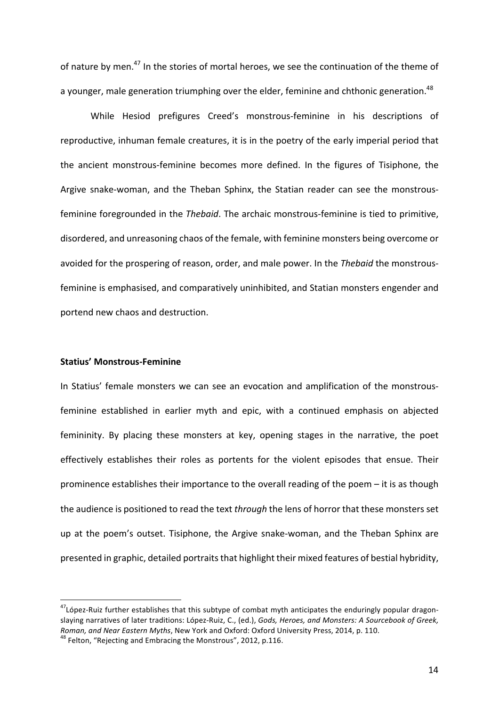of nature by men.<sup>47</sup> In the stories of mortal heroes, we see the continuation of the theme of a younger, male generation triumphing over the elder, feminine and chthonic generation.<sup>48</sup>

While Hesiod prefigures Creed's monstrous-feminine in his descriptions of reproductive, inhuman female creatures, it is in the poetry of the early imperial period that the ancient monstrous-feminine becomes more defined. In the figures of Tisiphone, the Argive snake-woman, and the Theban Sphinx, the Statian reader can see the monstrousfeminine foregrounded in the *Thebaid*. The archaic monstrous-feminine is tied to primitive, disordered, and unreasoning chaos of the female, with feminine monsters being overcome or avoided for the prospering of reason, order, and male power. In the Thebaid the monstrousfeminine is emphasised, and comparatively uninhibited, and Statian monsters engender and portend new chaos and destruction.

#### **Statius' Monstrous-Feminine**

In Statius' female monsters we can see an evocation and amplification of the monstrousfeminine established in earlier myth and epic, with a continued emphasis on abjected femininity. By placing these monsters at key, opening stages in the narrative, the poet effectively establishes their roles as portents for the violent episodes that ensue. Their prominence establishes their importance to the overall reading of the poem  $-$  it is as though the audience is positioned to read the text *through* the lens of horror that these monsters set up at the poem's outset. Tisiphone, the Argive snake-woman, and the Theban Sphinx are presented in graphic, detailed portraits that highlight their mixed features of bestial hybridity,

 $47$ López-Ruiz further establishes that this subtype of combat myth anticipates the enduringly popular dragonslaying narratives of later traditions: López-Ruiz, C., (ed.), *Gods, Heroes, and Monsters: A Sourcebook of Greek, Roman, and Near Eastern Myths,* New York and Oxford: Oxford University Press, 2014, p. 110. <sup>48</sup> Felton, "Rejecting and Embracing the Monstrous", 2012, p.116.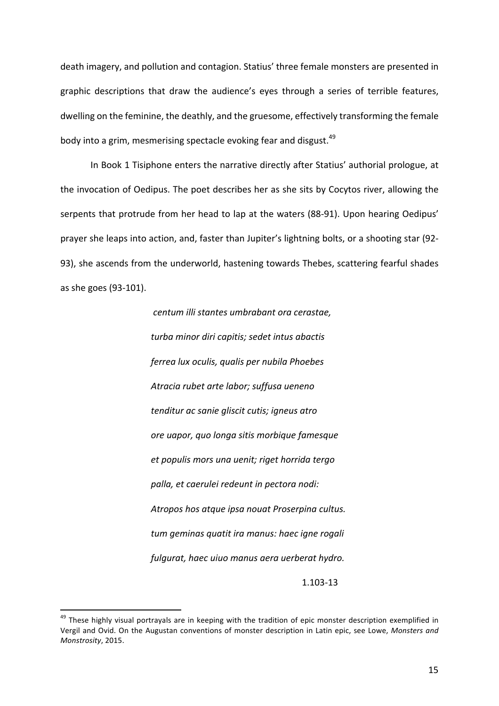death imagery, and pollution and contagion. Statius' three female monsters are presented in graphic descriptions that draw the audience's eyes through a series of terrible features, dwelling on the feminine, the deathly, and the gruesome, effectively transforming the female body into a grim, mesmerising spectacle evoking fear and disgust.<sup>49</sup>

In Book 1 Tisiphone enters the narrative directly after Statius' authorial prologue, at the invocation of Oedipus. The poet describes her as she sits by Cocytos river, allowing the serpents that protrude from her head to lap at the waters (88-91). Upon hearing Oedipus' prayer she leaps into action, and, faster than Jupiter's lightning bolts, or a shooting star (92-93), she ascends from the underworld, hastening towards Thebes, scattering fearful shades as she goes (93-101).

> *centum illi stantes umbrabant ora cerastae, turba minor diri capitis; sedet intus abactis ferrea lux oculis, qualis per nubila Phoebes Atracia rubet arte labor; suffusa ueneno tenditur ac sanie gliscit cutis; igneus atro ore uapor, quo longa sitis morbique famesque et populis mors una uenit; riget horrida tergo palla, et caerulei redeunt in pectora nodi:* Atropos hos atque ipsa nouat Proserpina cultus. *tum geminas quatit ira manus: haec igne rogali fulgurat, haec uiuo manus aera uerberat hydro.*

1.103-13

 $49$  These highly visual portrayals are in keeping with the tradition of epic monster description exemplified in Vergil and Ovid. On the Augustan conventions of monster description in Latin epic, see Lowe, *Monsters and Monstrosity*, 2015.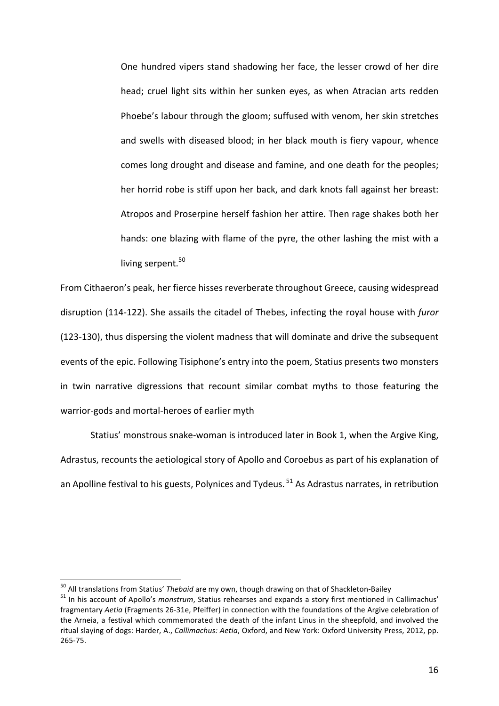One hundred vipers stand shadowing her face, the lesser crowd of her dire head; cruel light sits within her sunken eyes, as when Atracian arts redden Phoebe's labour through the gloom; suffused with venom, her skin stretches and swells with diseased blood; in her black mouth is fiery vapour, whence comes long drought and disease and famine, and one death for the peoples; her horrid robe is stiff upon her back, and dark knots fall against her breast: Atropos and Proserpine herself fashion her attire. Then rage shakes both her hands: one blazing with flame of the pyre, the other lashing the mist with a living serpent. $50$ 

From Cithaeron's peak, her fierce hisses reverberate throughout Greece, causing widespread disruption (114-122). She assails the citadel of Thebes, infecting the royal house with *furor* (123-130), thus dispersing the violent madness that will dominate and drive the subsequent events of the epic. Following Tisiphone's entry into the poem, Statius presents two monsters in twin narrative digressions that recount similar combat myths to those featuring the warrior-gods and mortal-heroes of earlier myth

Statius' monstrous snake-woman is introduced later in Book 1, when the Argive King, Adrastus, recounts the aetiological story of Apollo and Coroebus as part of his explanation of an Apolline festival to his guests, Polynices and Tydeus.  $51$  As Adrastus narrates, in retribution

<sup>&</sup>lt;sup>50</sup> All translations from Statius' *Thebaid* are my own, though drawing on that of Shackleton-Bailey<br><sup>51</sup> In his account of Apollo's *monstrum*, Statius rehearses and expands a story first mentioned in Callimachus' fragmentary *Aetia* (Fragments 26-31e, Pfeiffer) in connection with the foundations of the Argive celebration of the Arneia, a festival which commemorated the death of the infant Linus in the sheepfold, and involved the ritual slaying of dogs: Harder, A., *Callimachus: Aetia*, Oxford, and New York: Oxford University Press, 2012, pp. 265-75.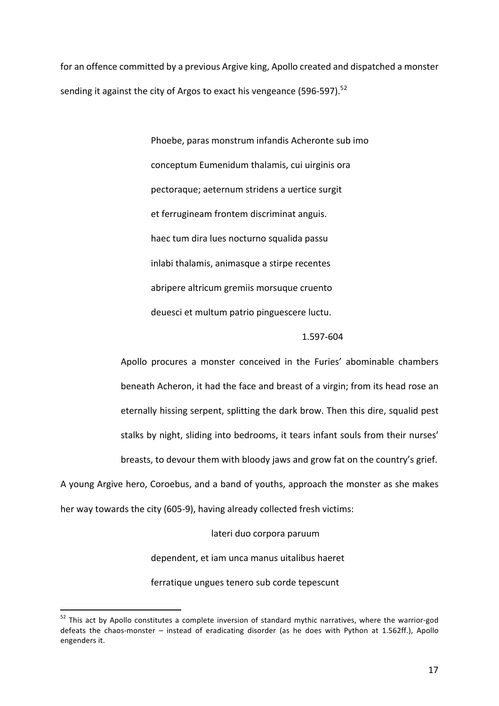for an offence committed by a previous Argive king, Apollo created and dispatched a monster sending it against the city of Argos to exact his vengeance  $(596-597)$ .<sup>52</sup>

> Phoebe, paras monstrum infandis Acheronte sub imo conceptum Eumenidum thalamis, cui uirginis ora pectoraque; aeternum stridens a uertice surgit et ferrugineam frontem discriminat anguis. haec tum dira lues nocturno squalida passu inlabi thalamis, animasque a stirpe recentes abripere altricum gremiis morsuque cruento deuesci et multum patrio pinguescere luctu.

## 1.597-604

Apollo procures a monster conceived in the Furies' abominable chambers beneath Acheron, it had the face and breast of a virgin; from its head rose an eternally hissing serpent, splitting the dark brow. Then this dire, squalid pest stalks by night, sliding into bedrooms, it tears infant souls from their nurses' breasts, to devour them with bloody jaws and grow fat on the country's grief.

A young Argive hero, Coroebus, and a band of youths, approach the monster as she makes her way towards the city (605-9), having already collected fresh victims:

lateri duo corpora paruum

dependent, et iam unca manus uitalibus haeret

ferratique ungues tenero sub corde tepescunt

 $52$  This act by Apollo constitutes a complete inversion of standard mythic narratives, where the warrior-god defeats the chaos-monster – instead of eradicating disorder (as he does with Python at 1.562ff.), Apollo engenders it.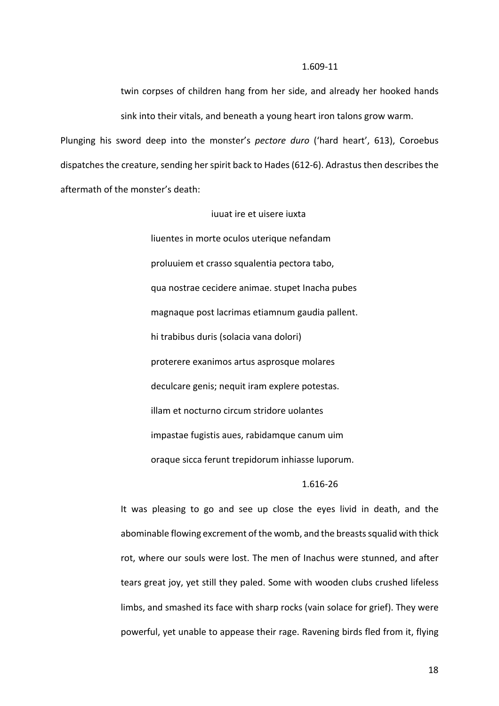#### 1.609-11

twin corpses of children hang from her side, and already her hooked hands sink into their vitals, and beneath a young heart iron talons grow warm.

Plunging his sword deep into the monster's *pectore duro* ('hard heart', 613), Coroebus dispatches the creature, sending her spirit back to Hades (612-6). Adrastus then describes the aftermath of the monster's death:

> iuuat ire et uisere iuxta liuentes in morte oculos uterique nefandam proluuiem et crasso squalentia pectora tabo, qua nostrae cecidere animae. stupet Inacha pubes magnaque post lacrimas etiamnum gaudia pallent. hi trabibus duris (solacia vana dolori) proterere exanimos artus asprosque molares deculcare genis; nequit iram explere potestas. illam et nocturno circum stridore uolantes impastae fugistis aues, rabidamque canum uim oraque sicca ferunt trepidorum inhiasse luporum.

### 1.616-26

It was pleasing to go and see up close the eyes livid in death, and the abominable flowing excrement of the womb, and the breasts squalid with thick rot, where our souls were lost. The men of Inachus were stunned, and after tears great joy, yet still they paled. Some with wooden clubs crushed lifeless limbs, and smashed its face with sharp rocks (vain solace for grief). They were powerful, yet unable to appease their rage. Ravening birds fled from it, flying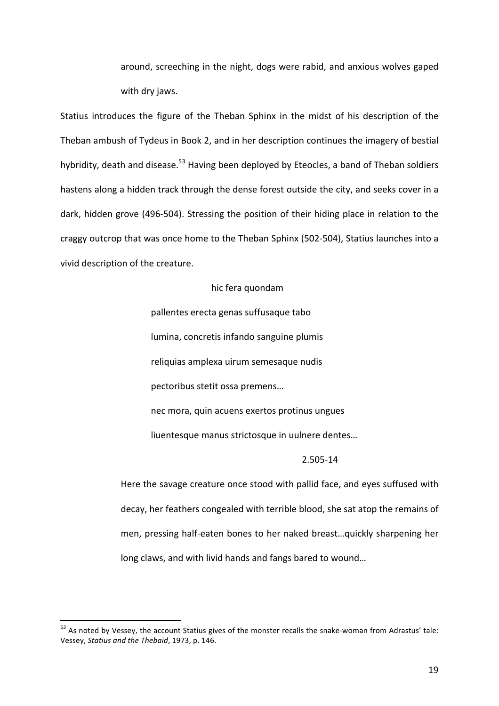around, screeching in the night, dogs were rabid, and anxious wolves gaped with dry jaws.

Statius introduces the figure of the Theban Sphinx in the midst of his description of the Theban ambush of Tydeus in Book 2, and in her description continues the imagery of bestial hybridity, death and disease.<sup>53</sup> Having been deployed by Eteocles, a band of Theban soldiers hastens along a hidden track through the dense forest outside the city, and seeks cover in a dark, hidden grove (496-504). Stressing the position of their hiding place in relation to the craggy outcrop that was once home to the Theban Sphinx (502-504), Statius launches into a vivid description of the creature.

### hic fera quondam

pallentes erecta genas suffusaque tabo lumina, concretis infando sanguine plumis reliquias amplexa uirum semesaque nudis pectoribus stetit ossa premens... nec mora, quin acuens exertos protinus ungues

liuentesque manus strictosque in uulnere dentes...

#### 2.505-14

Here the savage creature once stood with pallid face, and eyes suffused with decay, her feathers congealed with terrible blood, she sat atop the remains of men, pressing half-eaten bones to her naked breast...quickly sharpening her long claws, and with livid hands and fangs bared to wound...

 $53$  As noted by Vessey, the account Statius gives of the monster recalls the snake-woman from Adrastus' tale: Vessey, *Statius and the Thebaid*, 1973, p. 146.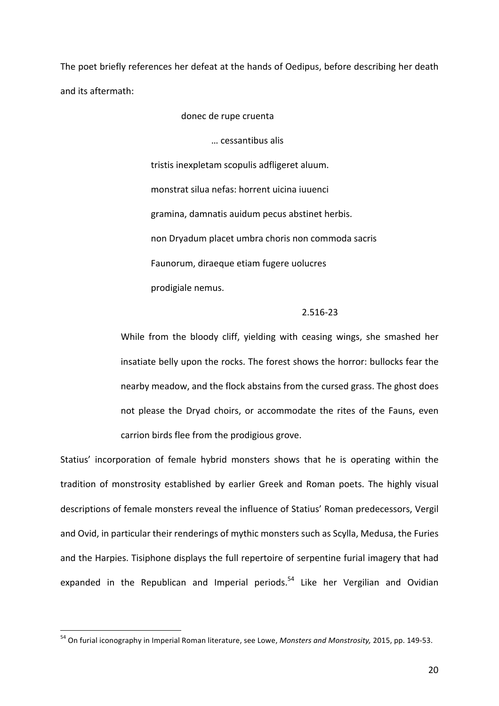The poet briefly references her defeat at the hands of Oedipus, before describing her death and its aftermath:

donec de rupe cruenta

… cessantibus alis

tristis inexpletam scopulis adfligeret aluum. monstrat silua nefas: horrent uicina iuuenci gramina, damnatis auidum pecus abstinet herbis. non Dryadum placet umbra choris non commoda sacris Faunorum, diraeque etiam fugere uolucres prodigiale nemus.

#### 2.516-23

While from the bloody cliff, yielding with ceasing wings, she smashed her insatiate belly upon the rocks. The forest shows the horror: bullocks fear the nearby meadow, and the flock abstains from the cursed grass. The ghost does not please the Dryad choirs, or accommodate the rites of the Fauns, even carrion birds flee from the prodigious grove.

Statius' incorporation of female hybrid monsters shows that he is operating within the tradition of monstrosity established by earlier Greek and Roman poets. The highly visual descriptions of female monsters reveal the influence of Statius' Roman predecessors, Vergil and Ovid, in particular their renderings of mythic monsters such as Scylla, Medusa, the Furies and the Harpies. Tisiphone displays the full repertoire of serpentine furial imagery that had expanded in the Republican and Imperial periods.<sup>54</sup> Like her Vergilian and Ovidian

<sup>&</sup>lt;sup>54</sup> On furial iconography in Imperial Roman literature, see Lowe, *Monsters and Monstrosity*, 2015, pp. 149-53.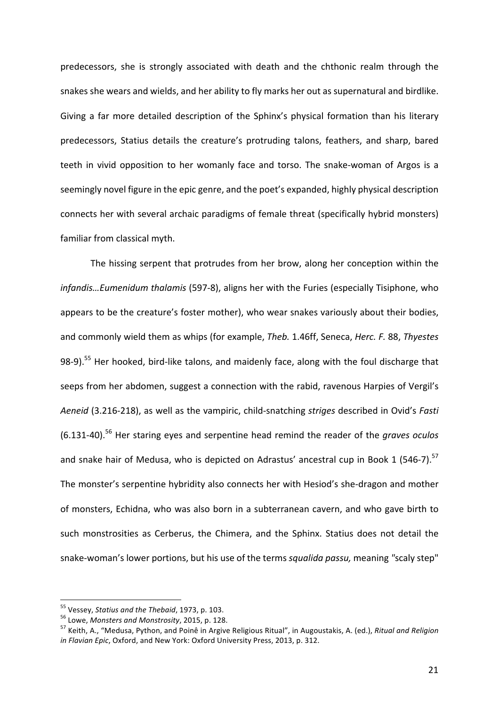predecessors, she is strongly associated with death and the chthonic realm through the snakes she wears and wields, and her ability to fly marks her out as supernatural and birdlike. Giving a far more detailed description of the Sphinx's physical formation than his literary predecessors, Statius details the creature's protruding talons, feathers, and sharp, bared teeth in vivid opposition to her womanly face and torso. The snake-woman of Argos is a seemingly novel figure in the epic genre, and the poet's expanded, highly physical description connects her with several archaic paradigms of female threat (specifically hybrid monsters) familiar from classical myth.

The hissing serpent that protrudes from her brow, along her conception within the infandis...Eumenidum thalamis (597-8), aligns her with the Furies (especially Tisiphone, who appears to be the creature's foster mother), who wear snakes variously about their bodies, and commonly wield them as whips (for example, *Theb.* 1.46ff, Seneca, *Herc. F.* 88, *Thyestes* 98-9).<sup>55</sup> Her hooked, bird-like talons, and maidenly face, along with the foul discharge that seeps from her abdomen, suggest a connection with the rabid, ravenous Harpies of Vergil's Aeneid (3.216-218), as well as the vampiric, child-snatching *striges* described in Ovid's *Fasti* (6.131-40).<sup>56</sup> Her staring eyes and serpentine head remind the reader of the *graves oculos* and snake hair of Medusa, who is depicted on Adrastus' ancestral cup in Book 1 (546-7).<sup>57</sup> The monster's serpentine hybridity also connects her with Hesiod's she-dragon and mother of monsters, Echidna, who was also born in a subterranean cavern, and who gave birth to such monstrosities as Cerberus, the Chimera, and the Sphinx. Statius does not detail the snake-woman's lower portions, but his use of the terms *squalida passu*, meaning "scaly step"

<sup>&</sup>lt;sup>55</sup> Vessey, Statius and the Thebaid, 1973, p. 103.<br><sup>56</sup> Lowe, Monsters and Monstrosity, 2015, p. 128.<br><sup>57</sup> Keith, A., "Medusa, Python, and Poinê in Argive Religious Ritual", in Augoustakis, A. (ed.), *Ritual and Religion in Flavian Epic*, Oxford, and New York: Oxford University Press, 2013, p. 312.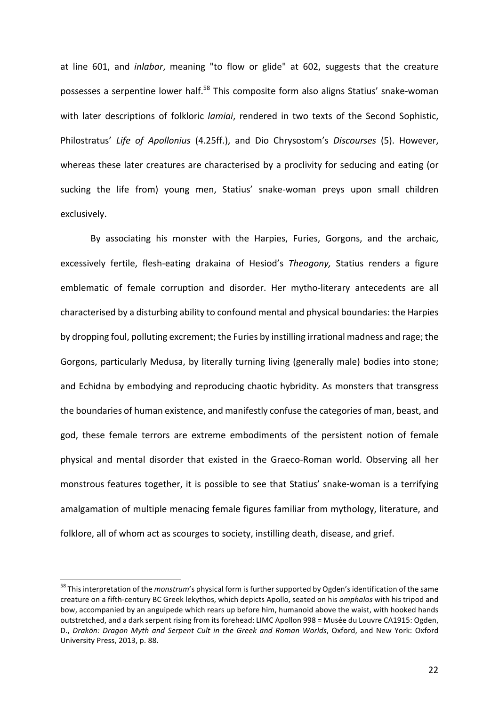at line 601, and *inlabor*, meaning "to flow or glide" at 602, suggests that the creature possesses a serpentine lower half.<sup>58</sup> This composite form also aligns Statius' snake-woman with later descriptions of folkloric *lamiai*, rendered in two texts of the Second Sophistic, Philostratus' Life of Apollonius (4.25ff.), and Dio Chrysostom's Discourses (5). However, whereas these later creatures are characterised by a proclivity for seducing and eating (or sucking the life from) young men, Statius' snake-woman preys upon small children exclusively. 

By associating his monster with the Harpies, Furies, Gorgons, and the archaic, excessively fertile, flesh-eating drakaina of Hesiod's *Theogony*, Statius renders a figure emblematic of female corruption and disorder. Her mytho-literary antecedents are all characterised by a disturbing ability to confound mental and physical boundaries: the Harpies by dropping foul, polluting excrement; the Furies by instilling irrational madness and rage; the Gorgons, particularly Medusa, by literally turning living (generally male) bodies into stone; and Echidna by embodying and reproducing chaotic hybridity. As monsters that transgress the boundaries of human existence, and manifestly confuse the categories of man, beast, and god, these female terrors are extreme embodiments of the persistent notion of female physical and mental disorder that existed in the Graeco-Roman world. Observing all her monstrous features together, it is possible to see that Statius' snake-woman is a terrifying amalgamation of multiple menacing female figures familiar from mythology, literature, and folklore, all of whom act as scourges to society, instilling death, disease, and grief.

<sup>&</sup>lt;sup>58</sup> This interpretation of the *monstrum'*s physical form is further supported by Ogden's identification of the same creature on a fifth-century BC Greek lekythos, which depicts Apollo, seated on his *omphalos* with his tripod and bow, accompanied by an anguipede which rears up before him, humanoid above the waist, with hooked hands outstretched, and a dark serpent rising from its forehead: LIMC Apollon 998 = Musée du Louvre CA1915: Ogden, D., Drakōn: Dragon Myth and Serpent Cult in the Greek and Roman Worlds, Oxford, and New York: Oxford University Press, 2013, p. 88.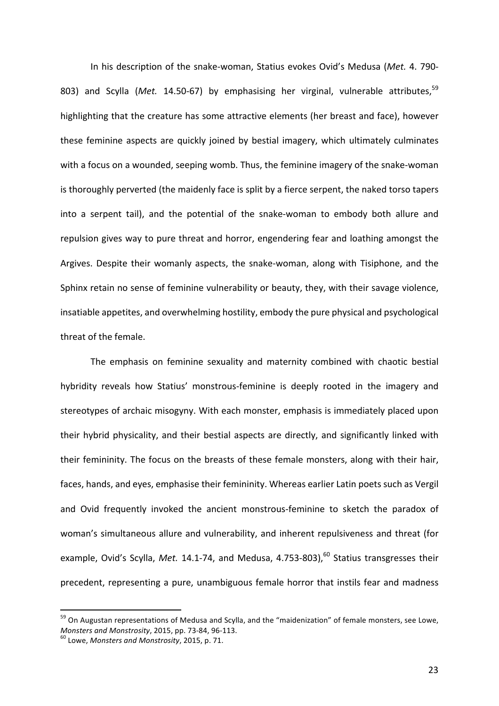In his description of the snake-woman, Statius evokes Ovid's Medusa (Met. 4. 790-803) and Scylla (*Met.* 14.50-67) by emphasising her virginal, vulnerable attributes,<sup>59</sup> highlighting that the creature has some attractive elements (her breast and face), however these feminine aspects are quickly joined by bestial imagery, which ultimately culminates with a focus on a wounded, seeping womb. Thus, the feminine imagery of the snake-woman is thoroughly perverted (the maidenly face is split by a fierce serpent, the naked torso tapers into a serpent tail), and the potential of the snake-woman to embody both allure and repulsion gives way to pure threat and horror, engendering fear and loathing amongst the Argives. Despite their womanly aspects, the snake-woman, along with Tisiphone, and the Sphinx retain no sense of feminine vulnerability or beauty, they, with their savage violence, insatiable appetites, and overwhelming hostility, embody the pure physical and psychological threat of the female.

The emphasis on feminine sexuality and maternity combined with chaotic bestial hybridity reveals how Statius' monstrous-feminine is deeply rooted in the imagery and stereotypes of archaic misogyny. With each monster, emphasis is immediately placed upon their hybrid physicality, and their bestial aspects are directly, and significantly linked with their femininity. The focus on the breasts of these female monsters, along with their hair, faces, hands, and eyes, emphasise their femininity. Whereas earlier Latin poets such as Vergil and Ovid frequently invoked the ancient monstrous-feminine to sketch the paradox of woman's simultaneous allure and vulnerability, and inherent repulsiveness and threat (for example, Ovid's Scylla, *Met.* 14.1-74, and Medusa, 4.753-803),<sup>60</sup> Statius transgresses their precedent, representing a pure, unambiguous female horror that instils fear and madness

<sup>&</sup>lt;sup>59</sup> On Augustan representations of Medusa and Scylla, and the "maidenization" of female monsters, see Lowe, *Monsters and Monstrosity,* 2015, pp. 73-84, 96-113.<br><sup>60</sup> Lowe, *Monsters and Monstrosity*, 2015, p. 71.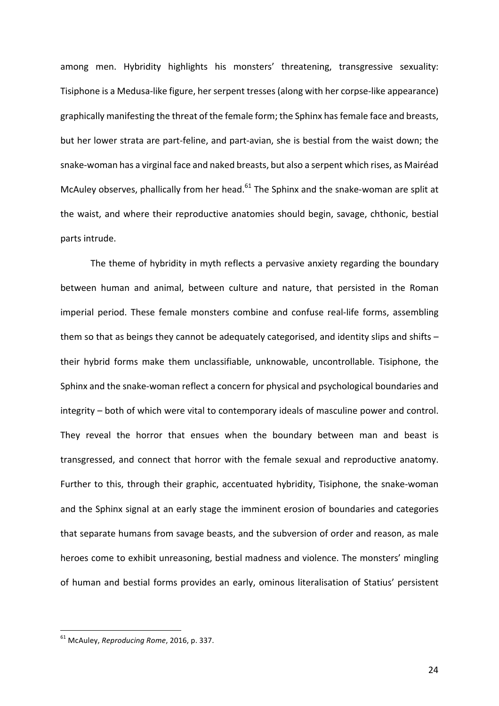among men. Hybridity highlights his monsters' threatening, transgressive sexuality: Tisiphone is a Medusa-like figure, her serpent tresses (along with her corpse-like appearance) graphically manifesting the threat of the female form; the Sphinx has female face and breasts, but her lower strata are part-feline, and part-avian, she is bestial from the waist down; the snake-woman has a virginal face and naked breasts, but also a serpent which rises, as Mairéad McAuley observes, phallically from her head. $61$  The Sphinx and the snake-woman are split at the waist, and where their reproductive anatomies should begin, savage, chthonic, bestial parts intrude.

The theme of hybridity in myth reflects a pervasive anxiety regarding the boundary between human and animal, between culture and nature, that persisted in the Roman imperial period. These female monsters combine and confuse real-life forms, assembling them so that as beings they cannot be adequately categorised, and identity slips and shifts  $$ their hybrid forms make them unclassifiable, unknowable, uncontrollable. Tisiphone, the Sphinx and the snake-woman reflect a concern for physical and psychological boundaries and integrity – both of which were vital to contemporary ideals of masculine power and control. They reveal the horror that ensues when the boundary between man and beast is transgressed, and connect that horror with the female sexual and reproductive anatomy. Further to this, through their graphic, accentuated hybridity, Tisiphone, the snake-woman and the Sphinx signal at an early stage the imminent erosion of boundaries and categories that separate humans from savage beasts, and the subversion of order and reason, as male heroes come to exhibit unreasoning, bestial madness and violence. The monsters' mingling of human and bestial forms provides an early, ominous literalisation of Statius' persistent

<sup>&</sup>lt;sup>61</sup> McAulev, *Reproducing Rome*, 2016, p. 337.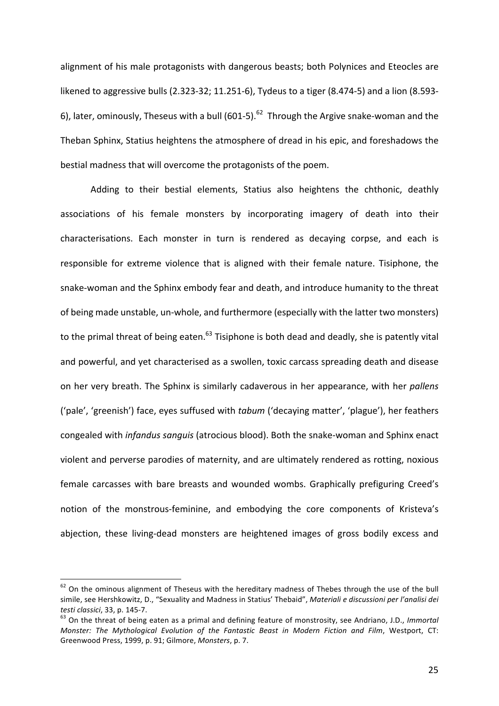alignment of his male protagonists with dangerous beasts; both Polynices and Eteocles are likened to aggressive bulls  $(2.323-32; 11.251-6)$ , Tydeus to a tiger  $(8.474-5)$  and a lion  $(8.593-$ 6), later, ominously, Theseus with a bull  $(601-5)$ .<sup>62</sup> Through the Argive snake-woman and the Theban Sphinx, Statius heightens the atmosphere of dread in his epic, and foreshadows the bestial madness that will overcome the protagonists of the poem.

Adding to their bestial elements, Statius also heightens the chthonic, deathly associations of his female monsters by incorporating imagery of death into their characterisations. Each monster in turn is rendered as decaying corpse, and each is responsible for extreme violence that is aligned with their female nature. Tisiphone, the snake-woman and the Sphinx embody fear and death, and introduce humanity to the threat of being made unstable, un-whole, and furthermore (especially with the latter two monsters) to the primal threat of being eaten.<sup>63</sup> Tisiphone is both dead and deadly, she is patently vital and powerful, and yet characterised as a swollen, toxic carcass spreading death and disease on her very breath. The Sphinx is similarly cadaverous in her appearance, with her *pallens* ('pale', 'greenish') face, eyes suffused with *tabum* ('decaying matter', 'plague'), her feathers congealed with *infandus sanguis* (atrocious blood). Both the snake-woman and Sphinx enact violent and perverse parodies of maternity, and are ultimately rendered as rotting, noxious female carcasses with bare breasts and wounded wombs. Graphically prefiguring Creed's notion of the monstrous-feminine, and embodying the core components of Kristeva's abjection, these living-dead monsters are heightened images of gross bodily excess and

 $62$  On the ominous alignment of Theseus with the hereditary madness of Thebes through the use of the bull simile, see Hershkowitz, D., "Sexuality and Madness in Statius' Thebaid", Materiali e discussioni per l'analisi dei *testi classici*, 33, p. 145-7.<br><sup>63</sup> On the threat of being eaten as a primal and defining feature of monstrosity, see Andriano, J.D., *Immortal* 

*Monster: The Mythological Evolution of the Fantastic Beast in Modern Fiction and Film, Westport, CT:* Greenwood Press, 1999, p. 91; Gilmore, *Monsters*, p. 7.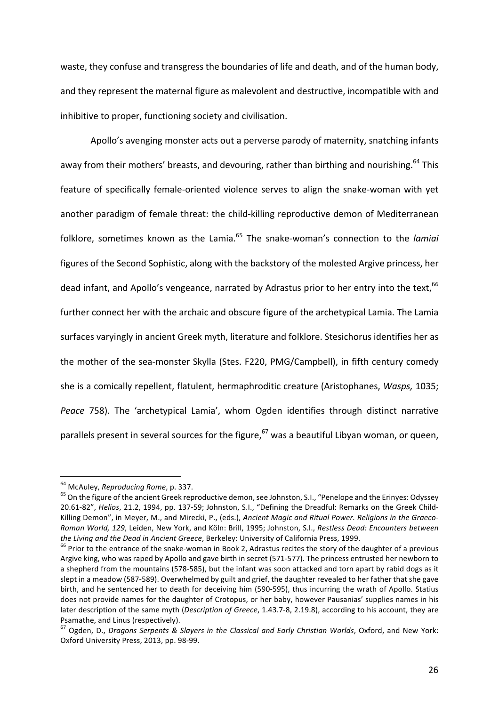waste, they confuse and transgress the boundaries of life and death, and of the human body, and they represent the maternal figure as malevolent and destructive, incompatible with and inhibitive to proper, functioning society and civilisation.

Apollo's avenging monster acts out a perverse parody of maternity, snatching infants away from their mothers' breasts, and devouring, rather than birthing and nourishing.<sup>64</sup> This feature of specifically female-oriented violence serves to align the snake-woman with yet another paradigm of female threat: the child-killing reproductive demon of Mediterranean folklore, sometimes known as the Lamia.<sup>65</sup> The snake-woman's connection to the *lamiai* figures of the Second Sophistic, along with the backstory of the molested Argive princess, her dead infant, and Apollo's vengeance, narrated by Adrastus prior to her entry into the text, 66 further connect her with the archaic and obscure figure of the archetypical Lamia. The Lamia surfaces varyingly in ancient Greek myth, literature and folklore. Stesichorus identifies her as the mother of the sea-monster Skylla (Stes. F220, PMG/Campbell), in fifth century comedy she is a comically repellent, flatulent, hermaphroditic creature (Aristophanes, *Wasps*, 1035; *Peace* 758). The 'archetypical Lamia', whom Ogden identifies through distinct narrative parallels present in several sources for the figure,  $67$  was a beautiful Libyan woman, or queen,

<sup>&</sup>lt;sup>64</sup> McAuley, *Reproducing Rome*, p. 337.<br><sup>65</sup> On the figure of the ancient Greek reproductive demon, see Johnston, S.I., "Penelope and the Erinyes: Odyssey 20.61-82", *Helios*, 21.2, 1994, pp. 137-59; Johnston, S.I., "Defining the Dreadful: Remarks on the Greek Child-Killing Demon", in Meyer, M., and Mirecki, P., (eds.), *Ancient Magic and Ritual Power. Religions in the Graeco-Roman World, 129, Leiden, New York, and Köln: Brill, 1995; Johnston, S.I., Restless Dead: Encounters between the Living and the Dead in Ancient Greece*, Berkeley: University of California Press, 1999.<br><sup>66</sup> Prior to the entrance of the snake-woman in Book 2, Adrastus recites the story of the daughter of a previous

Argive king, who was raped by Apollo and gave birth in secret (571-577). The princess entrusted her newborn to a shepherd from the mountains (578-585), but the infant was soon attacked and torn apart by rabid dogs as it slept in a meadow (587-589). Overwhelmed by guilt and grief, the daughter revealed to her father that she gave birth, and he sentenced her to death for deceiving him (590-595), thus incurring the wrath of Apollo. Statius does not provide names for the daughter of Crotopus, or her baby, however Pausanias' supplies names in his later description of the same myth (Description of Greece, 1.43.7-8, 2.19.8), according to his account, they are Psamathe, and Linus (respectively).

<sup>&</sup>lt;sup>67</sup> Ogden, D., *Dragons Serpents & Slayers in the Classical and Early Christian Worlds*, Oxford, and New York: Oxford University Press, 2013, pp. 98-99.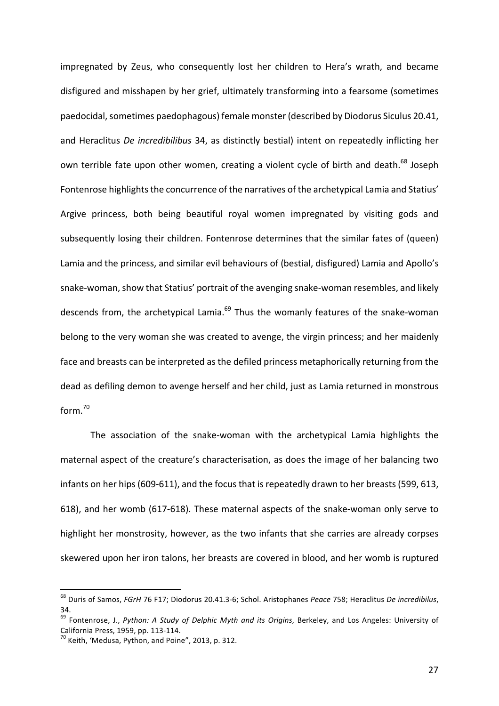impregnated by Zeus, who consequently lost her children to Hera's wrath, and became disfigured and misshapen by her grief, ultimately transforming into a fearsome (sometimes paedocidal, sometimes paedophagous) female monster (described by Diodorus Siculus 20.41, and Heraclitus *De incredibilibus* 34, as distinctly bestial) intent on repeatedly inflicting her own terrible fate upon other women, creating a violent cycle of birth and death.<sup>68</sup> Joseph Fontenrose highlights the concurrence of the narratives of the archetypical Lamia and Statius' Argive princess, both being beautiful royal women impregnated by visiting gods and subsequently losing their children. Fontenrose determines that the similar fates of (queen) Lamia and the princess, and similar evil behaviours of (bestial, disfigured) Lamia and Apollo's snake-woman, show that Statius' portrait of the avenging snake-woman resembles, and likely descends from, the archetypical Lamia.<sup>69</sup> Thus the womanly features of the snake-woman belong to the very woman she was created to avenge, the virgin princess; and her maidenly face and breasts can be interpreted as the defiled princess metaphorically returning from the dead as defiling demon to avenge herself and her child, just as Lamia returned in monstrous form.<sup>70</sup>

The association of the snake-woman with the archetypical Lamia highlights the maternal aspect of the creature's characterisation, as does the image of her balancing two infants on her hips (609-611), and the focus that is repeatedly drawn to her breasts (599, 613, 618), and her womb (617-618). These maternal aspects of the snake-woman only serve to highlight her monstrosity, however, as the two infants that she carries are already corpses skewered upon her iron talons, her breasts are covered in blood, and her womb is ruptured

<sup>&</sup>lt;sup>68</sup> Duris of Samos, FGrH 76 F17; Diodorus 20.41.3-6; Schol. Aristophanes Peace 758; Heraclitus De incredibilus, 34.

<sup>&</sup>lt;sup>69</sup> Fontenrose, J., Python: A Study of Delphic Myth and its Origins, Berkeley, and Los Angeles: University of California Press, 1959, pp. 113-114.<br><sup>70</sup> Keith, 'Medusa, Python, and Poine", 2013, p. 312.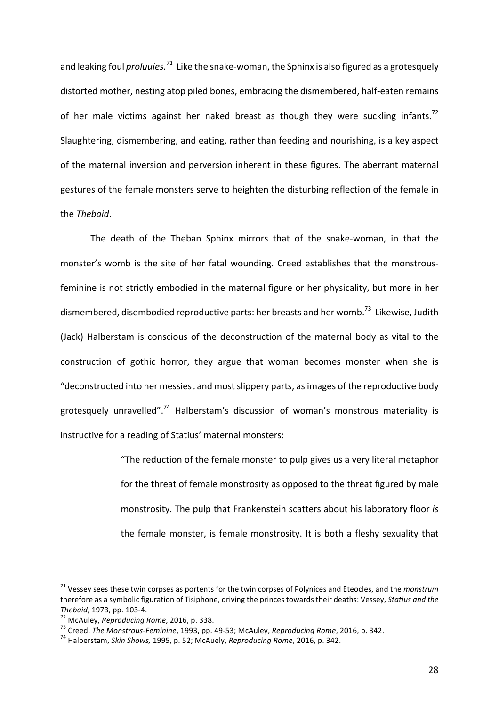and leaking foul *proluuies.*<sup>71</sup> Like the snake-woman, the Sphinx is also figured as a grotesquely distorted mother, nesting atop piled bones, embracing the dismembered, half-eaten remains of her male victims against her naked breast as though they were suckling infants.<sup>72</sup> Slaughtering, dismembering, and eating, rather than feeding and nourishing, is a key aspect of the maternal inversion and perversion inherent in these figures. The aberrant maternal gestures of the female monsters serve to heighten the disturbing reflection of the female in the *Thebaid*.

The death of the Theban Sphinx mirrors that of the snake-woman, in that the monster's womb is the site of her fatal wounding. Creed establishes that the monstrousfeminine is not strictly embodied in the maternal figure or her physicality, but more in her dismembered, disembodied reproductive parts: her breasts and her womb.<sup>73</sup> Likewise, Judith (Jack) Halberstam is conscious of the deconstruction of the maternal body as vital to the construction of gothic horror, they argue that woman becomes monster when she is "deconstructed into her messiest and most slippery parts, as images of the reproductive body grotesquely unravelled".<sup>74</sup> Halberstam's discussion of woman's monstrous materiality is instructive for a reading of Statius' maternal monsters:

> "The reduction of the female monster to pulp gives us a very literal metaphor for the threat of female monstrosity as opposed to the threat figured by male monstrosity. The pulp that Frankenstein scatters about his laboratory floor *is* the female monster, is female monstrosity. It is both a fleshy sexuality that

 $71$  Vessey sees these twin corpses as portents for the twin corpses of Polynices and Eteocles, and the *monstrum* therefore as a symbolic figuration of Tisiphone, driving the princes towards their deaths: Vessey, *Statius and the* Thebaid, 1973, pp. 103-4.<br><sup>72</sup> McAuley, *Reproducing Rome*, 2016, p. 338.<br><sup>73</sup> Creed, *The Monstrous-Feminine*, 1993, pp. 49-53; McAuley, *Reproducing Rome*, 2016, p. 342.<br><sup>74</sup> Halberstam, *Skin Shows,* 1995, p. 52; McAuel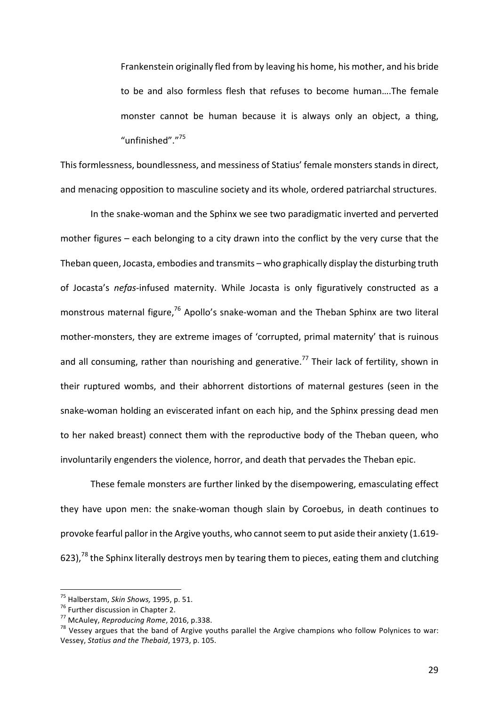Frankenstein originally fled from by leaving his home, his mother, and his bride to be and also formless flesh that refuses to become human....The female monster cannot be human because it is always only an object, a thing, "unfinished"."<sup>75</sup>

This formlessness, boundlessness, and messiness of Statius' female monsters stands in direct, and menacing opposition to masculine society and its whole, ordered patriarchal structures.

In the snake-woman and the Sphinx we see two paradigmatic inverted and perverted mother figures  $-$  each belonging to a city drawn into the conflict by the very curse that the Theban queen, Jocasta, embodies and transmits – who graphically display the disturbing truth of Jocasta's nefas-infused maternity. While Jocasta is only figuratively constructed as a monstrous maternal figure, $76$  Apollo's snake-woman and the Theban Sphinx are two literal mother-monsters, they are extreme images of 'corrupted, primal maternity' that is ruinous and all consuming, rather than nourishing and generative.<sup>77</sup> Their lack of fertility, shown in their ruptured wombs, and their abhorrent distortions of maternal gestures (seen in the snake-woman holding an eviscerated infant on each hip, and the Sphinx pressing dead men to her naked breast) connect them with the reproductive body of the Theban queen, who involuntarily engenders the violence, horror, and death that pervades the Theban epic.

These female monsters are further linked by the disempowering, emasculating effect they have upon men: the snake-woman though slain by Coroebus, in death continues to provoke fearful pallor in the Argive youths, who cannot seem to put aside their anxiety (1.619-623),<sup>78</sup> the Sphinx literally destroys men by tearing them to pieces, eating them and clutching

<sup>&</sup>lt;sup>75</sup> Halberstam, *Skin Shows,* 1995, p. 51.<br><sup>76</sup> Further discussion in Chapter 2.<br><sup>77</sup> McAuley, *Reproducing Rome*, 2016, p.338.<br><sup>78</sup> Vessey argues that the band of Argive youths parallel the Argive champions who follow P Vessey, *Statius and the Thebaid*, 1973, p. 105.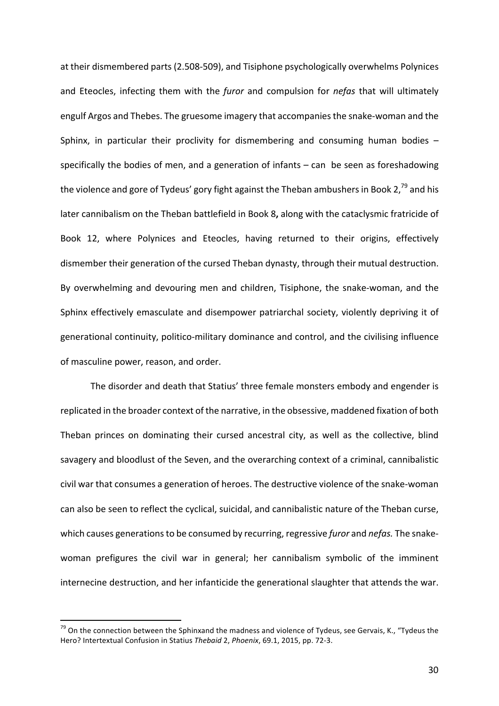at their dismembered parts (2.508-509), and Tisiphone psychologically overwhelms Polynices and Eteocles, infecting them with the *furor* and compulsion for *nefas* that will ultimately engulf Argos and Thebes. The gruesome imagery that accompanies the snake-woman and the Sphinx, in particular their proclivity for dismembering and consuming human bodies  $$ specifically the bodies of men, and a generation of infants  $-$  can  $\alpha$  be seen as foreshadowing the violence and gore of Tydeus' gory fight against the Theban ambushers in Book 2,<sup>79</sup> and his later cannibalism on the Theban battlefield in Book 8, along with the cataclysmic fratricide of Book 12, where Polynices and Eteocles, having returned to their origins, effectively dismember their generation of the cursed Theban dynasty, through their mutual destruction. By overwhelming and devouring men and children, Tisiphone, the snake-woman, and the Sphinx effectively emasculate and disempower patriarchal society, violently depriving it of generational continuity, politico-military dominance and control, and the civilising influence of masculine power, reason, and order.

The disorder and death that Statius' three female monsters embody and engender is replicated in the broader context of the narrative, in the obsessive, maddened fixation of both Theban princes on dominating their cursed ancestral city, as well as the collective, blind savagery and bloodlust of the Seven, and the overarching context of a criminal, cannibalistic civil war that consumes a generation of heroes. The destructive violence of the snake-woman can also be seen to reflect the cyclical, suicidal, and cannibalistic nature of the Theban curse, which causes generations to be consumed by recurring, regressive *furor* and *nefas*. The snakewoman prefigures the civil war in general; her cannibalism symbolic of the imminent internecine destruction, and her infanticide the generational slaughter that attends the war.

 $79$  On the connection between the Sphinxand the madness and violence of Tydeus, see Gervais, K., "Tydeus the Hero? Intertextual Confusion in Statius Thebaid 2, Phoenix, 69.1, 2015, pp. 72-3.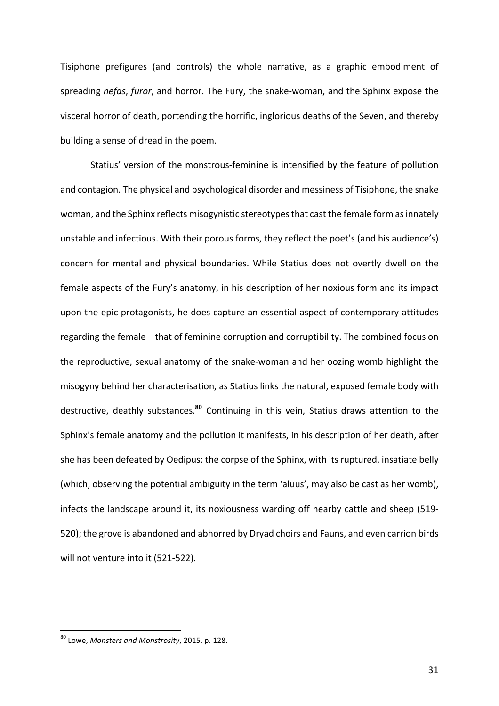Tisiphone prefigures (and controls) the whole narrative, as a graphic embodiment of spreading *nefas*, *furor*, and horror. The Fury, the snake-woman, and the Sphinx expose the visceral horror of death, portending the horrific, inglorious deaths of the Seven, and thereby building a sense of dread in the poem.

Statius' version of the monstrous-feminine is intensified by the feature of pollution and contagion. The physical and psychological disorder and messiness of Tisiphone, the snake woman, and the Sphinx reflects misogynistic stereotypes that cast the female form as innately unstable and infectious. With their porous forms, they reflect the poet's (and his audience's) concern for mental and physical boundaries. While Statius does not overtly dwell on the female aspects of the Fury's anatomy, in his description of her noxious form and its impact upon the epic protagonists, he does capture an essential aspect of contemporary attitudes regarding the female – that of feminine corruption and corruptibility. The combined focus on the reproductive, sexual anatomy of the snake-woman and her oozing womb highlight the misogyny behind her characterisation, as Statius links the natural, exposed female body with destructive, deathly substances.<sup>80</sup> Continuing in this vein, Statius draws attention to the Sphinx's female anatomy and the pollution it manifests, in his description of her death, after she has been defeated by Oedipus: the corpse of the Sphinx, with its ruptured, insatiate belly (which, observing the potential ambiguity in the term 'aluus', may also be cast as her womb), infects the landscape around it, its noxiousness warding off nearby cattle and sheep (519-520); the grove is abandoned and abhorred by Dryad choirs and Fauns, and even carrion birds will not venture into it (521-522).

<sup>&</sup>lt;sup>80</sup> Lowe, Monsters and Monstrosity, 2015, p. 128.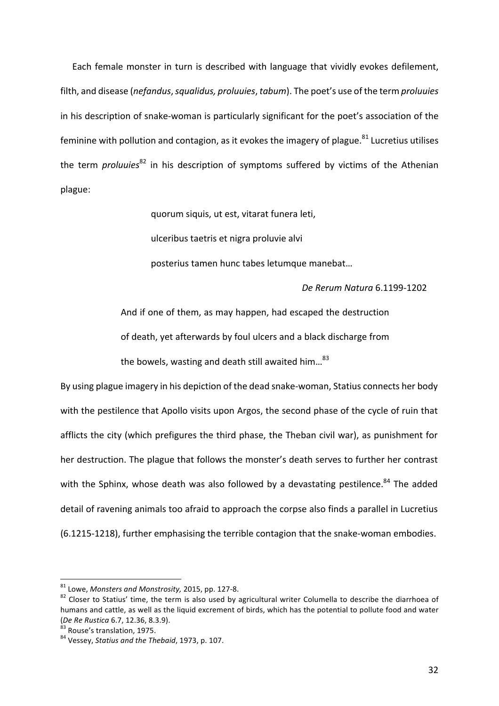Each female monster in turn is described with language that vividly evokes defilement, filth, and disease (*nefandus*, *squalidus, proluuies*, *tabum*). The poet's use of the term *proluuies* in his description of snake-woman is particularly significant for the poet's association of the feminine with pollution and contagion, as it evokes the imagery of plague.<sup>81</sup> Lucretius utilises the term *proluuies*<sup>82</sup> in his description of symptoms suffered by victims of the Athenian plague:

> quorum siquis, ut est, vitarat funera leti, ulceribus taetris et nigra proluvie alvi posterius tamen hunc tabes letumque manebat...

> > *De Rerum Natura* 6.1199-1202

And if one of them, as may happen, had escaped the destruction of death, yet afterwards by foul ulcers and a black discharge from the bowels, wasting and death still awaited him... $^{83}$ 

By using plague imagery in his depiction of the dead snake-woman, Statius connects her body with the pestilence that Apollo visits upon Argos, the second phase of the cycle of ruin that afflicts the city (which prefigures the third phase, the Theban civil war), as punishment for her destruction. The plague that follows the monster's death serves to further her contrast with the Sphinx, whose death was also followed by a devastating pestilence.<sup>84</sup> The added detail of ravening animals too afraid to approach the corpse also finds a parallel in Lucretius (6.1215-1218), further emphasising the terrible contagion that the snake-woman embodies.

<sup>&</sup>lt;sup>81</sup> Lowe, *Monsters and Monstrosity*, 2015, pp. 127-8.<br><sup>82</sup> Closer to Statius' time, the term is also used by agricultural writer Columella to describe the diarrhoea of humans and cattle, as well as the liquid excrement of birds, which has the potential to pollute food and water (*De Re Rustica* 6.7, 12.36, 8.3.9).<br><sup>83</sup> Rouse's translation, 1975.<br><sup>84</sup> Vessey, *Statius and the Thebaid*, 1973, p. 107.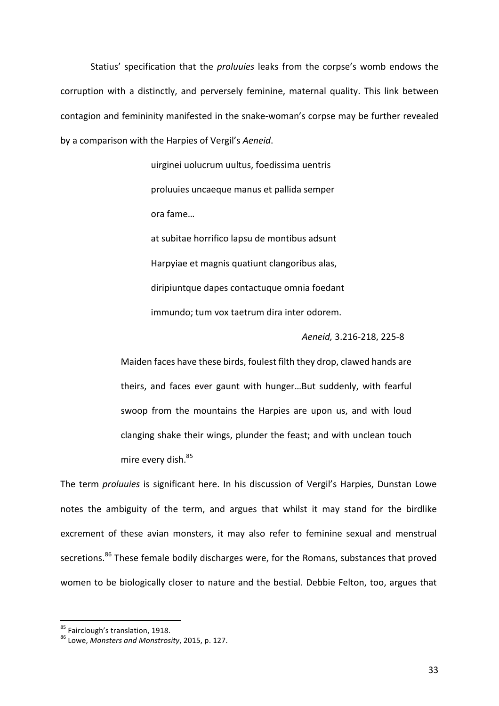Statius' specification that the *proluuies* leaks from the corpse's womb endows the corruption with a distinctly, and perversely feminine, maternal quality. This link between contagion and femininity manifested in the snake-woman's corpse may be further revealed by a comparison with the Harpies of Vergil's Aeneid.

> uirginei uolucrum uultus, foedissima uentris proluuies uncaeque manus et pallida semper ora fame… at subitae horrifico lapsu de montibus adsunt

Harpyiae et magnis quatiunt clangoribus alas, diripiuntque dapes contactuque omnia foedant immundo; tum vox taetrum dira inter odorem.

# *Aeneid,* 3.216-218, 225-8

Maiden faces have these birds, foulest filth they drop, clawed hands are theirs, and faces ever gaunt with hunger...But suddenly, with fearful swoop from the mountains the Harpies are upon us, and with loud clanging shake their wings, plunder the feast; and with unclean touch mire every dish.<sup>85</sup>

The term *proluuies* is significant here. In his discussion of Vergil's Harpies, Dunstan Lowe notes the ambiguity of the term, and argues that whilst it may stand for the birdlike excrement of these avian monsters, it may also refer to feminine sexual and menstrual secretions.<sup>86</sup> These female bodily discharges were, for the Romans, substances that proved women to be biologically closer to nature and the bestial. Debbie Felton, too, argues that

<sup>&</sup>lt;sup>85</sup> Fairclough's translation, 1918.<br><sup>86</sup> Lowe, *Monsters and Monstrosity*, 2015, p. 127.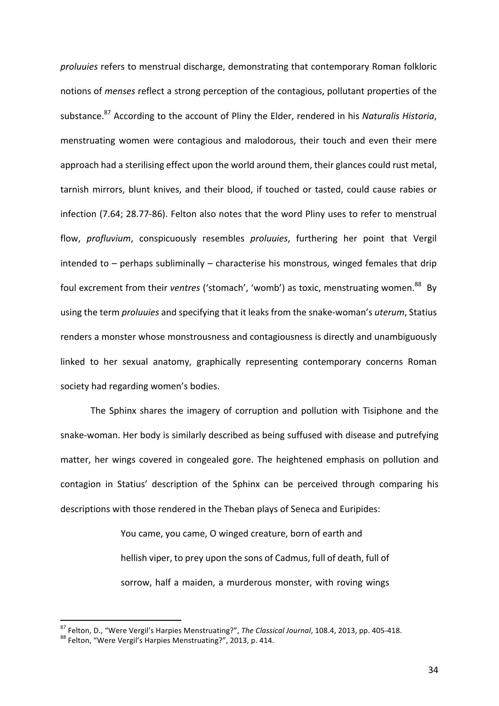*proluuies* refers to menstrual discharge, demonstrating that contemporary Roman folkloric notions of *menses* reflect a strong perception of the contagious, pollutant properties of the substance.<sup>87</sup> According to the account of Pliny the Elder, rendered in his *Naturalis Historia*, menstruating women were contagious and malodorous, their touch and even their mere approach had a sterilising effect upon the world around them, their glances could rust metal, tarnish mirrors, blunt knives, and their blood, if touched or tasted, could cause rabies or infection (7.64; 28.77-86). Felton also notes that the word Pliny uses to refer to menstrual flow, *profluvium*, conspicuously resembles *proluuies*, furthering her point that Vergil intended to  $-$  perhaps subliminally  $-$  characterise his monstrous, winged females that drip foul excrement from their *ventres* ('stomach', 'womb') as toxic, menstruating women.<sup>88</sup> By using the term *proluuies* and specifying that it leaks from the snake-woman's *uterum*, Statius renders a monster whose monstrousness and contagiousness is directly and unambiguously linked to her sexual anatomy, graphically representing contemporary concerns Roman society had regarding women's bodies.

The Sphinx shares the imagery of corruption and pollution with Tisiphone and the snake-woman. Her body is similarly described as being suffused with disease and putrefying matter, her wings covered in congealed gore. The heightened emphasis on pollution and contagion in Statius' description of the Sphinx can be perceived through comparing his descriptions with those rendered in the Theban plays of Seneca and Euripides:

> You came, you came, O winged creature, born of earth and hellish viper, to prey upon the sons of Cadmus, full of death, full of sorrow, half a maiden, a murderous monster, with roving wings

<sup>&</sup>lt;sup>87</sup> Felton, D., "Were Vergil's Harpies Menstruating?", *The Classical Journal*, 108.4, 2013, pp. 405-418.<br><sup>88</sup> Felton, "Were Vergil's Harpies Menstruating?", 2013, p. 414.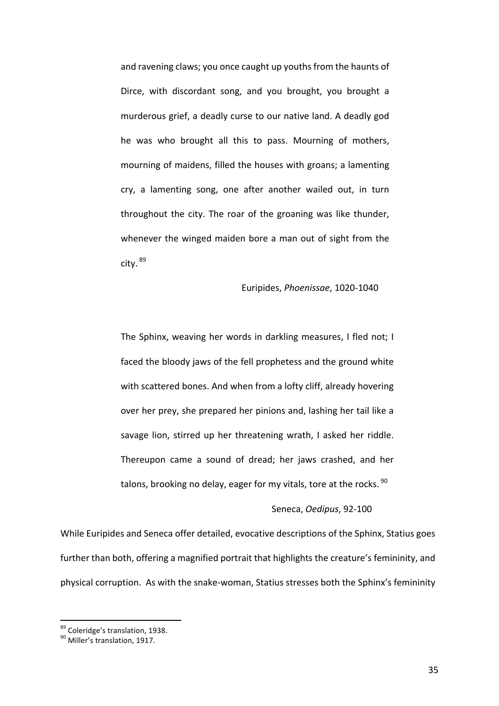and ravening claws; you once caught up youths from the haunts of Dirce, with discordant song, and you brought, you brought a murderous grief, a deadly curse to our native land. A deadly god he was who brought all this to pass. Mourning of mothers, mourning of maidens, filled the houses with groans; a lamenting cry, a lamenting song, one after another wailed out, in turn throughout the city. The roar of the groaning was like thunder, whenever the winged maiden bore a man out of sight from the city. <sup>89</sup>

# Euripides, *Phoenissae*, 1020-1040

The Sphinx, weaving her words in darkling measures, I fled not; I faced the bloody jaws of the fell prophetess and the ground white with scattered bones. And when from a lofty cliff, already hovering over her prey, she prepared her pinions and, lashing her tail like a savage lion, stirred up her threatening wrath, I asked her riddle. Thereupon came a sound of dread; her jaws crashed, and her talons, brooking no delay, eager for my vitals, tore at the rocks.  $90$ 

## Seneca, Oedipus, 92-100

While Euripides and Seneca offer detailed, evocative descriptions of the Sphinx, Statius goes further than both, offering a magnified portrait that highlights the creature's femininity, and physical corruption. As with the snake-woman, Statius stresses both the Sphinx's femininity

 $89$  Coleridge's translation, 1938.<br>  $89$  Miller's translation, 1917.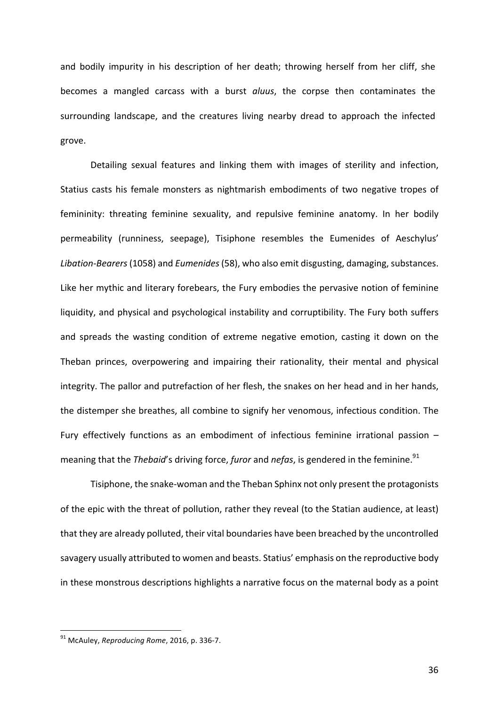and bodily impurity in his description of her death; throwing herself from her cliff, she becomes a mangled carcass with a burst *aluus*, the corpse then contaminates the surrounding landscape, and the creatures living nearby dread to approach the infected grove. 

Detailing sexual features and linking them with images of sterility and infection, Statius casts his female monsters as nightmarish embodiments of two negative tropes of femininity: threating feminine sexuality, and repulsive feminine anatomy. In her bodily permeability (runniness, seepage), Tisiphone resembles the Eumenides of Aeschylus' Libation-Bearers (1058) and *Eumenides* (58), who also emit disgusting, damaging, substances. Like her mythic and literary forebears, the Fury embodies the pervasive notion of feminine liquidity, and physical and psychological instability and corruptibility. The Fury both suffers and spreads the wasting condition of extreme negative emotion, casting it down on the Theban princes, overpowering and impairing their rationality, their mental and physical integrity. The pallor and putrefaction of her flesh, the snakes on her head and in her hands, the distemper she breathes, all combine to signify her venomous, infectious condition. The Fury effectively functions as an embodiment of infectious feminine irrational passion  $$ meaning that the *Thebaid*'s driving force, *furor* and *nefas*, is gendered in the feminine.<sup>91</sup>

Tisiphone, the snake-woman and the Theban Sphinx not only present the protagonists of the epic with the threat of pollution, rather they reveal (to the Statian audience, at least) that they are already polluted, their vital boundaries have been breached by the uncontrolled savagery usually attributed to women and beasts. Statius' emphasis on the reproductive body in these monstrous descriptions highlights a narrative focus on the maternal body as a point

<sup>&</sup>lt;sup>91</sup> McAuley, *Reproducing Rome*, 2016, p. 336-7.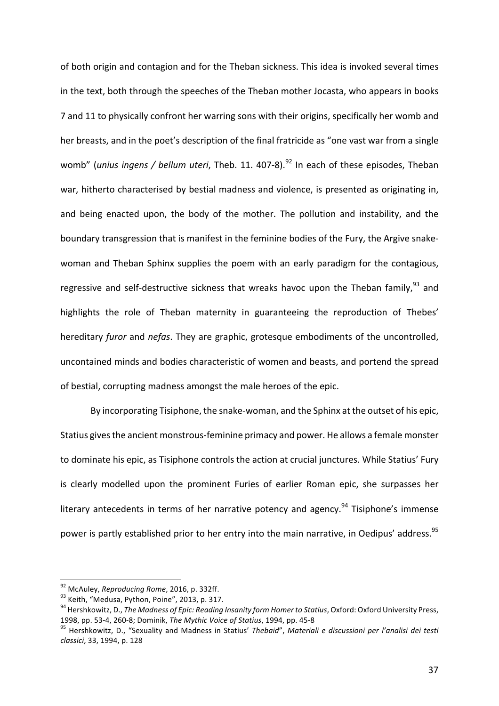of both origin and contagion and for the Theban sickness. This idea is invoked several times in the text, both through the speeches of the Theban mother Jocasta, who appears in books 7 and 11 to physically confront her warring sons with their origins, specifically her womb and her breasts, and in the poet's description of the final fratricide as "one vast war from a single womb" (*unius ingens / bellum uteri*, Theb. 11. 407-8).<sup>92</sup> In each of these episodes, Theban war, hitherto characterised by bestial madness and violence, is presented as originating in, and being enacted upon, the body of the mother. The pollution and instability, and the boundary transgression that is manifest in the feminine bodies of the Fury, the Argive snakewoman and Theban Sphinx supplies the poem with an early paradigm for the contagious, regressive and self-destructive sickness that wreaks havoc upon the Theban family,<sup>93</sup> and highlights the role of Theban maternity in guaranteeing the reproduction of Thebes' hereditary *furor* and *nefas*. They are graphic, grotesque embodiments of the uncontrolled, uncontained minds and bodies characteristic of women and beasts, and portend the spread of bestial, corrupting madness amongst the male heroes of the epic.

By incorporating Tisiphone, the snake-woman, and the Sphinx at the outset of his epic, Statius gives the ancient monstrous-feminine primacy and power. He allows a female monster to dominate his epic, as Tisiphone controls the action at crucial junctures. While Statius' Fury is clearly modelled upon the prominent Furies of earlier Roman epic, she surpasses her literary antecedents in terms of her narrative potency and agency.<sup>94</sup> Tisiphone's immense power is partly established prior to her entry into the main narrative, in Oedipus' address.<sup>95</sup>

<sup>&</sup>lt;sup>92</sup> McAuley, *Reproducing Rome*, 2016, p. 332ff.<br><sup>93</sup> Keith, "Medusa, Python, Poine", 2013, p. 317.<br><sup>94</sup> Hershkowitz. D.. *The Madness of Epic: Reading Insanity form Homer to Statius,* Oxford: Oxford University Press, 1998, pp. 53-4, 260-8; Dominik, *The Mythic Voice of Statius*, 1994, pp. 45-8 *Journalis, 200-8; Der l'analisi dei testi*<br><sup>95</sup> Hershkowitz, D., "Sexuality and Madness in Statius' *Thebaid", Materiali e discussioni per l'an* 

*classici*, 33, 1994, p. 128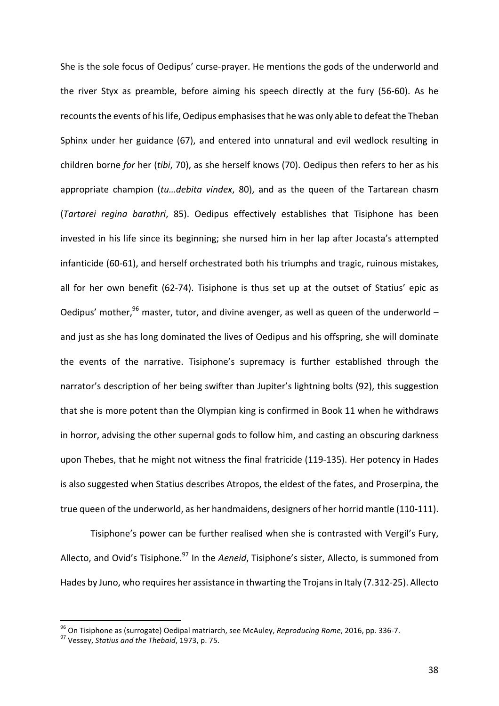She is the sole focus of Oedipus' curse-prayer. He mentions the gods of the underworld and the river Styx as preamble, before aiming his speech directly at the fury (56-60). As he recounts the events of his life, Oedipus emphasises that he was only able to defeat the Theban Sphinx under her guidance (67), and entered into unnatural and evil wedlock resulting in children borne *for* her (*tibi*, 70), as she herself knows (70). Oedipus then refers to her as his appropriate champion (*tu...debita vindex*, 80), and as the queen of the Tartarean chasm (*Tartarei regina barathri*, 85). Oedipus effectively establishes that Tisiphone has been invested in his life since its beginning; she nursed him in her lap after Jocasta's attempted infanticide (60-61), and herself orchestrated both his triumphs and tragic, ruinous mistakes, all for her own benefit (62-74). Tisiphone is thus set up at the outset of Statius' epic as Oedipus' mother,  $96$  master, tutor, and divine avenger, as well as queen of the underworld – and just as she has long dominated the lives of Oedipus and his offspring, she will dominate the events of the narrative. Tisiphone's supremacy is further established through the narrator's description of her being swifter than Jupiter's lightning bolts (92), this suggestion that she is more potent than the Olympian king is confirmed in Book 11 when he withdraws in horror, advising the other supernal gods to follow him, and casting an obscuring darkness upon Thebes, that he might not witness the final fratricide (119-135). Her potency in Hades is also suggested when Statius describes Atropos, the eldest of the fates, and Proserpina, the true queen of the underworld, as her handmaidens, designers of her horrid mantle (110-111).

Tisiphone's power can be further realised when she is contrasted with Vergil's Fury, Allecto, and Ovid's Tisiphone.<sup>97</sup> In the *Aeneid*, Tisiphone's sister, Allecto, is summoned from Hades by Juno, who requires her assistance in thwarting the Trojans in Italy (7.312-25). Allecto

<sup>&</sup>lt;sup>96</sup> On Tisiphone as (surrogate) Oedipal matriarch, see McAuley, *Reproducing Rome*, 2016, pp. 336-7.<br><sup>97</sup> Vessev, *Statius and the Thebaid*, 1973, p. 75.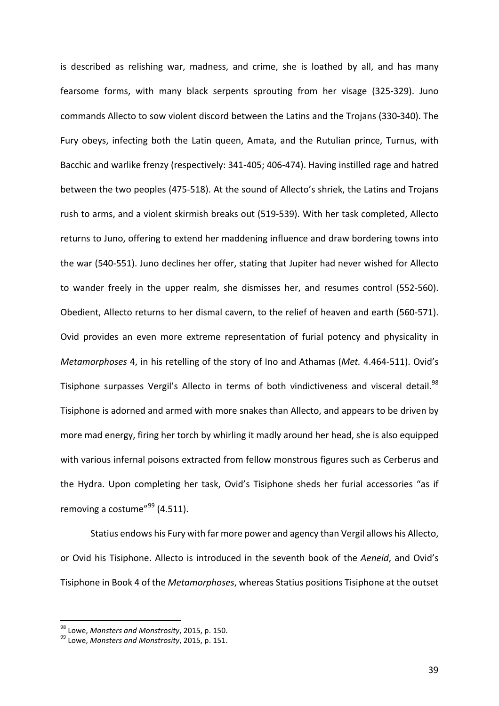is described as relishing war, madness, and crime, she is loathed by all, and has many fearsome forms, with many black serpents sprouting from her visage (325-329). Juno commands Allecto to sow violent discord between the Latins and the Trojans (330-340). The Fury obeys, infecting both the Latin queen, Amata, and the Rutulian prince, Turnus, with Bacchic and warlike frenzy (respectively: 341-405; 406-474). Having instilled rage and hatred between the two peoples (475-518). At the sound of Allecto's shriek, the Latins and Trojans rush to arms, and a violent skirmish breaks out (519-539). With her task completed, Allecto returns to Juno, offering to extend her maddening influence and draw bordering towns into the war (540-551). Juno declines her offer, stating that Jupiter had never wished for Allecto to wander freely in the upper realm, she dismisses her, and resumes control (552-560). Obedient, Allecto returns to her dismal cavern, to the relief of heaven and earth (560-571). Ovid provides an even more extreme representation of furial potency and physicality in *Metamorphoses* 4, in his retelling of the story of Ino and Athamas (*Met.* 4.464-511). Ovid's Tisiphone surpasses Vergil's Allecto in terms of both vindictiveness and visceral detail.<sup>98</sup> Tisiphone is adorned and armed with more snakes than Allecto, and appears to be driven by more mad energy, firing her torch by whirling it madly around her head, she is also equipped with various infernal poisons extracted from fellow monstrous figures such as Cerberus and the Hydra. Upon completing her task, Ovid's Tisiphone sheds her furial accessories "as if removing a costume" $99$  (4.511).

Statius endows his Fury with far more power and agency than Vergil allows his Allecto, or Ovid his Tisiphone. Allecto is introduced in the seventh book of the Aeneid, and Ovid's Tisiphone in Book 4 of the *Metamorphoses*, whereas Statius positions Tisiphone at the outset

<sup>&</sup>lt;sup>98</sup> Lowe, *Monsters and Monstrosity*, 2015, p. 150.<br><sup>99</sup> Lowe, *Monsters and Monstrosity*, 2015, p. 151.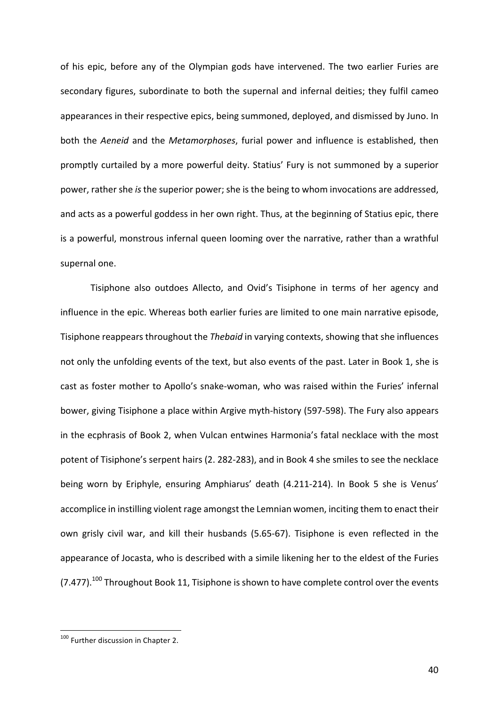of his epic, before any of the Olympian gods have intervened. The two earlier Furies are secondary figures, subordinate to both the supernal and infernal deities; they fulfil cameo appearances in their respective epics, being summoned, deployed, and dismissed by Juno. In both the *Aeneid* and the *Metamorphoses*, furial power and influence is established, then promptly curtailed by a more powerful deity. Statius' Fury is not summoned by a superior power, rather she *is* the superior power; she is the being to whom invocations are addressed, and acts as a powerful goddess in her own right. Thus, at the beginning of Statius epic, there is a powerful, monstrous infernal queen looming over the narrative, rather than a wrathful supernal one.

Tisiphone also outdoes Allecto, and Ovid's Tisiphone in terms of her agency and influence in the epic. Whereas both earlier furies are limited to one main narrative episode, Tisiphone reappears throughout the *Thebaid* in varying contexts, showing that she influences not only the unfolding events of the text, but also events of the past. Later in Book 1, she is cast as foster mother to Apollo's snake-woman, who was raised within the Furies' infernal bower, giving Tisiphone a place within Argive myth-history (597-598). The Fury also appears in the ecphrasis of Book 2, when Vulcan entwines Harmonia's fatal necklace with the most potent of Tisiphone's serpent hairs (2. 282-283), and in Book 4 she smiles to see the necklace being worn by Eriphyle, ensuring Amphiarus' death (4.211-214). In Book 5 she is Venus' accomplice in instilling violent rage amongst the Lemnian women, inciting them to enact their own grisly civil war, and kill their husbands (5.65-67). Tisiphone is even reflected in the appearance of Jocasta, who is described with a simile likening her to the eldest of the Furies (7.477).<sup>100</sup> Throughout Book 11, Tisiphone is shown to have complete control over the events

 $100$  Further discussion in Chapter 2.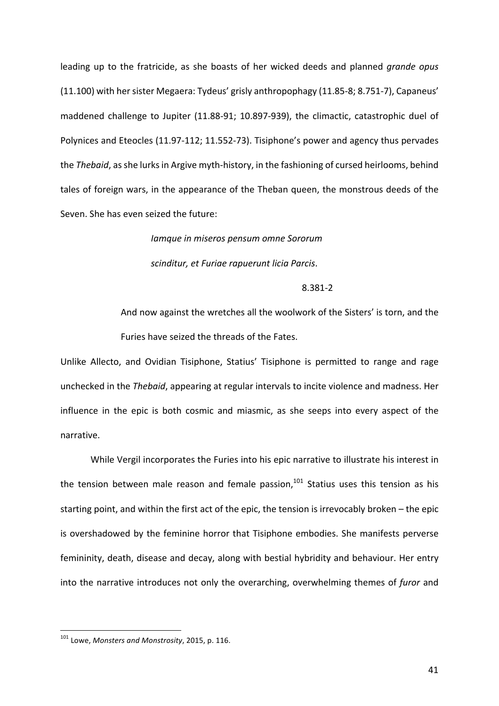leading up to the fratricide, as she boasts of her wicked deeds and planned *grande opus* (11.100) with her sister Megaera: Tydeus' grisly anthropophagy (11.85-8; 8.751-7), Capaneus' maddened challenge to Jupiter (11.88-91; 10.897-939), the climactic, catastrophic duel of Polynices and Eteocles (11.97-112; 11.552-73). Tisiphone's power and agency thus pervades the *Thebaid*, as she lurks in Argive myth-history, in the fashioning of cursed heirlooms, behind tales of foreign wars, in the appearance of the Theban queen, the monstrous deeds of the Seven. She has even seized the future:

> *Iamque in miseros pensum omne Sororum scinditur, et Furiae rapuerunt licia Parcis*.

> > 8.381-2

And now against the wretches all the woolwork of the Sisters' is torn, and the Furies have seized the threads of the Fates.

Unlike Allecto, and Ovidian Tisiphone, Statius' Tisiphone is permitted to range and rage unchecked in the *Thebaid*, appearing at regular intervals to incite violence and madness. Her influence in the epic is both cosmic and miasmic, as she seeps into every aspect of the narrative. 

While Vergil incorporates the Furies into his epic narrative to illustrate his interest in the tension between male reason and female passion, $101$  Statius uses this tension as his starting point, and within the first act of the epic, the tension is irrevocably broken  $-$  the epic is overshadowed by the feminine horror that Tisiphone embodies. She manifests perverse femininity, death, disease and decay, along with bestial hybridity and behaviour. Her entry into the narrative introduces not only the overarching, overwhelming themes of *furor* and

<sup>&</sup>lt;sup>101</sup> Lowe, *Monsters and Monstrosity*, 2015, p. 116.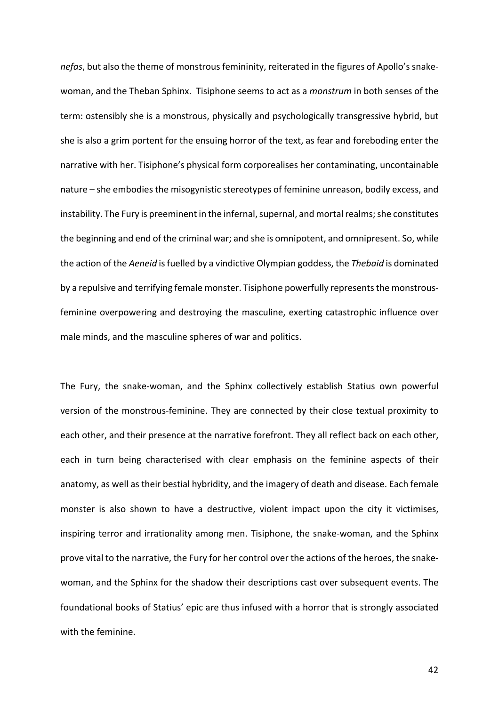*nefas*, but also the theme of monstrous femininity, reiterated in the figures of Apollo's snakewoman, and the Theban Sphinx. Tisiphone seems to act as a *monstrum* in both senses of the term: ostensibly she is a monstrous, physically and psychologically transgressive hybrid, but she is also a grim portent for the ensuing horror of the text, as fear and foreboding enter the narrative with her. Tisiphone's physical form corporealises her contaminating, uncontainable nature – she embodies the misogynistic stereotypes of feminine unreason, bodily excess, and instability. The Fury is preeminent in the infernal, supernal, and mortal realms; she constitutes the beginning and end of the criminal war; and she is omnipotent, and omnipresent. So, while the action of the *Aeneid* is fuelled by a vindictive Olympian goddess, the *Thebaid* is dominated by a repulsive and terrifying female monster. Tisiphone powerfully represents the monstrousfeminine overpowering and destroying the masculine, exerting catastrophic influence over male minds, and the masculine spheres of war and politics.

The Fury, the snake-woman, and the Sphinx collectively establish Statius own powerful version of the monstrous-feminine. They are connected by their close textual proximity to each other, and their presence at the narrative forefront. They all reflect back on each other, each in turn being characterised with clear emphasis on the feminine aspects of their anatomy, as well as their bestial hybridity, and the imagery of death and disease. Each female monster is also shown to have a destructive, violent impact upon the city it victimises, inspiring terror and irrationality among men. Tisiphone, the snake-woman, and the Sphinx prove vital to the narrative, the Fury for her control over the actions of the heroes, the snakewoman, and the Sphinx for the shadow their descriptions cast over subsequent events. The foundational books of Statius' epic are thus infused with a horror that is strongly associated with the feminine.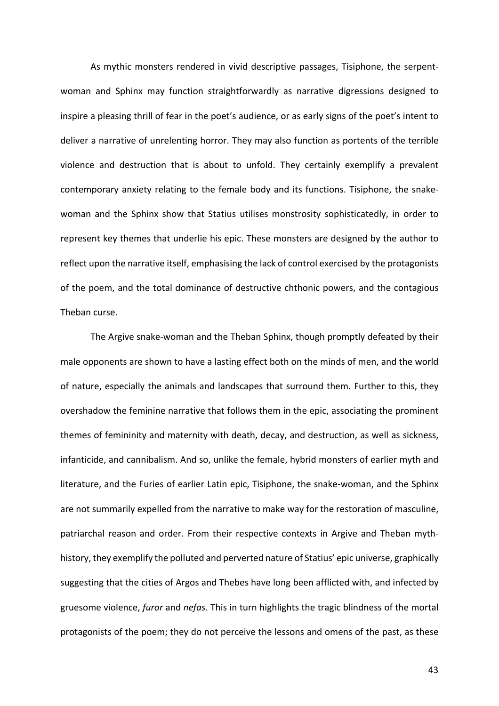As mythic monsters rendered in vivid descriptive passages, Tisiphone, the serpentwoman and Sphinx may function straightforwardly as narrative digressions designed to inspire a pleasing thrill of fear in the poet's audience, or as early signs of the poet's intent to deliver a narrative of unrelenting horror. They may also function as portents of the terrible violence and destruction that is about to unfold. They certainly exemplify a prevalent contemporary anxiety relating to the female body and its functions. Tisiphone, the snakewoman and the Sphinx show that Statius utilises monstrosity sophisticatedly, in order to represent key themes that underlie his epic. These monsters are designed by the author to reflect upon the narrative itself, emphasising the lack of control exercised by the protagonists of the poem, and the total dominance of destructive chthonic powers, and the contagious Theban curse.

The Argive snake-woman and the Theban Sphinx, though promptly defeated by their male opponents are shown to have a lasting effect both on the minds of men, and the world of nature, especially the animals and landscapes that surround them. Further to this, they overshadow the feminine narrative that follows them in the epic, associating the prominent themes of femininity and maternity with death, decay, and destruction, as well as sickness, infanticide, and cannibalism. And so, unlike the female, hybrid monsters of earlier myth and literature, and the Furies of earlier Latin epic, Tisiphone, the snake-woman, and the Sphinx are not summarily expelled from the narrative to make way for the restoration of masculine, patriarchal reason and order. From their respective contexts in Argive and Theban mythhistory, they exemplify the polluted and perverted nature of Statius' epic universe, graphically suggesting that the cities of Argos and Thebes have long been afflicted with, and infected by gruesome violence, *furor* and *nefas*. This in turn highlights the tragic blindness of the mortal protagonists of the poem; they do not perceive the lessons and omens of the past, as these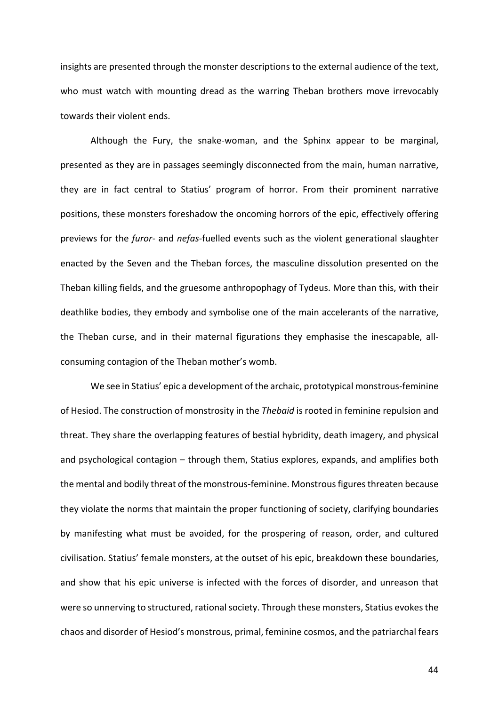insights are presented through the monster descriptions to the external audience of the text, who must watch with mounting dread as the warring Theban brothers move irrevocably towards their violent ends.

Although the Fury, the snake-woman, and the Sphinx appear to be marginal, presented as they are in passages seemingly disconnected from the main, human narrative, they are in fact central to Statius' program of horror. From their prominent narrative positions, these monsters foreshadow the oncoming horrors of the epic, effectively offering previews for the *furor-* and *nefas-fuelled* events such as the violent generational slaughter enacted by the Seven and the Theban forces, the masculine dissolution presented on the Theban killing fields, and the gruesome anthropophagy of Tydeus. More than this, with their deathlike bodies, they embody and symbolise one of the main accelerants of the narrative, the Theban curse, and in their maternal figurations they emphasise the inescapable, allconsuming contagion of the Theban mother's womb.

We see in Statius' epic a development of the archaic, prototypical monstrous-feminine of Hesiod. The construction of monstrosity in the *Thebaid* is rooted in feminine repulsion and threat. They share the overlapping features of bestial hybridity, death imagery, and physical and psychological contagion  $-$  through them, Statius explores, expands, and amplifies both the mental and bodily threat of the monstrous-feminine. Monstrous figures threaten because they violate the norms that maintain the proper functioning of society, clarifying boundaries by manifesting what must be avoided, for the prospering of reason, order, and cultured civilisation. Statius' female monsters, at the outset of his epic, breakdown these boundaries, and show that his epic universe is infected with the forces of disorder, and unreason that were so unnerving to structured, rational society. Through these monsters, Statius evokes the chaos and disorder of Hesiod's monstrous, primal, feminine cosmos, and the patriarchal fears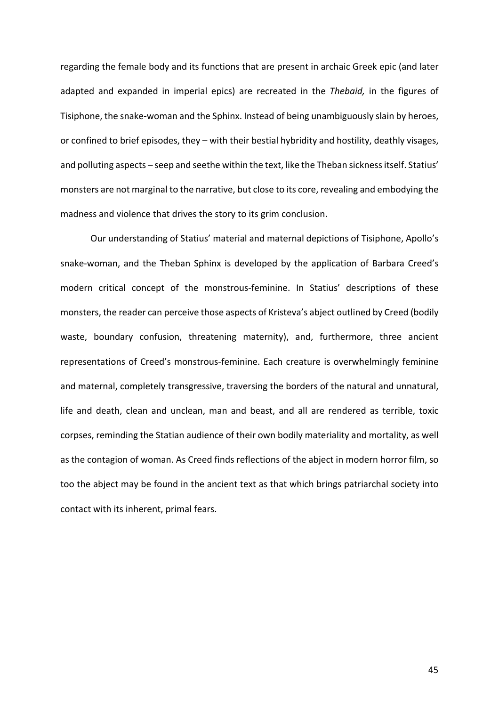regarding the female body and its functions that are present in archaic Greek epic (and later adapted and expanded in imperial epics) are recreated in the *Thebaid*, in the figures of Tisiphone, the snake-woman and the Sphinx. Instead of being unambiguously slain by heroes, or confined to brief episodes, they  $-$  with their bestial hybridity and hostility, deathly visages, and polluting aspects - seep and seethe within the text, like the Theban sickness itself. Statius' monsters are not marginal to the narrative, but close to its core, revealing and embodying the madness and violence that drives the story to its grim conclusion.

Our understanding of Statius' material and maternal depictions of Tisiphone, Apollo's snake-woman, and the Theban Sphinx is developed by the application of Barbara Creed's modern critical concept of the monstrous-feminine. In Statius' descriptions of these monsters, the reader can perceive those aspects of Kristeva's abject outlined by Creed (bodily waste, boundary confusion, threatening maternity), and, furthermore, three ancient representations of Creed's monstrous-feminine. Each creature is overwhelmingly feminine and maternal, completely transgressive, traversing the borders of the natural and unnatural, life and death, clean and unclean, man and beast, and all are rendered as terrible, toxic corpses, reminding the Statian audience of their own bodily materiality and mortality, as well as the contagion of woman. As Creed finds reflections of the abject in modern horror film, so too the abject may be found in the ancient text as that which brings patriarchal society into contact with its inherent, primal fears.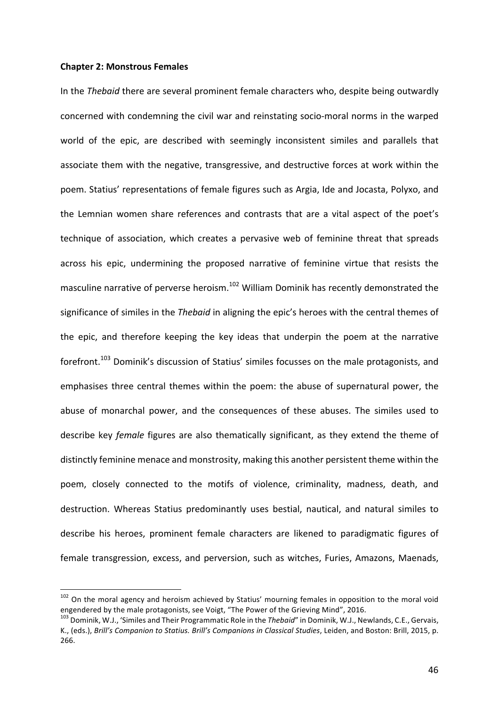# **Chapter 2: Monstrous Females**

In the *Thebaid* there are several prominent female characters who, despite being outwardly concerned with condemning the civil war and reinstating socio-moral norms in the warped world of the epic, are described with seemingly inconsistent similes and parallels that associate them with the negative, transgressive, and destructive forces at work within the poem. Statius' representations of female figures such as Argia, Ide and Jocasta, Polyxo, and the Lemnian women share references and contrasts that are a vital aspect of the poet's technique of association, which creates a pervasive web of feminine threat that spreads across his epic, undermining the proposed narrative of feminine virtue that resists the masculine narrative of perverse heroism.<sup>102</sup> William Dominik has recently demonstrated the significance of similes in the *Thebaid* in aligning the epic's heroes with the central themes of the epic, and therefore keeping the key ideas that underpin the poem at the narrative forefront.<sup>103</sup> Dominik's discussion of Statius' similes focusses on the male protagonists, and emphasises three central themes within the poem: the abuse of supernatural power, the abuse of monarchal power, and the consequences of these abuses. The similes used to describe key *female* figures are also thematically significant, as they extend the theme of distinctly feminine menace and monstrosity, making this another persistent theme within the poem, closely connected to the motifs of violence, criminality, madness, death, and destruction. Whereas Statius predominantly uses bestial, nautical, and natural similes to describe his heroes, prominent female characters are likened to paradigmatic figures of female transgression, excess, and perversion, such as witches, Furies, Amazons, Maenads,

 $102$  On the moral agency and heroism achieved by Statius' mourning females in opposition to the moral void engendered by the male protagonists, see Voigt, "The Power of the Grieving Mind", 2016.<br><sup>103</sup> Dominik, W.J., 'Similes and Their Programmatic Role in the *Thebaid*" in Dominik, W.J., Newlands, C.E., Gervais,

K., (eds.), *Brill's Companion to Statius. Brill's Companions in Classical Studies*, Leiden, and Boston: Brill, 2015, p. 266.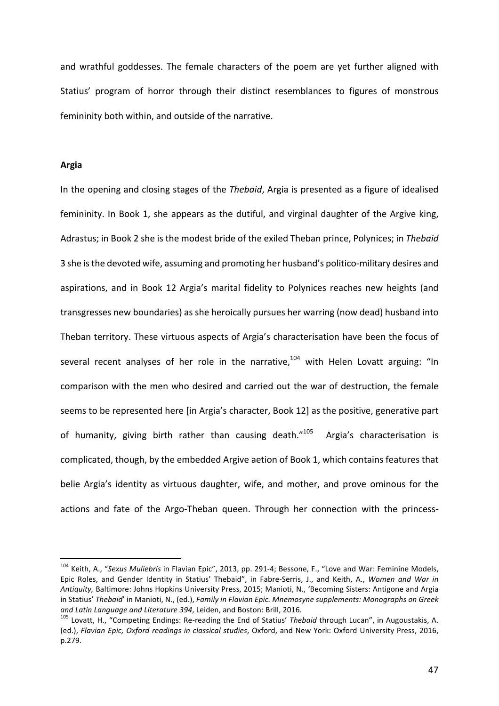and wrathful goddesses. The female characters of the poem are yet further aligned with Statius' program of horror through their distinct resemblances to figures of monstrous femininity both within, and outside of the narrative.

# **Argia**

In the opening and closing stages of the *Thebaid*, Argia is presented as a figure of idealised femininity. In Book 1, she appears as the dutiful, and virginal daughter of the Argive king, Adrastus; in Book 2 she is the modest bride of the exiled Theban prince, Polynices; in Thebaid 3 she is the devoted wife, assuming and promoting her husband's politico-military desires and aspirations, and in Book 12 Argia's marital fidelity to Polynices reaches new heights (and transgresses new boundaries) as she heroically pursues her warring (now dead) husband into Theban territory. These virtuous aspects of Argia's characterisation have been the focus of several recent analyses of her role in the narrative, $104$  with Helen Lovatt arguing: "In comparison with the men who desired and carried out the war of destruction, the female seems to be represented here [in Argia's character, Book 12] as the positive, generative part of humanity, giving birth rather than causing death." $105$  Argia's characterisation is complicated, though, by the embedded Argive aetion of Book 1, which contains features that belie Argia's identity as virtuous daughter, wife, and mother, and prove ominous for the actions and fate of the Argo-Theban queen. Through her connection with the princess-

<sup>&</sup>lt;sup>104</sup> Keith, A., "Sexus Muliebris in Flavian Epic", 2013, pp. 291-4; Bessone, F., "Love and War: Feminine Models, Epic Roles, and Gender Identity in Statius' Thebaid", in Fabre-Serris, J., and Keith, A., *Women and War in* Antiquity, Baltimore: Johns Hopkins University Press, 2015; Manioti, N., 'Becoming Sisters: Antigone and Argia in Statius' Thebaid' in Manioti, N., (ed.), *Family in Flavian Epic. Mnemosyne supplements: Monographs on Greek* and Latin Language and Literature 394, Leiden, and Boston: Brill, 2016.<br><sup>105</sup> Lovatt, H., "Competing Endings: Re-reading the End of Statius' *Thebaid* through Lucan", in Augoustakis, A.

<sup>(</sup>ed.), Flavian Epic, Oxford readings in classical studies, Oxford, and New York: Oxford University Press, 2016, p.279.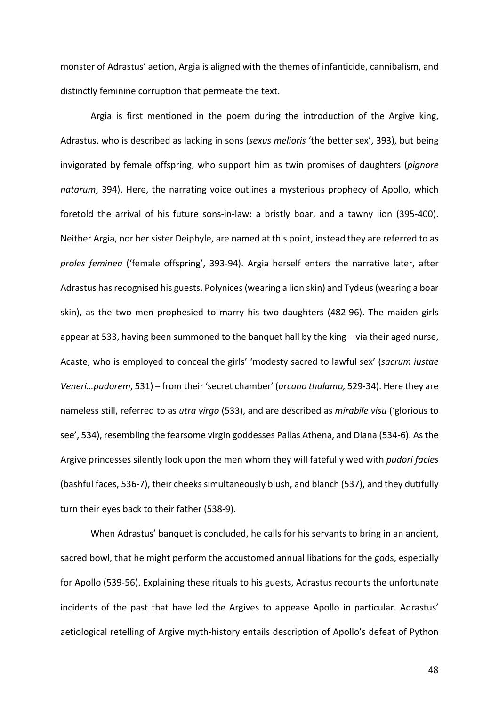monster of Adrastus' aetion, Argia is aligned with the themes of infanticide, cannibalism, and distinctly feminine corruption that permeate the text.

Argia is first mentioned in the poem during the introduction of the Argive king, Adrastus, who is described as lacking in sons (*sexus melioris* 'the better sex', 393), but being invigorated by female offspring, who support him as twin promises of daughters (pignore natarum, 394). Here, the narrating voice outlines a mysterious prophecy of Apollo, which foretold the arrival of his future sons-in-law: a bristly boar, and a tawny lion (395-400). Neither Argia, nor her sister Deiphyle, are named at this point, instead they are referred to as proles feminea ('female offspring', 393-94). Argia herself enters the narrative later, after Adrastus has recognised his guests, Polynices (wearing a lion skin) and Tydeus (wearing a boar skin), as the two men prophesied to marry his two daughters (482-96). The maiden girls appear at 533, having been summoned to the banquet hall by the king  $-$  via their aged nurse, Acaste, who is employed to conceal the girls' 'modesty sacred to lawful sex' (sacrum iustae Veneri...pudorem, 531) – from their 'secret chamber' (*arcano thalamo*, 529-34). Here they are nameless still, referred to as *utra virgo* (533), and are described as *mirabile visu* ('glorious to see', 534), resembling the fearsome virgin goddesses Pallas Athena, and Diana (534-6). As the Argive princesses silently look upon the men whom they will fatefully wed with *pudori facies* (bashful faces, 536-7), their cheeks simultaneously blush, and blanch (537), and they dutifully turn their eyes back to their father (538-9).

When Adrastus' banquet is concluded, he calls for his servants to bring in an ancient, sacred bowl, that he might perform the accustomed annual libations for the gods, especially for Apollo (539-56). Explaining these rituals to his guests, Adrastus recounts the unfortunate incidents of the past that have led the Argives to appease Apollo in particular. Adrastus' aetiological retelling of Argive myth-history entails description of Apollo's defeat of Python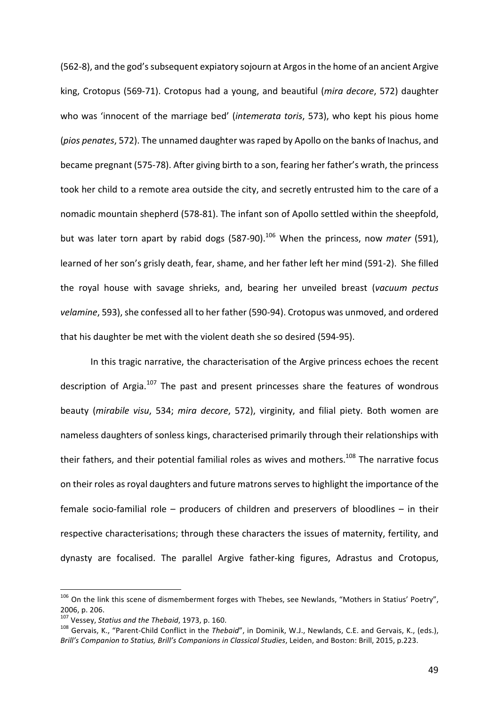(562-8), and the god's subsequent expiatory sojourn at Argos in the home of an ancient Argive king, Crotopus (569-71). Crotopus had a young, and beautiful (*mira decore*, 572) daughter who was 'innocent of the marriage bed' (*intemerata toris*, 573), who kept his pious home (*pios penates*, 572). The unnamed daughter was raped by Apollo on the banks of Inachus, and became pregnant (575-78). After giving birth to a son, fearing her father's wrath, the princess took her child to a remote area outside the city, and secretly entrusted him to the care of a nomadic mountain shepherd (578-81). The infant son of Apollo settled within the sheepfold, but was later torn apart by rabid dogs (587-90).<sup>106</sup> When the princess, now *mater* (591), learned of her son's grisly death, fear, shame, and her father left her mind (591-2). She filled the royal house with savage shrieks, and, bearing her unveiled breast (vacuum pectus *velamine*, 593), she confessed all to her father (590-94). Crotopus was unmoved, and ordered that his daughter be met with the violent death she so desired (594-95).

In this tragic narrative, the characterisation of the Argive princess echoes the recent description of Argia.<sup>107</sup> The past and present princesses share the features of wondrous beauty (*mirabile visu*, 534; *mira decore*, 572), virginity, and filial piety. Both women are nameless daughters of sonless kings, characterised primarily through their relationships with their fathers, and their potential familial roles as wives and mothers.<sup>108</sup> The narrative focus on their roles as royal daughters and future matrons serves to highlight the importance of the female socio-familial role  $-$  producers of children and preservers of bloodlines  $-$  in their respective characterisations; through these characters the issues of maternity, fertility, and dynasty are focalised. The parallel Argive father-king figures, Adrastus and Crotopus,

 $106$  On the link this scene of dismemberment forges with Thebes, see Newlands, "Mothers in Statius' Poetry", 2006, p. 206.<br><sup>107</sup> Vessey, *Statius and the Thebaid*, 1973, p. 160.

<sup>&</sup>lt;sup>108</sup> Gervais, K., "Parent-Child Conflict in the *Thebaid*", in Dominik, W.J., Newlands, C.E. and Gervais, K., (eds.), *Brill's* Companion to Statius, Brill's Companions in Classical Studies, Leiden, and Boston: Brill, 2015, p.223.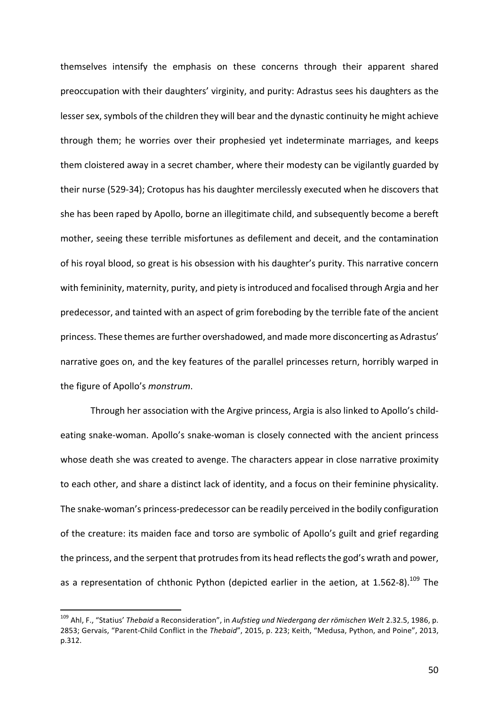themselves intensify the emphasis on these concerns through their apparent shared preoccupation with their daughters' virginity, and purity: Adrastus sees his daughters as the lesser sex, symbols of the children they will bear and the dynastic continuity he might achieve through them; he worries over their prophesied yet indeterminate marriages, and keeps them cloistered away in a secret chamber, where their modesty can be vigilantly guarded by their nurse (529-34); Crotopus has his daughter mercilessly executed when he discovers that she has been raped by Apollo, borne an illegitimate child, and subsequently become a bereft mother, seeing these terrible misfortunes as defilement and deceit, and the contamination of his royal blood, so great is his obsession with his daughter's purity. This narrative concern with femininity, maternity, purity, and piety is introduced and focalised through Argia and her predecessor, and tainted with an aspect of grim foreboding by the terrible fate of the ancient princess. These themes are further overshadowed, and made more disconcerting as Adrastus' narrative goes on, and the key features of the parallel princesses return, horribly warped in the figure of Apollo's *monstrum*.

Through her association with the Argive princess, Argia is also linked to Apollo's childeating snake-woman. Apollo's snake-woman is closely connected with the ancient princess whose death she was created to avenge. The characters appear in close narrative proximity to each other, and share a distinct lack of identity, and a focus on their feminine physicality. The snake-woman's princess-predecessor can be readily perceived in the bodily configuration of the creature: its maiden face and torso are symbolic of Apollo's guilt and grief regarding the princess, and the serpent that protrudes from its head reflects the god's wrath and power, as a representation of chthonic Python (depicted earlier in the aetion, at 1.562-8).<sup>109</sup> The

<sup>&</sup>lt;sup>109</sup> Ahl, F., "Statius' *Thebaid* a Reconsideration", in *Aufstieg und Niedergang der römischen Welt* 2.32.5, 1986, p. 2853; Gervais, "Parent-Child Conflict in the *Thebaid"*, 2015, p. 223; Keith, "Medusa, Python, and Poine", 2013, p.312.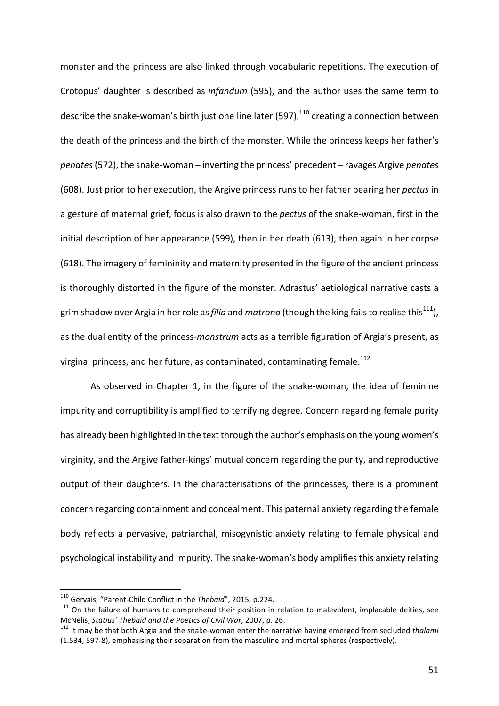monster and the princess are also linked through vocabularic repetitions. The execution of Crotopus' daughter is described as *infandum* (595), and the author uses the same term to describe the snake-woman's birth just one line later  $(597)$ , $^{110}$  creating a connection between the death of the princess and the birth of the monster. While the princess keeps her father's *penates* (572), the snake-woman – inverting the princess' precedent – ravages Argive *penates* (608). Just prior to her execution, the Argive princess runs to her father bearing her *pectus* in a gesture of maternal grief, focus is also drawn to the *pectus* of the snake-woman, first in the initial description of her appearance (599), then in her death (613), then again in her corpse (618). The imagery of femininity and maternity presented in the figure of the ancient princess is thoroughly distorted in the figure of the monster. Adrastus' aetiological narrative casts a grim shadow over Argia in her role as *filia* and *matrona* (though the king fails to realise this<sup>111</sup>), as the dual entity of the princess-*monstrum* acts as a terrible figuration of Argia's present, as virginal princess, and her future, as contaminated, contaminating female.<sup>112</sup>

As observed in Chapter 1, in the figure of the snake-woman, the idea of feminine impurity and corruptibility is amplified to terrifying degree. Concern regarding female purity has already been highlighted in the text through the author's emphasis on the young women's virginity, and the Argive father-kings' mutual concern regarding the purity, and reproductive output of their daughters. In the characterisations of the princesses, there is a prominent concern regarding containment and concealment. This paternal anxiety regarding the female body reflects a pervasive, patriarchal, misogynistic anxiety relating to female physical and psychological instability and impurity. The snake-woman's body amplifies this anxiety relating

<sup>&</sup>lt;sup>110</sup> Gervais, "Parent-Child Conflict in the *Thebaid"*, 2015, p.224.<br><sup>111</sup> On the failure of humans to comprehend their position in relation to malevolent, implacable deities, see McNelis, *Statius' Thebaid and the Poetics of Civil War*, 2007, p. 26.<br><sup>112</sup> It may be that both Argia and the snake-woman enter the narrative having emerged from secluded *thalami* 

<sup>(1.534, 597-8),</sup> emphasising their separation from the masculine and mortal spheres (respectively).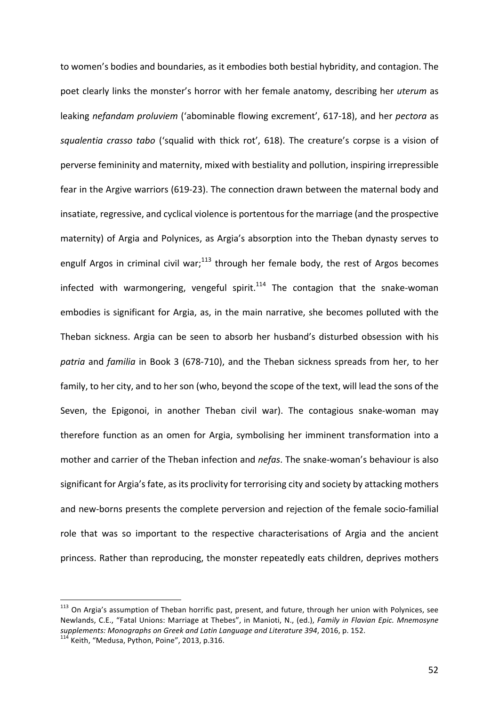to women's bodies and boundaries, as it embodies both bestial hybridity, and contagion. The poet clearly links the monster's horror with her female anatomy, describing her *uterum* as leaking *nefandam proluviem* ('abominable flowing excrement', 617-18), and her *pectora* as squalentia crasso tabo ('squalid with thick rot', 618). The creature's corpse is a vision of perverse femininity and maternity, mixed with bestiality and pollution, inspiring irrepressible fear in the Argive warriors (619-23). The connection drawn between the maternal body and insatiate, regressive, and cyclical violence is portentous for the marriage (and the prospective maternity) of Argia and Polynices, as Argia's absorption into the Theban dynasty serves to engulf Argos in criminal civil war;<sup>113</sup> through her female body, the rest of Argos becomes infected with warmongering, vengeful spirit.<sup>114</sup> The contagion that the snake-woman embodies is significant for Argia, as, in the main narrative, she becomes polluted with the Theban sickness. Argia can be seen to absorb her husband's disturbed obsession with his *patria* and *familia* in Book 3 (678-710), and the Theban sickness spreads from her, to her family, to her city, and to her son (who, beyond the scope of the text, will lead the sons of the Seven, the Epigonoi, in another Theban civil war). The contagious snake-woman may therefore function as an omen for Argia, symbolising her imminent transformation into a mother and carrier of the Theban infection and *nefas*. The snake-woman's behaviour is also significant for Argia's fate, as its proclivity for terrorising city and society by attacking mothers and new-borns presents the complete perversion and rejection of the female socio-familial role that was so important to the respective characterisations of Argia and the ancient princess. Rather than reproducing, the monster repeatedly eats children, deprives mothers

 $113$  On Argia's assumption of Theban horrific past, present, and future, through her union with Polynices, see Newlands, C.E., "Fatal Unions: Marriage at Thebes", in Manioti, N., (ed.), *Family in Flavian Epic. Mnemosyne supplements: Monographs on Greek and Latin Language and Literature 394, 2016, p. 152.* <sup>114</sup> Keith, "Medusa, Python, Poine", 2013, p.316.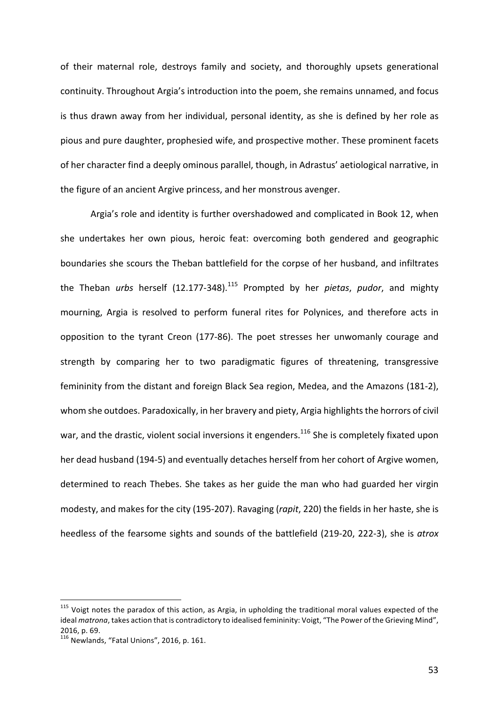of their maternal role, destroys family and society, and thoroughly upsets generational continuity. Throughout Argia's introduction into the poem, she remains unnamed, and focus is thus drawn away from her individual, personal identity, as she is defined by her role as pious and pure daughter, prophesied wife, and prospective mother. These prominent facets of her character find a deeply ominous parallel, though, in Adrastus' aetiological narrative, in the figure of an ancient Argive princess, and her monstrous avenger.

Argia's role and identity is further overshadowed and complicated in Book 12, when she undertakes her own pious, heroic feat: overcoming both gendered and geographic boundaries she scours the Theban battlefield for the corpse of her husband, and infiltrates the Theban *urbs* herself (12.177-348).<sup>115</sup> Prompted by her *pietas, pudor*, and mighty mourning, Argia is resolved to perform funeral rites for Polynices, and therefore acts in opposition to the tyrant Creon (177-86). The poet stresses her unwomanly courage and strength by comparing her to two paradigmatic figures of threatening, transgressive femininity from the distant and foreign Black Sea region, Medea, and the Amazons (181-2), whom she outdoes. Paradoxically, in her bravery and piety, Argia highlights the horrors of civil war, and the drastic, violent social inversions it engenders.<sup>116</sup> She is completely fixated upon her dead husband (194-5) and eventually detaches herself from her cohort of Argive women, determined to reach Thebes. She takes as her guide the man who had guarded her virgin modesty, and makes for the city (195-207). Ravaging (rapit, 220) the fields in her haste, she is heedless of the fearsome sights and sounds of the battlefield (219-20, 222-3), she is *atrox* 

 $115$  Voigt notes the paradox of this action, as Argia, in upholding the traditional moral values expected of the ideal *matrona*, takes action that is contradictory to idealised femininity: Voigt, "The Power of the Grieving Mind", 2016, p. 69.

 $116$  Newlands, "Fatal Unions", 2016, p. 161.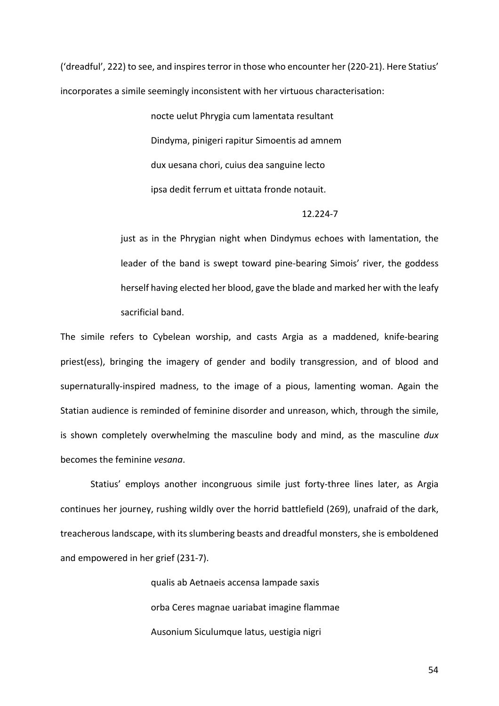('dreadful', 222) to see, and inspires terror in those who encounter her (220-21). Here Statius' incorporates a simile seemingly inconsistent with her virtuous characterisation:

> nocte uelut Phrygia cum lamentata resultant Dindyma, pinigeri rapitur Simoentis ad amnem dux uesana chori, cuius dea sanguine lecto ipsa dedit ferrum et uittata fronde notauit.

### 12.224-7

just as in the Phrygian night when Dindymus echoes with lamentation, the leader of the band is swept toward pine-bearing Simois' river, the goddess herself having elected her blood, gave the blade and marked her with the leafy sacrificial band.

The simile refers to Cybelean worship, and casts Argia as a maddened, knife-bearing priest(ess), bringing the imagery of gender and bodily transgression, and of blood and supernaturally-inspired madness, to the image of a pious, lamenting woman. Again the Statian audience is reminded of feminine disorder and unreason, which, through the simile, is shown completely overwhelming the masculine body and mind, as the masculine *dux* becomes the feminine *vesana*. 

Statius' employs another incongruous simile just forty-three lines later, as Argia continues her journey, rushing wildly over the horrid battlefield (269), unafraid of the dark, treacherous landscape, with its slumbering beasts and dreadful monsters, she is emboldened and empowered in her grief (231-7).

> qualis ab Aetnaeis accensa lampade saxis orba Ceres magnae uariabat imagine flammae Ausonium Siculumque latus, uestigia nigri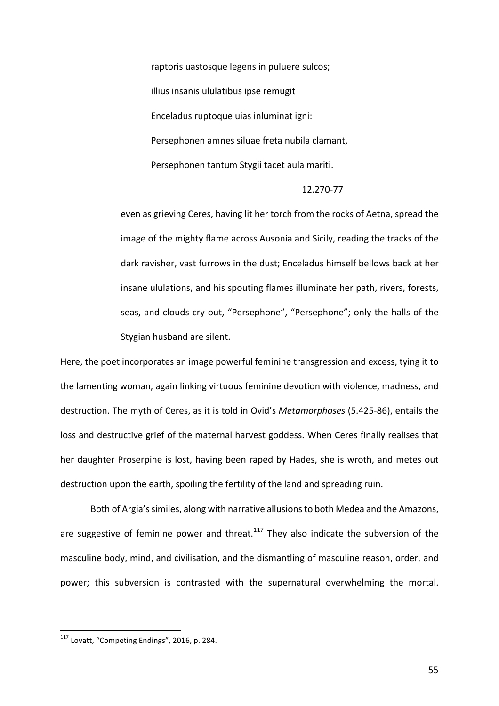raptoris uastosque legens in puluere sulcos; illius insanis ululatibus ipse remugit Enceladus ruptoque uias inluminat igni: Persephonen amnes siluae freta nubila clamant, Persephonen tantum Stygii tacet aula mariti.

#### 12.270-77

even as grieving Ceres, having lit her torch from the rocks of Aetna, spread the image of the mighty flame across Ausonia and Sicily, reading the tracks of the dark ravisher, vast furrows in the dust; Enceladus himself bellows back at her insane ululations, and his spouting flames illuminate her path, rivers, forests, seas, and clouds cry out, "Persephone", "Persephone"; only the halls of the Stygian husband are silent.

Here, the poet incorporates an image powerful feminine transgression and excess, tying it to the lamenting woman, again linking virtuous feminine devotion with violence, madness, and destruction. The myth of Ceres, as it is told in Ovid's *Metamorphoses* (5.425-86), entails the loss and destructive grief of the maternal harvest goddess. When Ceres finally realises that her daughter Proserpine is lost, having been raped by Hades, she is wroth, and metes out destruction upon the earth, spoiling the fertility of the land and spreading ruin.

Both of Argia's similes, along with narrative allusions to both Medea and the Amazons, are suggestive of feminine power and threat.<sup>117</sup> They also indicate the subversion of the masculine body, mind, and civilisation, and the dismantling of masculine reason, order, and power; this subversion is contrasted with the supernatural overwhelming the mortal.

 $117$  Lovatt, "Competing Endings", 2016, p. 284.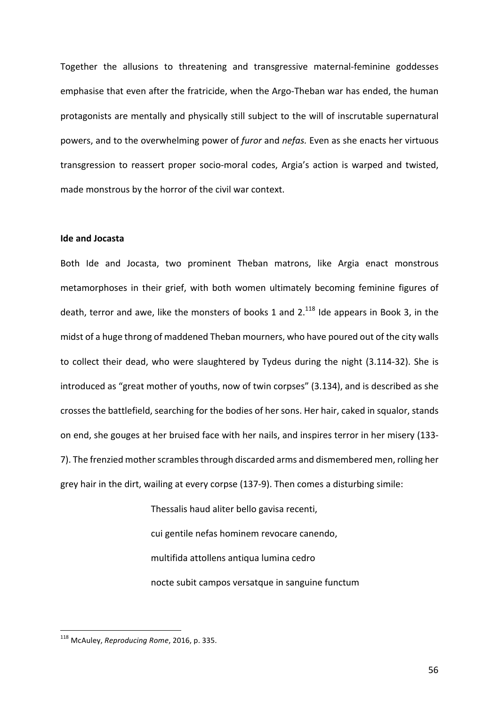Together the allusions to threatening and transgressive maternal-feminine goddesses emphasise that even after the fratricide, when the Argo-Theban war has ended, the human protagonists are mentally and physically still subject to the will of inscrutable supernatural powers, and to the overwhelming power of *furor* and *nefas*. Even as she enacts her virtuous transgression to reassert proper socio-moral codes, Argia's action is warped and twisted, made monstrous by the horror of the civil war context.

# **Ide and Jocasta**

Both Ide and Jocasta, two prominent Theban matrons, like Argia enact monstrous metamorphoses in their grief, with both women ultimately becoming feminine figures of death, terror and awe, like the monsters of books 1 and  $2.^{118}$  Ide appears in Book 3, in the midst of a huge throng of maddened Theban mourners, who have poured out of the city walls to collect their dead, who were slaughtered by Tydeus during the night (3.114-32). She is introduced as "great mother of youths, now of twin corpses" (3.134), and is described as she crosses the battlefield, searching for the bodies of her sons. Her hair, caked in squalor, stands on end, she gouges at her bruised face with her nails, and inspires terror in her misery (133-7). The frenzied mother scrambles through discarded arms and dismembered men, rolling her grey hair in the dirt, wailing at every corpse (137-9). Then comes a disturbing simile:

> Thessalis haud aliter bello gavisa recenti, cui gentile nefas hominem revocare canendo, multifida attollens antiqua lumina cedro nocte subit campos versatque in sanguine functum

<sup>118</sup> McAuley, *Reproducing Rome*, 2016, p. 335.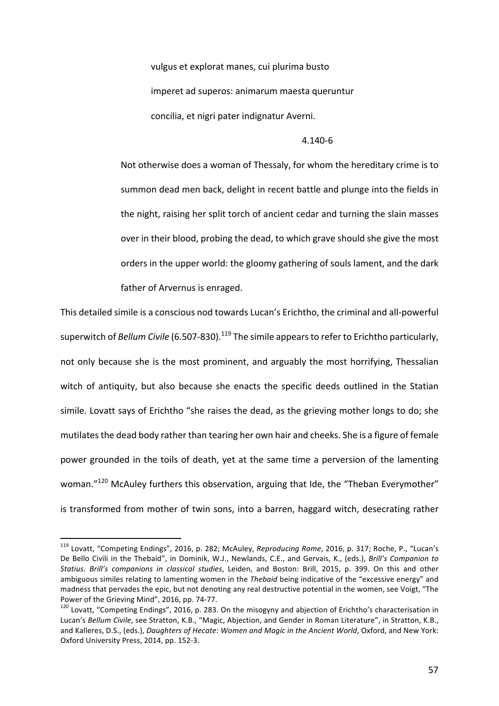vulgus et explorat manes, cui plurima busto imperet ad superos: animarum maesta queruntur concilia, et nigri pater indignatur Averni.

#### 4.140-6

Not otherwise does a woman of Thessaly, for whom the hereditary crime is to summon dead men back, delight in recent battle and plunge into the fields in the night, raising her split torch of ancient cedar and turning the slain masses over in their blood, probing the dead, to which grave should she give the most orders in the upper world: the gloomy gathering of souls lament, and the dark father of Arvernus is enraged.

This detailed simile is a conscious nod towards Lucan's Erichtho, the criminal and all-powerful superwitch of *Bellum Civile* (6.507-830).<sup>119</sup> The simile appears to refer to Erichtho particularly, not only because she is the most prominent, and arguably the most horrifying, Thessalian witch of antiquity, but also because she enacts the specific deeds outlined in the Statian simile. Lovatt says of Erichtho "she raises the dead, as the grieving mother longs to do; she mutilates the dead body rather than tearing her own hair and cheeks. She is a figure of female power grounded in the toils of death, yet at the same time a perversion of the lamenting woman. $"^{120}$  McAuley furthers this observation, arguing that Ide, the "Theban Everymother" is transformed from mother of twin sons, into a barren, haggard witch, desecrating rather

<sup>&</sup>lt;sup>119</sup> Lovatt, "Competing Endings", 2016, p. 282; McAuley, *Reproducing Rome*, 2016, p. 317; Roche, P., "Lucan's De Bello Civili in the Thebaid", in Dominik, W.J., Newlands, C.E., and Gervais, K., (eds.), *Brill's Companion to Statius. Brill's companions in classical studies*, Leiden, and Boston: Brill, 2015, p. 399. On this and other ambiguous similes relating to lamenting women in the *Thebaid* being indicative of the "excessive energy" and madness that pervades the epic, but not denoting any real destructive potential in the women, see Voigt, "The

Power of the Grieving Mind", 2016, pp. 74-77.<br><sup>120</sup> Lovatt, "Competing Endings", 2016, p. 283. On the misogyny and abjection of Erichtho's characterisation in Lucan's Bellum Civile, see Stratton, K.B., "Magic, Abjection, and Gender in Roman Literature", in Stratton, K.B., and Kalleres, D.S., (eds.), *Daughters of Hecate: Women and Magic in the Ancient World*, Oxford, and New York: Oxford University Press, 2014, pp. 152-3.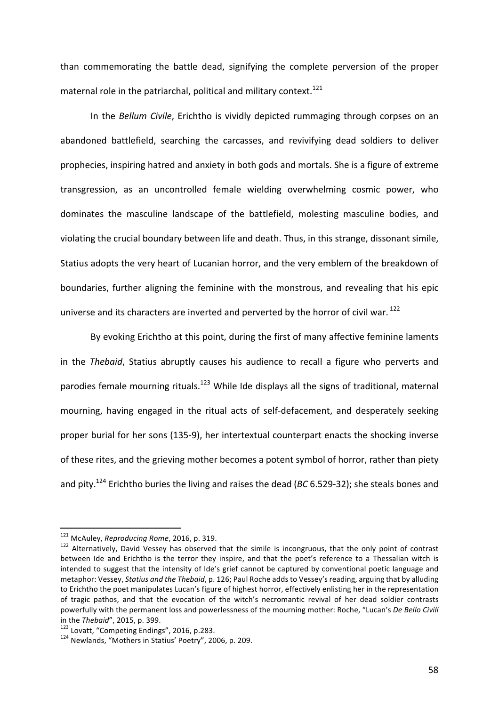than commemorating the battle dead, signifying the complete perversion of the proper maternal role in the patriarchal, political and military context.<sup>121</sup>

In the *Bellum Civile*, Erichtho is vividly depicted rummaging through corpses on an abandoned battlefield, searching the carcasses, and revivifying dead soldiers to deliver prophecies, inspiring hatred and anxiety in both gods and mortals. She is a figure of extreme transgression, as an uncontrolled female wielding overwhelming cosmic power, who dominates the masculine landscape of the battlefield, molesting masculine bodies, and violating the crucial boundary between life and death. Thus, in this strange, dissonant simile, Statius adopts the very heart of Lucanian horror, and the very emblem of the breakdown of boundaries, further aligning the feminine with the monstrous, and revealing that his epic universe and its characters are inverted and perverted by the horror of civil war.  $^{122}$ 

By evoking Erichtho at this point, during the first of many affective feminine laments in the *Thebaid*, Statius abruptly causes his audience to recall a figure who perverts and parodies female mourning rituals.<sup>123</sup> While Ide displays all the signs of traditional, maternal mourning, having engaged in the ritual acts of self-defacement, and desperately seeking proper burial for her sons (135-9), her intertextual counterpart enacts the shocking inverse of these rites, and the grieving mother becomes a potent symbol of horror, rather than piety and pity.<sup>124</sup> Erichtho buries the living and raises the dead (*BC* 6.529-32); she steals bones and

<sup>&</sup>lt;sup>121</sup> McAuley, *Reproducing Rome*, 2016, p. 319.<br><sup>122</sup> Alternatively, David Vessey has observed that the simile is incongruous, that the only point of contrast between Ide and Erichtho is the terror they inspire, and that the poet's reference to a Thessalian witch is intended to suggest that the intensity of Ide's grief cannot be captured by conventional poetic language and metaphor: Vessey, *Statius and the Thebaid*, p. 126; Paul Roche adds to Vessey's reading, arguing that by alluding to Erichtho the poet manipulates Lucan's figure of highest horror, effectively enlisting her in the representation of tragic pathos, and that the evocation of the witch's necromantic revival of her dead soldier contrasts powerfully with the permanent loss and powerlessness of the mourning mother: Roche, "Lucan's De Bello Civili in the *Thebaid"*, 2015, p. 399.<br><sup>123</sup> Lovatt, "Competing Endings", 2016, p.283.<br><sup>124</sup> Newlands, "Mothers in Statius' Poetry", 2006, p. 209.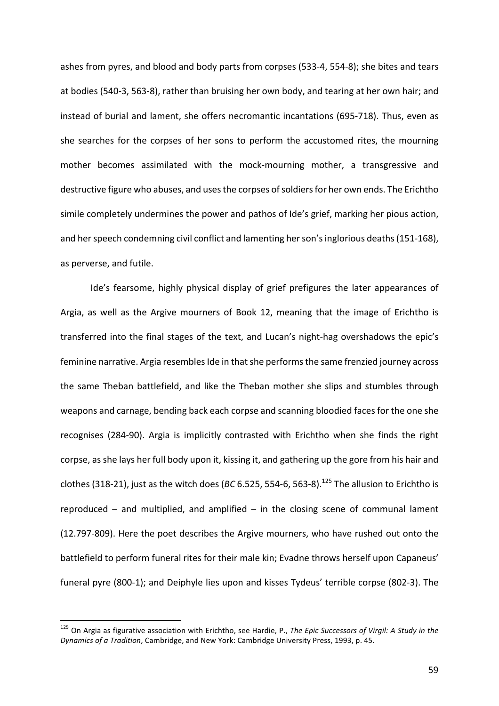ashes from pyres, and blood and body parts from corpses (533-4, 554-8); she bites and tears at bodies (540-3, 563-8), rather than bruising her own body, and tearing at her own hair; and instead of burial and lament, she offers necromantic incantations (695-718). Thus, even as she searches for the corpses of her sons to perform the accustomed rites, the mourning mother becomes assimilated with the mock-mourning mother, a transgressive and destructive figure who abuses, and uses the corpses of soldiers for her own ends. The Erichtho simile completely undermines the power and pathos of Ide's grief, marking her pious action, and her speech condemning civil conflict and lamenting her son's inglorious deaths (151-168), as perverse, and futile.

Ide's fearsome, highly physical display of grief prefigures the later appearances of Argia, as well as the Argive mourners of Book 12, meaning that the image of Erichtho is transferred into the final stages of the text, and Lucan's night-hag overshadows the epic's feminine narrative. Argia resembles Ide in that she performs the same frenzied journey across the same Theban battlefield, and like the Theban mother she slips and stumbles through weapons and carnage, bending back each corpse and scanning bloodied faces for the one she recognises (284-90). Argia is implicitly contrasted with Erichtho when she finds the right corpse, as she lays her full body upon it, kissing it, and gathering up the gore from his hair and clothes (318-21), just as the witch does (*BC* 6.525, 554-6, 563-8).<sup>125</sup> The allusion to Erichtho is reproduced  $-$  and multiplied, and amplified  $-$  in the closing scene of communal lament (12.797-809). Here the poet describes the Argive mourners, who have rushed out onto the battlefield to perform funeral rites for their male kin; Evadne throws herself upon Capaneus' funeral pyre (800-1); and Deiphyle lies upon and kisses Tydeus' terrible corpse (802-3). The

<sup>&</sup>lt;sup>125</sup> On Argia as figurative association with Erichtho, see Hardie, P., The Epic Successors of Virgil: A Study in the *Dynamics of a Tradition*, Cambridge, and New York: Cambridge University Press, 1993, p. 45.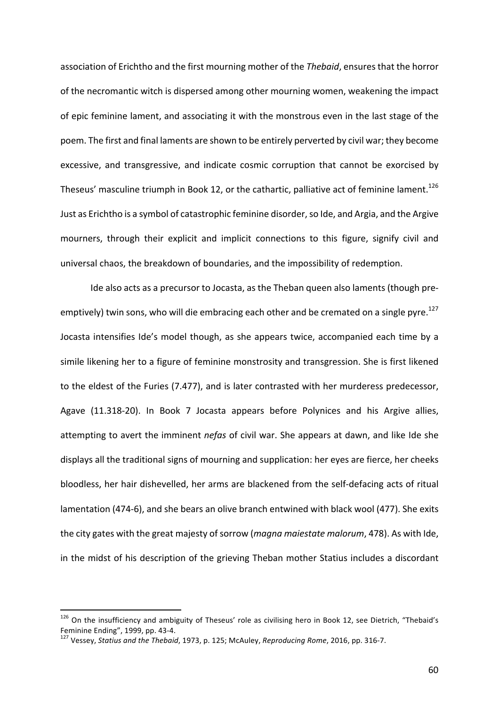association of Erichtho and the first mourning mother of the *Thebaid*, ensures that the horror of the necromantic witch is dispersed among other mourning women, weakening the impact of epic feminine lament, and associating it with the monstrous even in the last stage of the poem. The first and final laments are shown to be entirely perverted by civil war; they become excessive, and transgressive, and indicate cosmic corruption that cannot be exorcised by Theseus' masculine triumph in Book 12, or the cathartic, palliative act of feminine lament.<sup>126</sup> Just as Erichtho is a symbol of catastrophic feminine disorder, so Ide, and Argia, and the Argive mourners, through their explicit and implicit connections to this figure, signify civil and universal chaos, the breakdown of boundaries, and the impossibility of redemption.

Ide also acts as a precursor to Jocasta, as the Theban queen also laments (though preemptively) twin sons, who will die embracing each other and be cremated on a single pyre.<sup>127</sup> Jocasta intensifies Ide's model though, as she appears twice, accompanied each time by a simile likening her to a figure of feminine monstrosity and transgression. She is first likened to the eldest of the Furies (7.477), and is later contrasted with her murderess predecessor, Agave (11.318-20). In Book 7 Jocasta appears before Polynices and his Argive allies, attempting to avert the imminent *nefas* of civil war. She appears at dawn, and like Ide she displays all the traditional signs of mourning and supplication: her eyes are fierce, her cheeks bloodless, her hair dishevelled, her arms are blackened from the self-defacing acts of ritual lamentation (474-6), and she bears an olive branch entwined with black wool (477). She exits the city gates with the great majesty of sorrow (*magna maiestate malorum*, 478). As with Ide, in the midst of his description of the grieving Theban mother Statius includes a discordant

 $126$  On the insufficiency and ambiguity of Theseus' role as civilising hero in Book 12, see Dietrich, "Thebaid's Feminine Ending", 1999, pp. 43-4.<br><sup>127</sup> Vessev, *Statius and the Thebaid*, 1973, p. 125; McAuley, *Reproducing Rome*, 2016, pp. 316-7.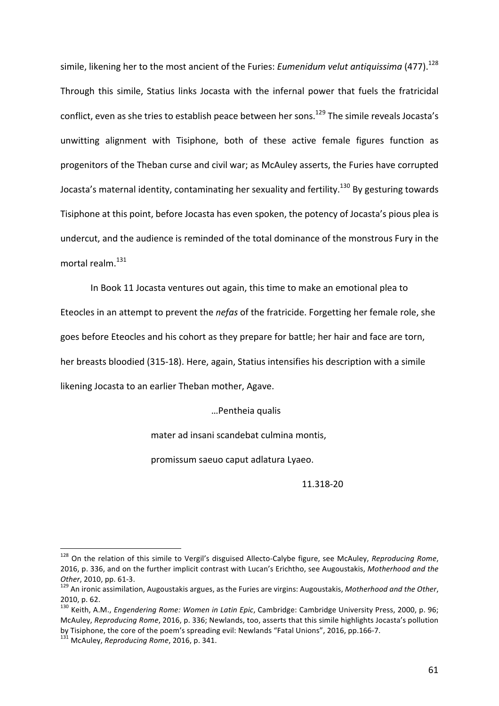simile, likening her to the most ancient of the Furies: *Eumenidum velut antiquissima* (477).<sup>128</sup> Through this simile. Statius links Jocasta with the infernal power that fuels the fratricidal conflict, even as she tries to establish peace between her sons.<sup>129</sup> The simile reveals Jocasta's unwitting alignment with Tisiphone, both of these active female figures function as progenitors of the Theban curse and civil war; as McAuley asserts, the Furies have corrupted Jocasta's maternal identity, contaminating her sexuality and fertility.<sup>130</sup> By gesturing towards Tisiphone at this point, before Jocasta has even spoken, the potency of Jocasta's pious plea is undercut, and the audience is reminded of the total dominance of the monstrous Fury in the mortal realm.<sup>131</sup>

In Book 11 Jocasta ventures out again, this time to make an emotional plea to

Eteocles in an attempt to prevent the *nefas* of the fratricide. Forgetting her female role, she

goes before Eteocles and his cohort as they prepare for battle; her hair and face are torn,

her breasts bloodied (315-18). Here, again, Statius intensifies his description with a simile

likening Jocasta to an earlier Theban mother, Agave.

…Pentheia qualis

mater ad insani scandebat culmina montis,

promissum saeuo caput adlatura Lyaeo.

11.318-20

<sup>&</sup>lt;sup>128</sup> On the relation of this simile to Vergil's disguised Allecto-Calybe figure, see McAuley, *Reproducing Rome*, 2016, p. 336, and on the further implicit contrast with Lucan's Erichtho, see Augoustakis, Motherhood and the

Other, 2010, pp. 61-3.<br><sup>129</sup> An ironic assimilation, Augoustakis argues, as the Furies are virgins: Augoustakis, Motherhood and the Other, 2010, p. 62.

<sup>&</sup>lt;sup>130</sup> Keith. A.M.. *Enaenderina Rome: Women in Latin Epic*, Cambridge: Cambridge University Press, 2000, p. 96; McAuley, *Reproducing Rome*, 2016, p. 336; Newlands, too, asserts that this simile highlights Jocasta's pollution by Tisiphone, the core of the poem's spreading evil: Newlands "Fatal Unions", 2016, pp.166-7.<br><sup>131</sup> McAuley, *Reproducing Rome*, 2016, p. 341.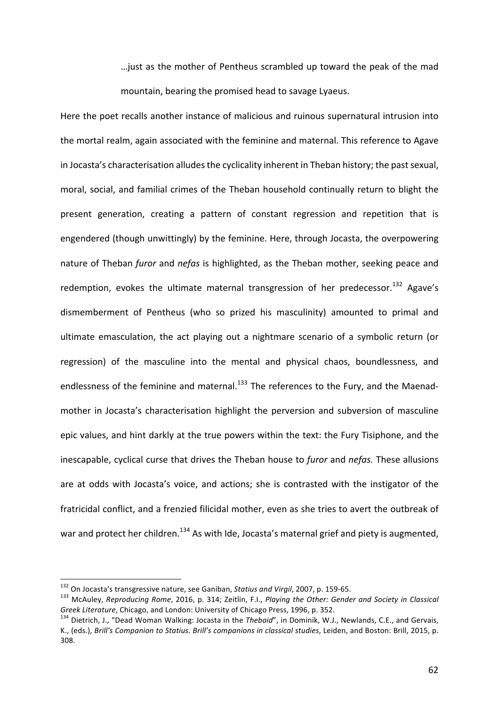... just as the mother of Pentheus scrambled up toward the peak of the mad mountain, bearing the promised head to savage Lyaeus.

Here the poet recalls another instance of malicious and ruinous supernatural intrusion into the mortal realm, again associated with the feminine and maternal. This reference to Agave in Jocasta's characterisation alludes the cyclicality inherent in Theban history; the past sexual, moral, social, and familial crimes of the Theban household continually return to blight the present generation, creating a pattern of constant regression and repetition that is engendered (though unwittingly) by the feminine. Here, through Jocasta, the overpowering nature of Theban *furor* and *nefas* is highlighted, as the Theban mother, seeking peace and redemption, evokes the ultimate maternal transgression of her predecessor.<sup>132</sup> Agave's dismemberment of Pentheus (who so prized his masculinity) amounted to primal and ultimate emasculation, the act playing out a nightmare scenario of a symbolic return (or regression) of the masculine into the mental and physical chaos, boundlessness, and endlessness of the feminine and maternal.<sup>133</sup> The references to the Fury, and the Maenadmother in Jocasta's characterisation highlight the perversion and subversion of masculine epic values, and hint darkly at the true powers within the text: the Fury Tisiphone, and the inescapable, cyclical curse that drives the Theban house to *furor* and *nefas*. These allusions are at odds with Jocasta's voice, and actions; she is contrasted with the instigator of the fratricidal conflict, and a frenzied filicidal mother, even as she tries to avert the outbreak of war and protect her children.<sup>134</sup> As with Ide, Jocasta's maternal grief and piety is augmented,

<sup>&</sup>lt;sup>132</sup> On Jocasta's transgressive nature, see Ganiban, *Statius and Virgil*, 2007, p. 159-65.<br><sup>133</sup> McAuley, *Reproducing Rome*, 2016, p. 314; Zeitlin, F.I., *Playing the Other: Gender and Society in Classical Greek Literature*, Chicago, and London: University of Chicago Press, 1996, p. 352.<br><sup>134</sup> Dietrich, J., "Dead Woman Walking: Jocasta in the *Thebaid"*, in Dominik, W.J., Newlands, C.E., and Gervais,

K., (eds.), *Brill's Companion to Statius. Brill's companions in classical studies*, Leiden, and Boston: Brill, 2015, p. 308.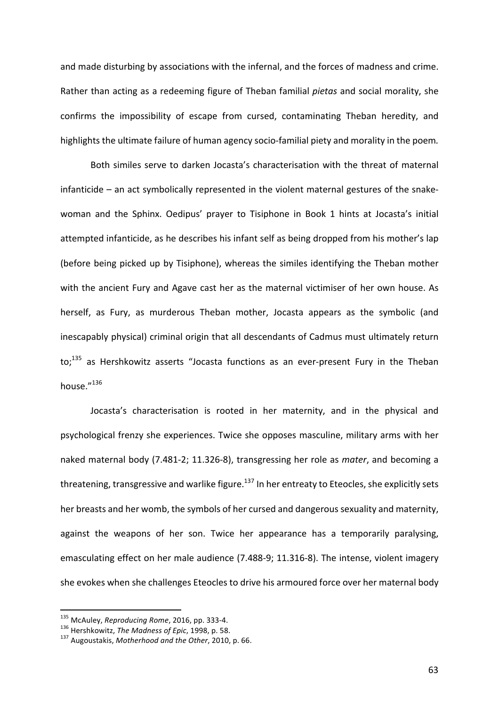and made disturbing by associations with the infernal, and the forces of madness and crime. Rather than acting as a redeeming figure of Theban familial *pietas* and social morality, she confirms the impossibility of escape from cursed, contaminating Theban heredity, and highlights the ultimate failure of human agency socio-familial piety and morality in the poem.

Both similes serve to darken Jocasta's characterisation with the threat of maternal infanticide  $-$  an act symbolically represented in the violent maternal gestures of the snakewoman and the Sphinx. Oedipus' prayer to Tisiphone in Book 1 hints at Jocasta's initial attempted infanticide, as he describes his infant self as being dropped from his mother's lap (before being picked up by Tisiphone), whereas the similes identifying the Theban mother with the ancient Fury and Agave cast her as the maternal victimiser of her own house. As herself, as Fury, as murderous Theban mother, Jocasta appears as the symbolic (and inescapably physical) criminal origin that all descendants of Cadmus must ultimately return to; $^{135}$  as Hershkowitz asserts "Jocasta functions as an ever-present Fury in the Theban house."<sup>136</sup>

Jocasta's characterisation is rooted in her maternity, and in the physical and psychological frenzy she experiences. Twice she opposes masculine, military arms with her naked maternal body (7.481-2; 11.326-8), transgressing her role as *mater*, and becoming a threatening, transgressive and warlike figure.<sup>137</sup> In her entreaty to Eteocles, she explicitly sets her breasts and her womb, the symbols of her cursed and dangerous sexuality and maternity, against the weapons of her son. Twice her appearance has a temporarily paralysing, emasculating effect on her male audience (7.488-9; 11.316-8). The intense, violent imagery she evokes when she challenges Eteocles to drive his armoured force over her maternal body

<sup>&</sup>lt;sup>135</sup> McAuley, *Reproducing Rome*, 2016, pp. 333-4.<br><sup>136</sup> Hershkowitz, *The Madness of Epic*, 1998, p. 58.<br><sup>137</sup> Augoustakis, *Motherhood and the Other*, 2010, p. 66.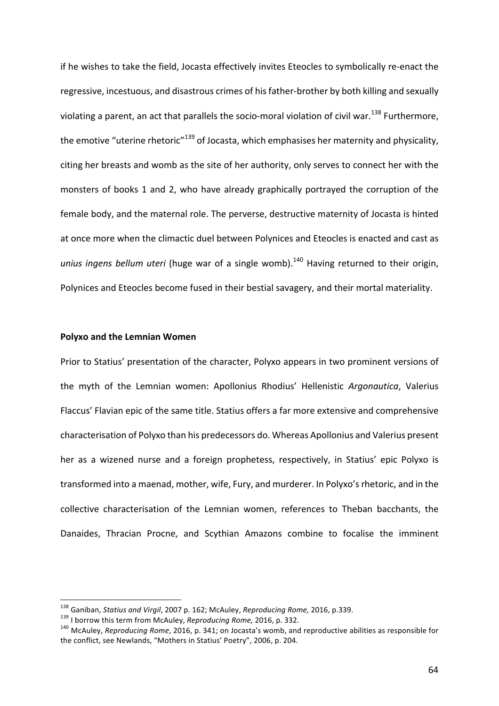if he wishes to take the field, Jocasta effectively invites Eteocles to symbolically re-enact the regressive, incestuous, and disastrous crimes of his father-brother by both killing and sexually violating a parent, an act that parallels the socio-moral violation of civil war.<sup>138</sup> Furthermore, the emotive "uterine rhetoric"<sup>139</sup> of Jocasta, which emphasises her maternity and physicality, citing her breasts and womb as the site of her authority, only serves to connect her with the monsters of books 1 and 2, who have already graphically portrayed the corruption of the female body, and the maternal role. The perverse, destructive maternity of Jocasta is hinted at once more when the climactic duel between Polynices and Eteocles is enacted and cast as unius ingens bellum uteri (huge war of a single womb).<sup>140</sup> Having returned to their origin, Polynices and Eteocles become fused in their bestial savagery, and their mortal materiality.

# **Polyxo and the Lemnian Women**

Prior to Statius' presentation of the character, Polyxo appears in two prominent versions of the myth of the Lemnian women: Apollonius Rhodius' Hellenistic Argonautica, Valerius Flaccus' Flavian epic of the same title. Statius offers a far more extensive and comprehensive characterisation of Polyxo than his predecessors do. Whereas Apollonius and Valerius present her as a wizened nurse and a foreign prophetess, respectively, in Statius' epic Polyxo is transformed into a maenad, mother, wife, Fury, and murderer. In Polyxo's rhetoric, and in the collective characterisation of the Lemnian women, references to Theban bacchants, the Danaides, Thracian Procne, and Scythian Amazons combine to focalise the imminent

<sup>&</sup>lt;sup>138</sup> Ganiban, *Statius and Virgil*, 2007 p. 162; McAuley, *Reproducing Rome,* 2016, p.339.<br><sup>139</sup> I borrow this term from McAuley, *Reproducing Rome,* 2016, p. 332.<br><sup>140</sup> McAuley, *Reproducing Rome*, 2016, p. 341; on Joca the conflict, see Newlands, "Mothers in Statius' Poetry", 2006, p. 204.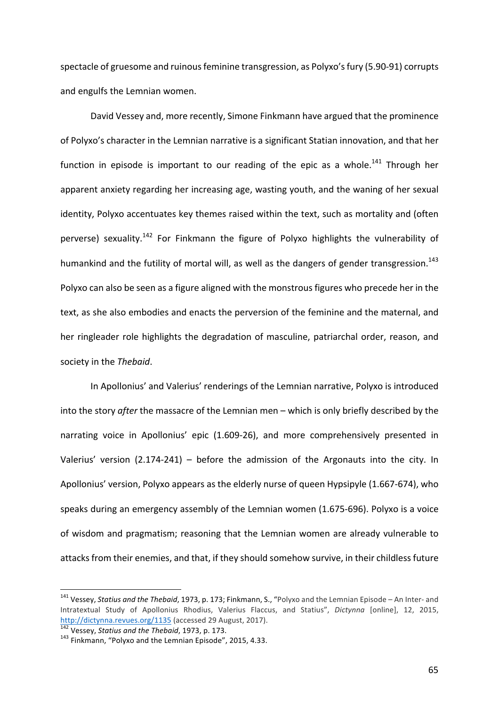spectacle of gruesome and ruinous feminine transgression, as Polyxo's fury (5.90-91) corrupts and engulfs the Lemnian women.

David Vessey and, more recently, Simone Finkmann have argued that the prominence of Polyxo's character in the Lemnian narrative is a significant Statian innovation, and that her function in episode is important to our reading of the epic as a whole.<sup>141</sup> Through her apparent anxiety regarding her increasing age, wasting youth, and the waning of her sexual identity, Polyxo accentuates key themes raised within the text, such as mortality and (often perverse) sexuality.<sup>142</sup> For Finkmann the figure of Polyxo highlights the vulnerability of humankind and the futility of mortal will, as well as the dangers of gender transgression.<sup>143</sup> Polyxo can also be seen as a figure aligned with the monstrous figures who precede her in the text, as she also embodies and enacts the perversion of the feminine and the maternal, and her ringleader role highlights the degradation of masculine, patriarchal order, reason, and society in the Thebaid.

In Apollonius' and Valerius' renderings of the Lemnian narrative, Polyxo is introduced into the story *after* the massacre of the Lemnian men – which is only briefly described by the narrating voice in Apollonius' epic (1.609-26), and more comprehensively presented in Valerius' version  $(2.174-241)$  – before the admission of the Argonauts into the city. In Apollonius' version, Polyxo appears as the elderly nurse of queen Hypsipyle (1.667-674), who speaks during an emergency assembly of the Lemnian women (1.675-696). Polyxo is a voice of wisdom and pragmatism; reasoning that the Lemnian women are already vulnerable to attacks from their enemies, and that, if they should somehow survive, in their childless future

<sup>&</sup>lt;sup>141</sup> Vessey, *Statius and the Thebaid*, 1973, p. 173; Finkmann, S., "Polyxo and the Lemnian Episode – An Inter- and Intratextual Study of Apollonius Rhodius, Valerius Flaccus, and Statius", *Dictynna* [online], 12, 2015, http://dictynna.revues.org/1135 (accessed 29 August, 2017).

<sup>&</sup>lt;sup>142</sup> Vessey, *Statius and the Thebaid*, 1973, p. 173.<br><sup>143</sup> Finkmann, "Polyxo and the Lemnian Episode", 2015, 4.33.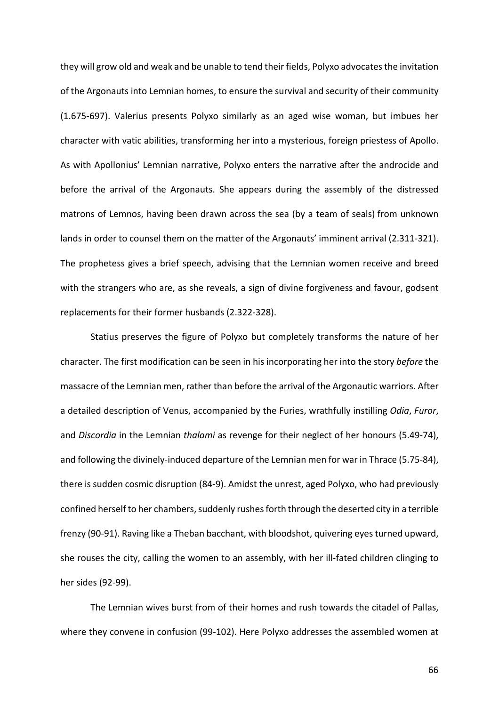they will grow old and weak and be unable to tend their fields, Polyxo advocates the invitation of the Argonauts into Lemnian homes, to ensure the survival and security of their community (1.675-697). Valerius presents Polyxo similarly as an aged wise woman, but imbues her character with vatic abilities, transforming her into a mysterious, foreign priestess of Apollo. As with Apollonius' Lemnian narrative, Polyxo enters the narrative after the androcide and before the arrival of the Argonauts. She appears during the assembly of the distressed matrons of Lemnos, having been drawn across the sea (by a team of seals) from unknown lands in order to counsel them on the matter of the Argonauts' imminent arrival (2.311-321). The prophetess gives a brief speech, advising that the Lemnian women receive and breed with the strangers who are, as she reveals, a sign of divine forgiveness and favour, godsent replacements for their former husbands (2.322-328).

Statius preserves the figure of Polyxo but completely transforms the nature of her character. The first modification can be seen in his incorporating her into the story *before* the massacre of the Lemnian men, rather than before the arrival of the Argonautic warriors. After a detailed description of Venus, accompanied by the Furies, wrathfully instilling *Odia*, *Furor*, and *Discordia* in the Lemnian *thalami* as revenge for their neglect of her honours (5.49-74), and following the divinely-induced departure of the Lemnian men for war in Thrace (5.75-84), there is sudden cosmic disruption (84-9). Amidst the unrest, aged Polyxo, who had previously confined herself to her chambers, suddenly rushes forth through the deserted city in a terrible frenzy (90-91). Raving like a Theban bacchant, with bloodshot, quivering eyes turned upward, she rouses the city, calling the women to an assembly, with her ill-fated children clinging to her sides (92-99).

The Lemnian wives burst from of their homes and rush towards the citadel of Pallas, where they convene in confusion (99-102). Here Polyxo addresses the assembled women at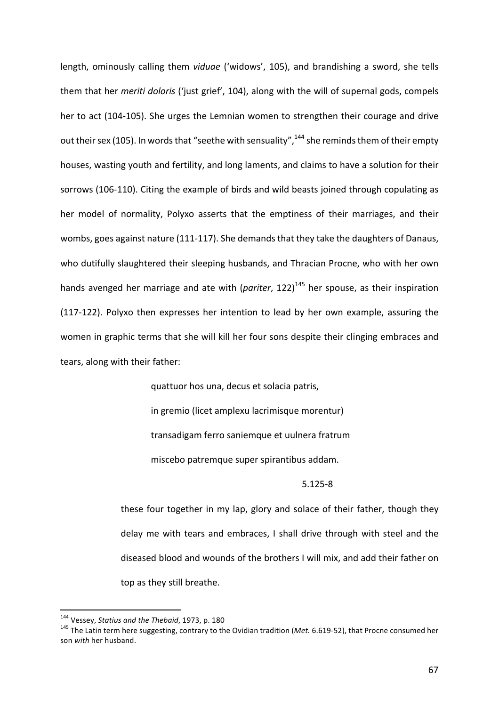length, ominously calling them *viduae* ('widows', 105), and brandishing a sword, she tells them that her *meriti doloris* ('just grief', 104), along with the will of supernal gods, compels her to act (104-105). She urges the Lemnian women to strengthen their courage and drive out their sex (105). In words that "seethe with sensuality",  $144$  she reminds them of their empty houses, wasting youth and fertility, and long laments, and claims to have a solution for their sorrows (106-110). Citing the example of birds and wild beasts joined through copulating as her model of normality, Polyxo asserts that the emptiness of their marriages, and their wombs, goes against nature (111-117). She demands that they take the daughters of Danaus, who dutifully slaughtered their sleeping husbands, and Thracian Procne, who with her own hands avenged her marriage and ate with (*pariter*, 122)<sup>145</sup> her spouse, as their inspiration  $(117-122)$ . Polyxo then expresses her intention to lead by her own example, assuring the women in graphic terms that she will kill her four sons despite their clinging embraces and tears, along with their father:

quattuor hos una, decus et solacia patris,

in gremio (licet amplexu lacrimisque morentur)

transadigam ferro saniemque et uulnera fratrum

miscebo patremque super spirantibus addam.

5.125-8

these four together in my lap, glory and solace of their father, though they delay me with tears and embraces, I shall drive through with steel and the diseased blood and wounds of the brothers I will mix, and add their father on top as they still breathe.

<sup>&</sup>lt;sup>144</sup> Vessey, *Statius and the Thebaid*, 1973, p. 180<br><sup>145</sup> The Latin term here suggesting, contrary to the Ovidian tradition (*Met.* 6.619-52), that Procne consumed her son *with* her husband.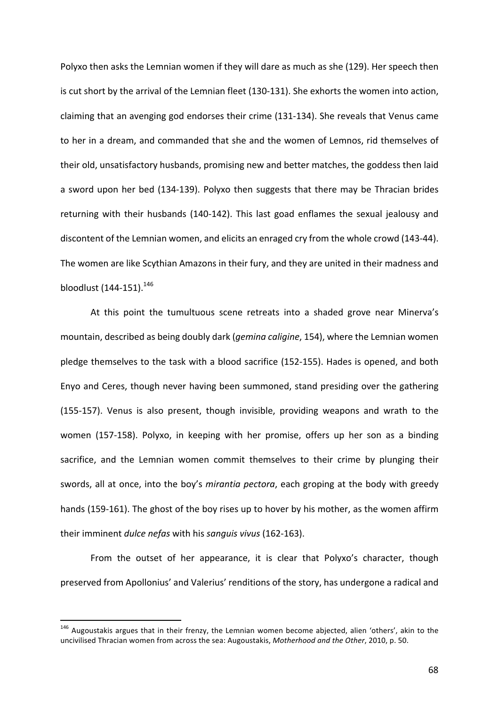Polyxo then asks the Lemnian women if they will dare as much as she (129). Her speech then is cut short by the arrival of the Lemnian fleet (130-131). She exhorts the women into action, claiming that an avenging god endorses their crime (131-134). She reveals that Venus came to her in a dream, and commanded that she and the women of Lemnos, rid themselves of their old, unsatisfactory husbands, promising new and better matches, the goddess then laid a sword upon her bed (134-139). Polyxo then suggests that there may be Thracian brides returning with their husbands (140-142). This last goad enflames the sexual jealousy and discontent of the Lemnian women, and elicits an enraged cry from the whole crowd (143-44). The women are like Scythian Amazons in their fury, and they are united in their madness and bloodlust  $(144-151).^{146}$ 

At this point the tumultuous scene retreats into a shaded grove near Minerva's mountain, described as being doubly dark (*gemina caligine*, 154), where the Lemnian women pledge themselves to the task with a blood sacrifice (152-155). Hades is opened, and both Enyo and Ceres, though never having been summoned, stand presiding over the gathering (155-157). Venus is also present, though invisible, providing weapons and wrath to the women (157-158). Polyxo, in keeping with her promise, offers up her son as a binding sacrifice, and the Lemnian women commit themselves to their crime by plunging their swords, all at once, into the boy's *mirantia pectora*, each groping at the body with greedy hands (159-161). The ghost of the boy rises up to hover by his mother, as the women affirm their imminent *dulce nefas* with his *sanguis vivus* (162-163).

From the outset of her appearance, it is clear that Polyxo's character, though preserved from Apollonius' and Valerius' renditions of the story, has undergone a radical and

 $146$  Augoustakis argues that in their frenzy, the Lemnian women become abjected, alien 'others', akin to the uncivilised Thracian women from across the sea: Augoustakis, *Motherhood and the Other*, 2010, p. 50.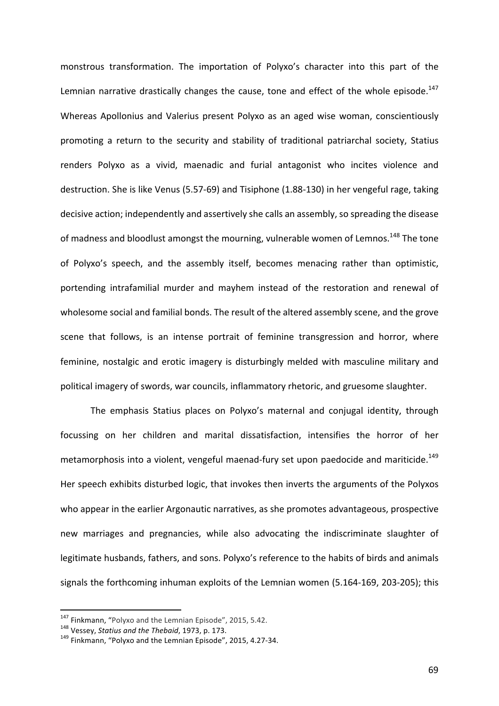monstrous transformation. The importation of Polyxo's character into this part of the Lemnian narrative drastically changes the cause, tone and effect of the whole episode.<sup>147</sup> Whereas Apollonius and Valerius present Polyxo as an aged wise woman, conscientiously promoting a return to the security and stability of traditional patriarchal society, Statius renders Polyxo as a vivid, maenadic and furial antagonist who incites violence and destruction. She is like Venus (5.57-69) and Tisiphone (1.88-130) in her vengeful rage, taking decisive action; independently and assertively she calls an assembly, so spreading the disease of madness and bloodlust amongst the mourning, vulnerable women of Lemnos.<sup>148</sup> The tone of Polyxo's speech, and the assembly itself, becomes menacing rather than optimistic, portending intrafamilial murder and mayhem instead of the restoration and renewal of wholesome social and familial bonds. The result of the altered assembly scene, and the grove scene that follows, is an intense portrait of feminine transgression and horror, where feminine, nostalgic and erotic imagery is disturbingly melded with masculine military and political imagery of swords, war councils, inflammatory rhetoric, and gruesome slaughter.

The emphasis Statius places on Polyxo's maternal and conjugal identity, through focussing on her children and marital dissatisfaction, intensifies the horror of her metamorphosis into a violent, vengeful maenad-fury set upon paedocide and mariticide.<sup>149</sup> Her speech exhibits disturbed logic, that invokes then inverts the arguments of the Polyxos who appear in the earlier Argonautic narratives, as she promotes advantageous, prospective new marriages and pregnancies, while also advocating the indiscriminate slaughter of legitimate husbands, fathers, and sons. Polyxo's reference to the habits of birds and animals signals the forthcoming inhuman exploits of the Lemnian women (5.164-169, 203-205); this

<sup>&</sup>lt;sup>147</sup> Finkmann, "Polyxo and the Lemnian Episode", 2015, 5.42.<br><sup>148</sup> Vessey, *Statius and the Thebaid*, 1973, p. 173.<br><sup>149</sup> Finkmann. "Polyxo and the Lemnian Episode", 2015, 4.27-34.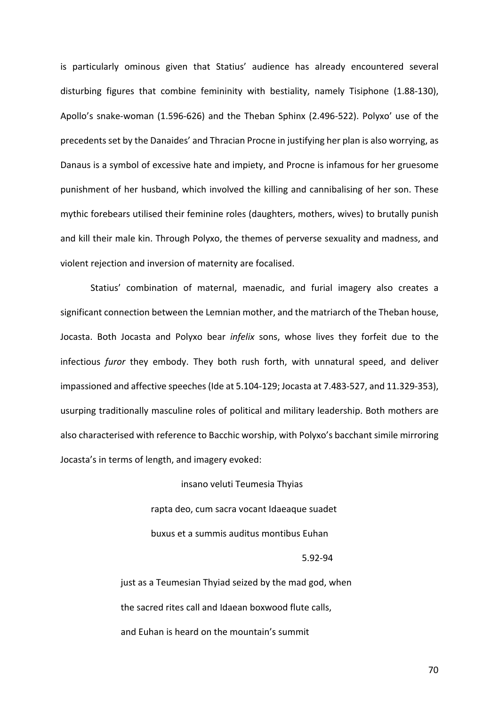is particularly ominous given that Statius' audience has already encountered several disturbing figures that combine femininity with bestiality, namely Tisiphone (1.88-130), Apollo's snake-woman (1.596-626) and the Theban Sphinx (2.496-522). Polyxo' use of the precedents set by the Danaides' and Thracian Procne in justifying her plan is also worrying, as Danaus is a symbol of excessive hate and impiety, and Procne is infamous for her gruesome punishment of her husband, which involved the killing and cannibalising of her son. These mythic forebears utilised their feminine roles (daughters, mothers, wives) to brutally punish and kill their male kin. Through Polyxo, the themes of perverse sexuality and madness, and violent rejection and inversion of maternity are focalised.

Statius' combination of maternal, maenadic, and furial imagery also creates a significant connection between the Lemnian mother, and the matriarch of the Theban house, Jocasta. Both Jocasta and Polyxo bear *infelix* sons, whose lives they forfeit due to the infectious *furor* they embody. They both rush forth, with unnatural speed, and deliver impassioned and affective speeches (Ide at 5.104-129; Jocasta at 7.483-527, and 11.329-353), usurping traditionally masculine roles of political and military leadership. Both mothers are also characterised with reference to Bacchic worship, with Polyxo's bacchant simile mirroring Jocasta's in terms of length, and imagery evoked:

> insano veluti Teumesia Thyias rapta deo, cum sacra vocant Idaeaque suadet buxus et a summis auditus montibus Euhan 5.92-94

just as a Teumesian Thyiad seized by the mad god, when the sacred rites call and Idaean boxwood flute calls, and Euhan is heard on the mountain's summit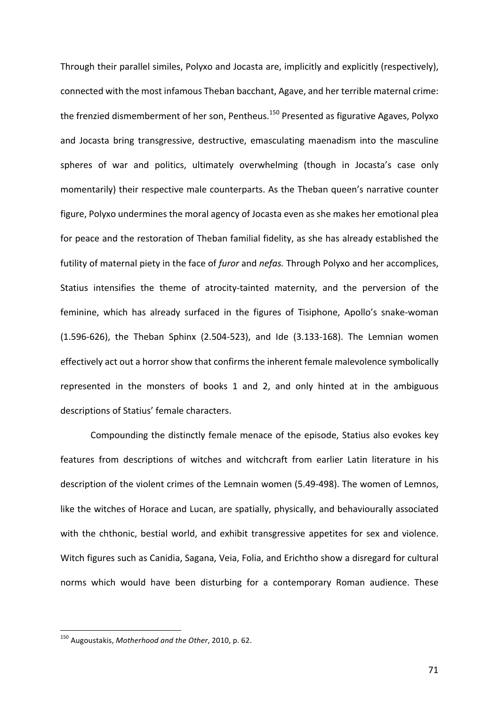Through their parallel similes, Polyxo and Jocasta are, implicitly and explicitly (respectively), connected with the most infamous Theban bacchant, Agave, and her terrible maternal crime: the frenzied dismemberment of her son, Pentheus.<sup>150</sup> Presented as figurative Agaves, Polyxo and Jocasta bring transgressive, destructive, emasculating maenadism into the masculine spheres of war and politics, ultimately overwhelming (though in Jocasta's case only momentarily) their respective male counterparts. As the Theban queen's narrative counter figure, Polyxo undermines the moral agency of Jocasta even as she makes her emotional plea for peace and the restoration of Theban familial fidelity, as she has already established the futility of maternal piety in the face of *furor* and *nefas*. Through Polyxo and her accomplices, Statius intensifies the theme of atrocity-tainted maternity, and the perversion of the feminine, which has already surfaced in the figures of Tisiphone, Apollo's snake-woman  $(1.596-626)$ , the Theban Sphinx  $(2.504-523)$ , and Ide  $(3.133-168)$ . The Lemnian women effectively act out a horror show that confirms the inherent female malevolence symbolically represented in the monsters of books 1 and 2, and only hinted at in the ambiguous descriptions of Statius' female characters.

Compounding the distinctly female menace of the episode, Statius also evokes key features from descriptions of witches and witchcraft from earlier Latin literature in his description of the violent crimes of the Lemnain women (5.49-498). The women of Lemnos, like the witches of Horace and Lucan, are spatially, physically, and behaviourally associated with the chthonic, bestial world, and exhibit transgressive appetites for sex and violence. Witch figures such as Canidia, Sagana, Veia, Folia, and Erichtho show a disregard for cultural norms which would have been disturbing for a contemporary Roman audience. These

<sup>150</sup> Augoustakis, Motherhood and the Other, 2010, p. 62.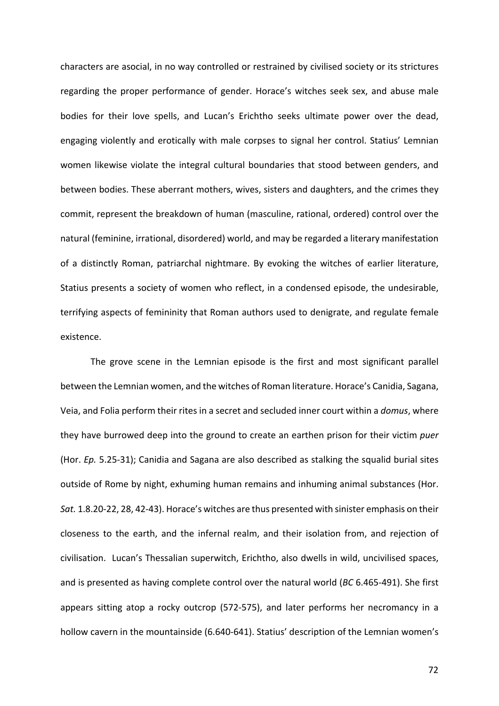characters are asocial, in no way controlled or restrained by civilised society or its strictures regarding the proper performance of gender. Horace's witches seek sex, and abuse male bodies for their love spells, and Lucan's Erichtho seeks ultimate power over the dead, engaging violently and erotically with male corpses to signal her control. Statius' Lemnian women likewise violate the integral cultural boundaries that stood between genders, and between bodies. These aberrant mothers, wives, sisters and daughters, and the crimes they commit, represent the breakdown of human (masculine, rational, ordered) control over the natural (feminine, irrational, disordered) world, and may be regarded a literary manifestation of a distinctly Roman, patriarchal nightmare. By evoking the witches of earlier literature, Statius presents a society of women who reflect, in a condensed episode, the undesirable, terrifying aspects of femininity that Roman authors used to denigrate, and regulate female existence. 

The grove scene in the Lemnian episode is the first and most significant parallel between the Lemnian women, and the witches of Roman literature. Horace's Canidia, Sagana, Veia, and Folia perform their rites in a secret and secluded inner court within a *domus*, where they have burrowed deep into the ground to create an earthen prison for their victim *puer* (Hor. *Ep.* 5.25-31); Canidia and Sagana are also described as stalking the squalid burial sites outside of Rome by night, exhuming human remains and inhuming animal substances (Hor. *Sat.* 1.8.20-22, 28, 42-43). Horace's witches are thus presented with sinister emphasis on their closeness to the earth, and the infernal realm, and their isolation from, and rejection of civilisation. Lucan's Thessalian superwitch, Erichtho, also dwells in wild, uncivilised spaces, and is presented as having complete control over the natural world (*BC* 6.465-491). She first appears sitting atop a rocky outcrop (572-575), and later performs her necromancy in a hollow cavern in the mountainside (6.640-641). Statius' description of the Lemnian women's

72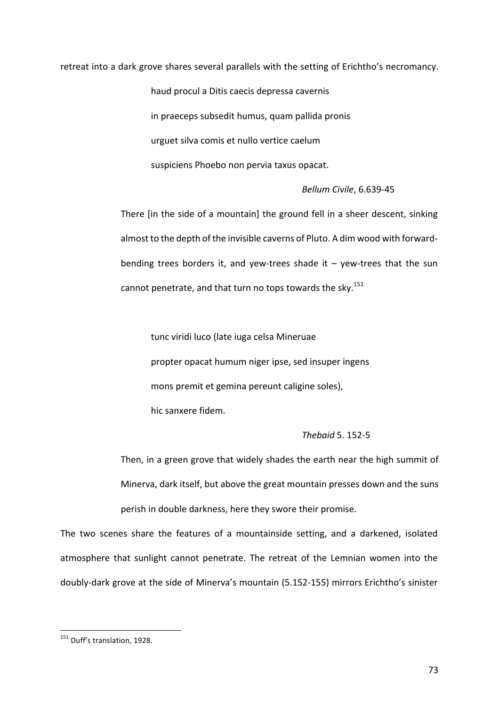retreat into a dark grove shares several parallels with the setting of Erichtho's necromancy.

haud procul a Ditis caecis depressa cavernis in praeceps subsedit humus, quam pallida pronis urguet silva comis et nullo vertice caelum suspiciens Phoebo non pervia taxus opacat.

# *Bellum Civile*, 6.639-45

There [in the side of a mountain] the ground fell in a sheer descent, sinking almost to the depth of the invisible caverns of Pluto. A dim wood with forwardbending trees borders it, and yew-trees shade it  $-$  yew-trees that the sun cannot penetrate, and that turn no tops towards the sky.<sup>151</sup>

tunc viridi luco (late iuga celsa Mineruae propter opacat humum niger ipse, sed insuper ingens mons premit et gemina pereunt caligine soles), hic sanxere fidem.

# *Thebaid* 5. 152-5

Then, in a green grove that widely shades the earth near the high summit of Minerva, dark itself, but above the great mountain presses down and the suns perish in double darkness, here they swore their promise.

The two scenes share the features of a mountainside setting, and a darkened, isolated atmosphere that sunlight cannot penetrate. The retreat of the Lemnian women into the doubly-dark grove at the side of Minerva's mountain (5.152-155) mirrors Erichtho's sinister

<sup>&</sup>lt;sup>151</sup> Duff's translation, 1928.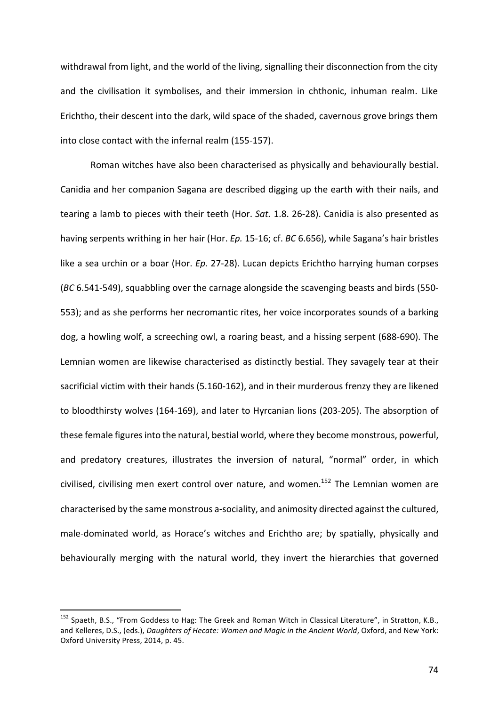withdrawal from light, and the world of the living, signalling their disconnection from the city and the civilisation it symbolises, and their immersion in chthonic, inhuman realm. Like Erichtho, their descent into the dark, wild space of the shaded, cavernous grove brings them into close contact with the infernal realm (155-157).

Roman witches have also been characterised as physically and behaviourally bestial. Canidia and her companion Sagana are described digging up the earth with their nails, and tearing a lamb to pieces with their teeth (Hor. *Sat.* 1.8. 26-28). Canidia is also presented as having serpents writhing in her hair (Hor. *Ep.* 15-16; cf. *BC* 6.656), while Sagana's hair bristles like a sea urchin or a boar (Hor. *Ep.* 27-28). Lucan depicts Erichtho harrying human corpses (*BC* 6.541-549), squabbling over the carnage alongside the scavenging beasts and birds (550-553); and as she performs her necromantic rites, her voice incorporates sounds of a barking dog, a howling wolf, a screeching owl, a roaring beast, and a hissing serpent (688-690). The Lemnian women are likewise characterised as distinctly bestial. They savagely tear at their sacrificial victim with their hands (5.160-162), and in their murderous frenzy they are likened to bloodthirsty wolves (164-169), and later to Hyrcanian lions (203-205). The absorption of these female figures into the natural, bestial world, where they become monstrous, powerful, and predatory creatures, illustrates the inversion of natural, "normal" order, in which civilised, civilising men exert control over nature, and women.<sup>152</sup> The Lemnian women are characterised by the same monstrous a-sociality, and animosity directed against the cultured, male-dominated world, as Horace's witches and Erichtho are; by spatially, physically and behaviourally merging with the natural world, they invert the hierarchies that governed

<sup>152</sup> Spaeth, B.S., "From Goddess to Hag: The Greek and Roman Witch in Classical Literature", in Stratton, K.B., and Kelleres, D.S., (eds.), *Daughters of Hecate: Women and Magic in the Ancient World*, Oxford, and New York: Oxford University Press, 2014, p. 45.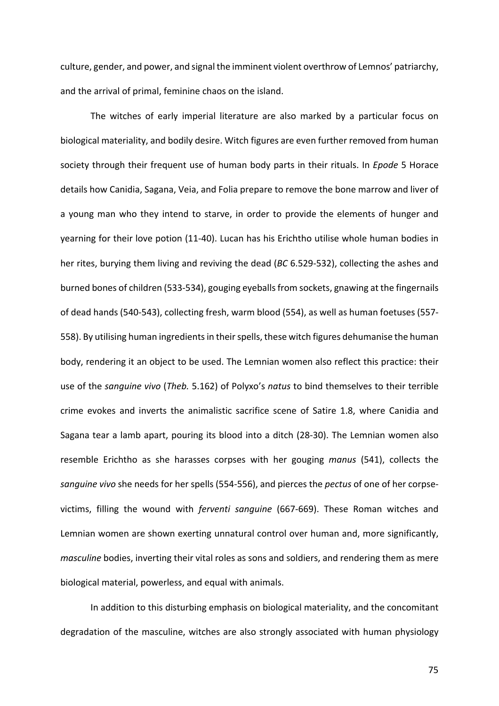culture, gender, and power, and signal the imminent violent overthrow of Lemnos' patriarchy, and the arrival of primal, feminine chaos on the island.

The witches of early imperial literature are also marked by a particular focus on biological materiality, and bodily desire. Witch figures are even further removed from human society through their frequent use of human body parts in their rituals. In *Epode* 5 Horace details how Canidia, Sagana, Veia, and Folia prepare to remove the bone marrow and liver of a young man who they intend to starve, in order to provide the elements of hunger and yearning for their love potion (11-40). Lucan has his Erichtho utilise whole human bodies in her rites, burying them living and reviving the dead (*BC* 6.529-532), collecting the ashes and burned bones of children (533-534), gouging eyeballs from sockets, gnawing at the fingernails of dead hands (540-543), collecting fresh, warm blood (554), as well as human foetuses (557-558). By utilising human ingredients in their spells, these witch figures dehumanise the human body, rendering it an object to be used. The Lemnian women also reflect this practice: their use of the *sanguine vivo* (*Theb.* 5.162) of Polyxo's *natus* to bind themselves to their terrible crime evokes and inverts the animalistic sacrifice scene of Satire 1.8, where Canidia and Sagana tear a lamb apart, pouring its blood into a ditch (28-30). The Lemnian women also resemble Erichtho as she harasses corpses with her gouging *manus* (541), collects the sanguine vivo she needs for her spells (554-556), and pierces the *pectus* of one of her corpsevictims, filling the wound with *ferventi sanguine* (667-669). These Roman witches and Lemnian women are shown exerting unnatural control over human and, more significantly, *masculine* bodies, inverting their vital roles as sons and soldiers, and rendering them as mere biological material, powerless, and equal with animals.

In addition to this disturbing emphasis on biological materiality, and the concomitant degradation of the masculine, witches are also strongly associated with human physiology

75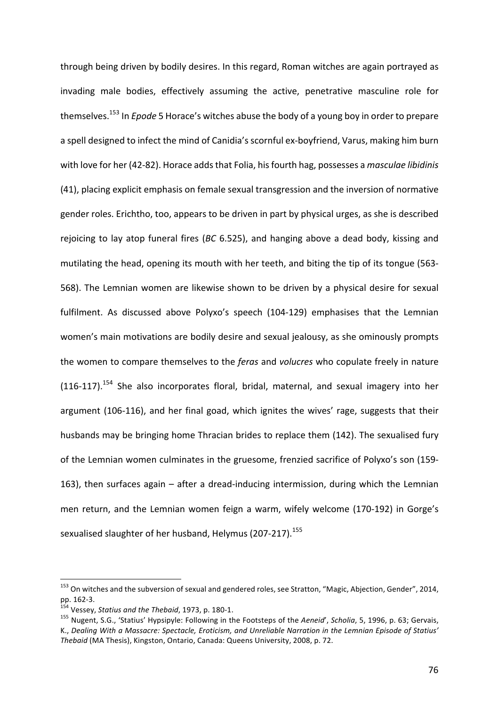through being driven by bodily desires. In this regard, Roman witches are again portrayed as invading male bodies, effectively assuming the active, penetrative masculine role for themselves.<sup>153</sup> In *Epode* 5 Horace's witches abuse the body of a young boy in order to prepare a spell designed to infect the mind of Canidia's scornful ex-boyfriend, Varus, making him burn with love for her (42-82). Horace adds that Folia, his fourth hag, possesses a *masculae libidinis* (41), placing explicit emphasis on female sexual transgression and the inversion of normative gender roles. Erichtho, too, appears to be driven in part by physical urges, as she is described rejoicing to lay atop funeral fires (*BC* 6.525), and hanging above a dead body, kissing and mutilating the head, opening its mouth with her teeth, and biting the tip of its tongue (563-568). The Lemnian women are likewise shown to be driven by a physical desire for sexual fulfilment. As discussed above Polyxo's speech (104-129) emphasises that the Lemnian women's main motivations are bodily desire and sexual jealousy, as she ominously prompts the women to compare themselves to the *feras* and *volucres* who copulate freely in nature  $(116-117).$ <sup>154</sup> She also incorporates floral, bridal, maternal, and sexual imagery into her argument (106-116), and her final goad, which ignites the wives' rage, suggests that their husbands may be bringing home Thracian brides to replace them (142). The sexualised fury of the Lemnian women culminates in the gruesome, frenzied sacrifice of Polyxo's son (159-163), then surfaces again  $-$  after a dread-inducing intermission, during which the Lemnian men return, and the Lemnian women feign a warm, wifely welcome (170-192) in Gorge's sexualised slaughter of her husband, Helymus (207-217).<sup>155</sup>

<sup>&</sup>lt;sup>153</sup> On witches and the subversion of sexual and gendered roles, see Stratton, "Magic, Abjection, Gender", 2014, pp. 162-3.<br>pp. 162-3.<br><sup>154</sup> Vessey, *Statius and the Thebaid*, 1973, p. 180-1.

<sup>&</sup>lt;sup>155</sup> Nugent, S.G., 'Statius' Hypsipyle: Following in the Footsteps of the Aeneid', Scholia, 5, 1996, p. 63; Gervais, K., Dealing With a Massacre: Spectacle, Eroticism, and Unreliable Narration in the Lemnian Episode of Statius' *Thebaid* (MA Thesis), Kingston, Ontario, Canada: Queens University, 2008, p. 72.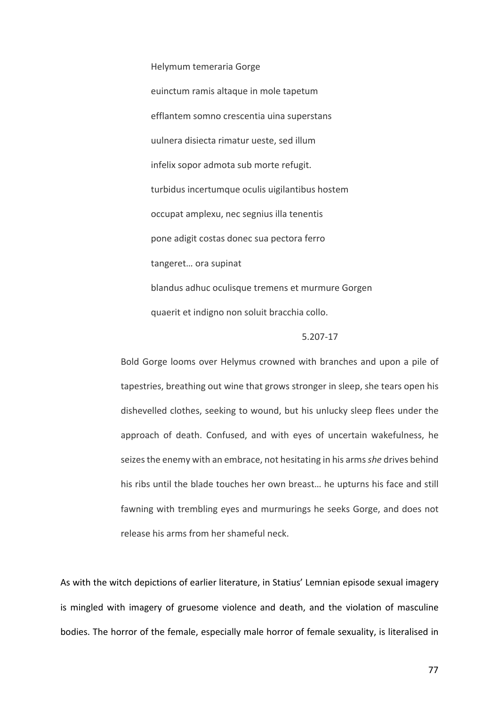### Helymum temeraria Gorge

euinctum ramis altaque in mole tapetum efflantem somno crescentia uina superstans uulnera disiecta rimatur ueste, sed illum infelix sopor admota sub morte refugit. turbidus incertumque oculis uigilantibus hostem occupat amplexu, nec segnius illa tenentis pone adigit costas donec sua pectora ferro tangeret... ora supinat blandus adhuc oculisque tremens et murmure Gorgen quaerit et indigno non soluit bracchia collo.

# 5.207-17

Bold Gorge looms over Helymus crowned with branches and upon a pile of tapestries, breathing out wine that grows stronger in sleep, she tears open his dishevelled clothes, seeking to wound, but his unlucky sleep flees under the approach of death. Confused, and with eyes of uncertain wakefulness, he seizes the enemy with an embrace, not hesitating in his arms *she* drives behind his ribs until the blade touches her own breast... he upturns his face and still fawning with trembling eyes and murmurings he seeks Gorge, and does not release his arms from her shameful neck.

As with the witch depictions of earlier literature, in Statius' Lemnian episode sexual imagery is mingled with imagery of gruesome violence and death, and the violation of masculine bodies. The horror of the female, especially male horror of female sexuality, is literalised in

77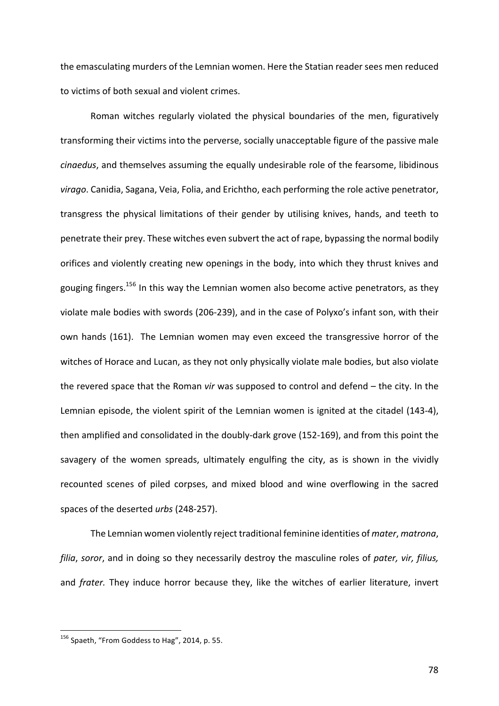the emasculating murders of the Lemnian women. Here the Statian reader sees men reduced to victims of both sexual and violent crimes.

Roman witches regularly violated the physical boundaries of the men, figuratively transforming their victims into the perverse, socially unacceptable figure of the passive male *cinaedus*, and themselves assuming the equally undesirable role of the fearsome, libidinous virago. Canidia, Sagana, Veia, Folia, and Erichtho, each performing the role active penetrator, transgress the physical limitations of their gender by utilising knives, hands, and teeth to penetrate their prey. These witches even subvert the act of rape, bypassing the normal bodily orifices and violently creating new openings in the body, into which they thrust knives and gouging fingers.<sup>156</sup> In this way the Lemnian women also become active penetrators, as they violate male bodies with swords (206-239), and in the case of Polyxo's infant son, with their own hands (161). The Lemnian women may even exceed the transgressive horror of the witches of Horace and Lucan, as they not only physically violate male bodies, but also violate the revered space that the Roman *vir* was supposed to control and defend – the city. In the Lemnian episode, the violent spirit of the Lemnian women is ignited at the citadel (143-4), then amplified and consolidated in the doubly-dark grove (152-169), and from this point the savagery of the women spreads, ultimately engulfing the city, as is shown in the vividly recounted scenes of piled corpses, and mixed blood and wine overflowing in the sacred spaces of the deserted *urbs* (248-257).

The Lemnian women violently reject traditional feminine identities of *mater*, *matrona*, *filia*, *soror*, and in doing so they necessarily destroy the masculine roles of pater, vir, filius, and *frater*. They induce horror because they, like the witches of earlier literature, invert

 $156$  Spaeth, "From Goddess to Hag", 2014, p. 55.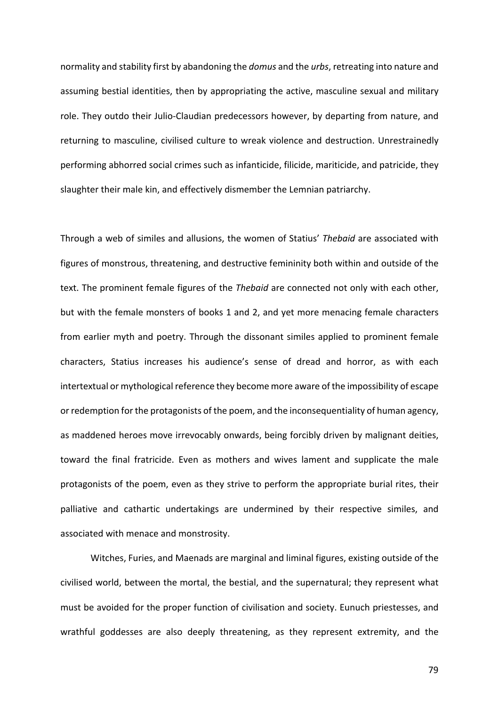normality and stability first by abandoning the *domus* and the *urbs*, retreating into nature and assuming bestial identities, then by appropriating the active, masculine sexual and military role. They outdo their Julio-Claudian predecessors however, by departing from nature, and returning to masculine, civilised culture to wreak violence and destruction. Unrestrainedly performing abhorred social crimes such as infanticide, filicide, mariticide, and patricide, they slaughter their male kin, and effectively dismember the Lemnian patriarchy.

Through a web of similes and allusions, the women of Statius' *Thebaid* are associated with figures of monstrous, threatening, and destructive femininity both within and outside of the text. The prominent female figures of the *Thebaid* are connected not only with each other, but with the female monsters of books 1 and 2, and yet more menacing female characters from earlier myth and poetry. Through the dissonant similes applied to prominent female characters, Statius increases his audience's sense of dread and horror, as with each intertextual or mythological reference they become more aware of the impossibility of escape or redemption for the protagonists of the poem, and the inconsequentiality of human agency, as maddened heroes move irrevocably onwards, being forcibly driven by malignant deities, toward the final fratricide. Even as mothers and wives lament and supplicate the male protagonists of the poem, even as they strive to perform the appropriate burial rites, their palliative and cathartic undertakings are undermined by their respective similes, and associated with menace and monstrosity.

Witches, Furies, and Maenads are marginal and liminal figures, existing outside of the civilised world, between the mortal, the bestial, and the supernatural; they represent what must be avoided for the proper function of civilisation and society. Eunuch priestesses, and wrathful goddesses are also deeply threatening, as they represent extremity, and the

79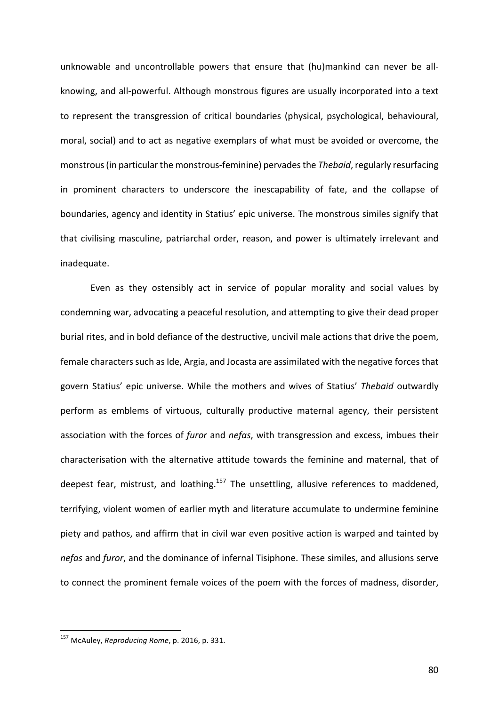unknowable and uncontrollable powers that ensure that (hu)mankind can never be allknowing, and all-powerful. Although monstrous figures are usually incorporated into a text to represent the transgression of critical boundaries (physical, psychological, behavioural, moral, social) and to act as negative exemplars of what must be avoided or overcome, the monstrous (in particular the monstrous-feminine) pervades the *Thebaid*, regularly resurfacing in prominent characters to underscore the inescapability of fate, and the collapse of boundaries, agency and identity in Statius' epic universe. The monstrous similes signify that that civilising masculine, patriarchal order, reason, and power is ultimately irrelevant and inadequate. 

Even as they ostensibly act in service of popular morality and social values by condemning war, advocating a peaceful resolution, and attempting to give their dead proper burial rites, and in bold defiance of the destructive, uncivil male actions that drive the poem, female characters such as Ide, Argia, and Jocasta are assimilated with the negative forces that govern Statius' epic universe. While the mothers and wives of Statius' *Thebaid* outwardly perform as emblems of virtuous, culturally productive maternal agency, their persistent association with the forces of *furor* and *nefas*, with transgression and excess, imbues their characterisation with the alternative attitude towards the feminine and maternal, that of deepest fear, mistrust, and loathing.<sup>157</sup> The unsettling, allusive references to maddened, terrifying, violent women of earlier myth and literature accumulate to undermine feminine piety and pathos, and affirm that in civil war even positive action is warped and tainted by *nefas* and *furor*, and the dominance of infernal Tisiphone. These similes, and allusions serve to connect the prominent female voices of the poem with the forces of madness, disorder,

<sup>&</sup>lt;sup>157</sup> McAuley, *Reproducing Rome*, p. 2016, p. 331.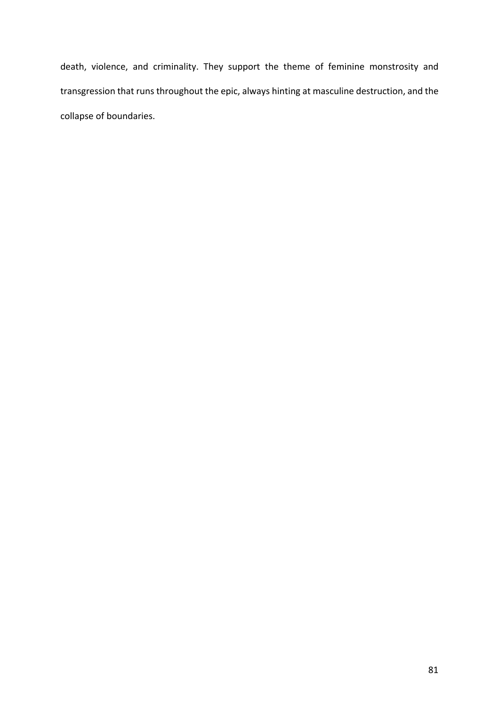death, violence, and criminality. They support the theme of feminine monstrosity and transgression that runs throughout the epic, always hinting at masculine destruction, and the collapse of boundaries.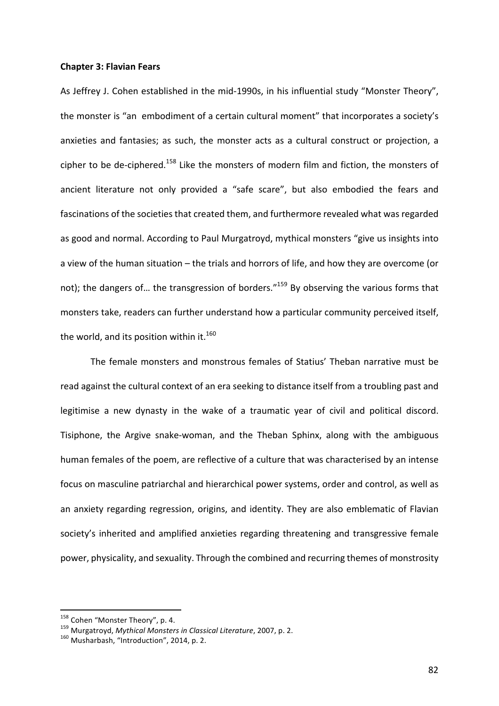### **Chapter 3: Flavian Fears**

As Jeffrey J. Cohen established in the mid-1990s, in his influential study "Monster Theory", the monster is "an embodiment of a certain cultural moment" that incorporates a society's anxieties and fantasies; as such, the monster acts as a cultural construct or projection, a cipher to be de-ciphered.<sup>158</sup> Like the monsters of modern film and fiction, the monsters of ancient literature not only provided a "safe scare", but also embodied the fears and fascinations of the societies that created them, and furthermore revealed what was regarded as good and normal. According to Paul Murgatroyd, mythical monsters "give us insights into a view of the human situation – the trials and horrors of life, and how they are overcome (or not); the dangers of... the transgression of borders."<sup>159</sup> By observing the various forms that monsters take, readers can further understand how a particular community perceived itself, the world, and its position within it.<sup>160</sup>

The female monsters and monstrous females of Statius' Theban narrative must be read against the cultural context of an era seeking to distance itself from a troubling past and legitimise a new dynasty in the wake of a traumatic year of civil and political discord. Tisiphone, the Argive snake-woman, and the Theban Sphinx, along with the ambiguous human females of the poem, are reflective of a culture that was characterised by an intense focus on masculine patriarchal and hierarchical power systems, order and control, as well as an anxiety regarding regression, origins, and identity. They are also emblematic of Flavian society's inherited and amplified anxieties regarding threatening and transgressive female power, physicality, and sexuality. Through the combined and recurring themes of monstrosity

<sup>&</sup>lt;sup>158</sup> Cohen "Monster Theory", p. 4.<br><sup>159</sup> Murgatroyd, *Mythical Monsters in Classical Literature*, 2007, p. 2.<br><sup>160</sup> Musharbash, "Introduction", 2014, p. 2.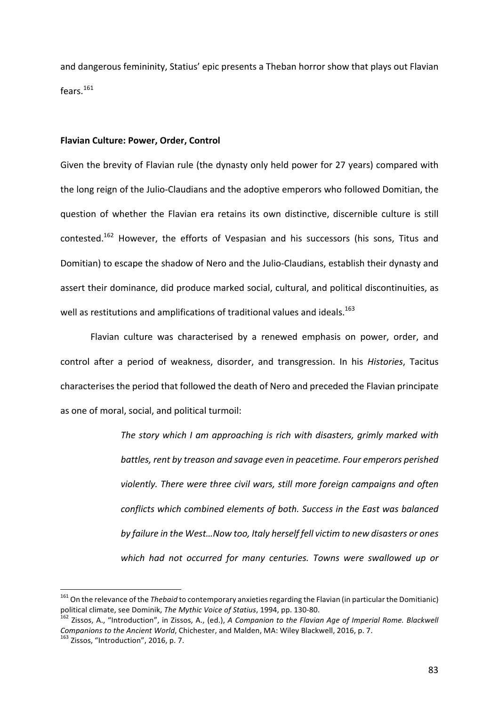and dangerous femininity, Statius' epic presents a Theban horror show that plays out Flavian fears.<sup>161</sup>

#### **Flavian Culture: Power, Order, Control**

Given the brevity of Flavian rule (the dynasty only held power for 27 years) compared with the long reign of the Julio-Claudians and the adoptive emperors who followed Domitian, the question of whether the Flavian era retains its own distinctive, discernible culture is still contested.<sup>162</sup> However, the efforts of Vespasian and his successors (his sons, Titus and Domitian) to escape the shadow of Nero and the Julio-Claudians, establish their dynasty and assert their dominance, did produce marked social, cultural, and political discontinuities, as well as restitutions and amplifications of traditional values and ideals.<sup>163</sup>

Flavian culture was characterised by a renewed emphasis on power, order, and control after a period of weakness, disorder, and transgression. In his *Histories*, Tacitus characterises the period that followed the death of Nero and preceded the Flavian principate as one of moral, social, and political turmoil:

> *The story which I am approaching is rich with disasters, grimly marked with* battles, rent by treason and savage even in peacetime. Four emperors perished *violently.* There were three civil wars, still more foreign campaigns and often *conflicts* which combined elements of both. Success in the East was balanced by failure in the West...Now too, Italy herself fell victim to new disasters or ones which had not occurred for many centuries. Towns were swallowed up or

<sup>&</sup>lt;sup>161</sup> On the relevance of the *Thebaid* to contemporary anxieties regarding the Flavian (in particular the Domitianic) political climate, see Dominik, *The Mythic Voice of Statius*, 1994, pp. 130-80.<br><sup>162</sup> Zissos, A., "Introduction", in Zissos, A., (ed.), *A Companion to the Flavian Age of Imperial Rome. Blackwell* 

*Companions to the Ancient World*, Chichester, and Malden, MA: Wiley Blackwell, 2016, p. 7. 163 Zissos, "Introduction", 2016, p. 7.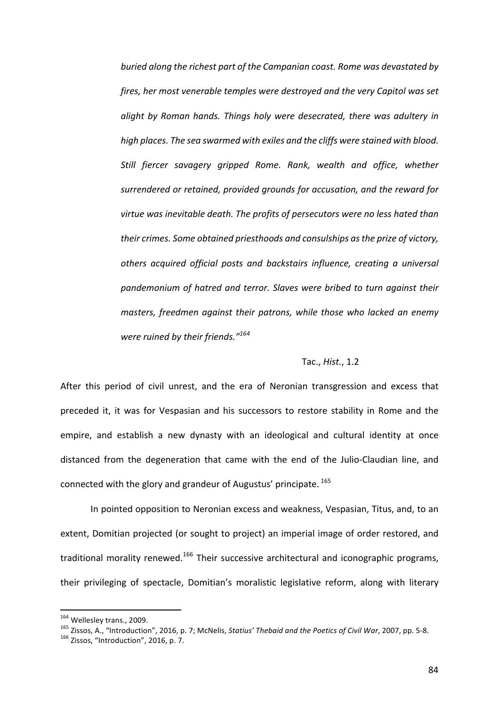*buried along the richest part of the Campanian coast. Rome was devastated by fires, her most venerable temples were destroyed and the very Capitol was set alight by Roman hands. Things holy were desecrated, there was adultery in* high places. The sea swarmed with exiles and the cliffs were stained with blood. Still fiercer savagery gripped Rome. Rank, wealth and office, whether surrendered or retained, provided grounds for accusation, and the reward for *virtue* was inevitable death. The profits of persecutors were no less hated than their crimes. Some obtained priesthoods and consulships as the prize of victory, *others acquired official posts and backstairs influence, creating a universal*  pandemonium of hatred and terror. Slaves were bribed to turn against their *masters, freedmen against their patrons, while those who lacked an enemy were ruined by their friends."<sup>164</sup>*

# Tac., *Hist.*, 1.2

After this period of civil unrest, and the era of Neronian transgression and excess that preceded it, it was for Vespasian and his successors to restore stability in Rome and the empire, and establish a new dynasty with an ideological and cultural identity at once distanced from the degeneration that came with the end of the Julio-Claudian line, and connected with the glory and grandeur of Augustus' principate.  $165$ 

In pointed opposition to Neronian excess and weakness, Vespasian, Titus, and, to an extent, Domitian projected (or sought to project) an imperial image of order restored, and traditional morality renewed.<sup>166</sup> Their successive architectural and iconographic programs, their privileging of spectacle, Domitian's moralistic legislative reform, along with literary

<sup>&</sup>lt;sup>164</sup> Wellesley trans., 2009.<br><sup>165</sup> Zissos, A., "Introduction", 2016, p. 7; McNelis, *Statius' Thebaid and the Poetics of Civil War*, 2007, pp. 5-8.<br><sup>166</sup> Zissos, "Introduction", 2016, p. 7.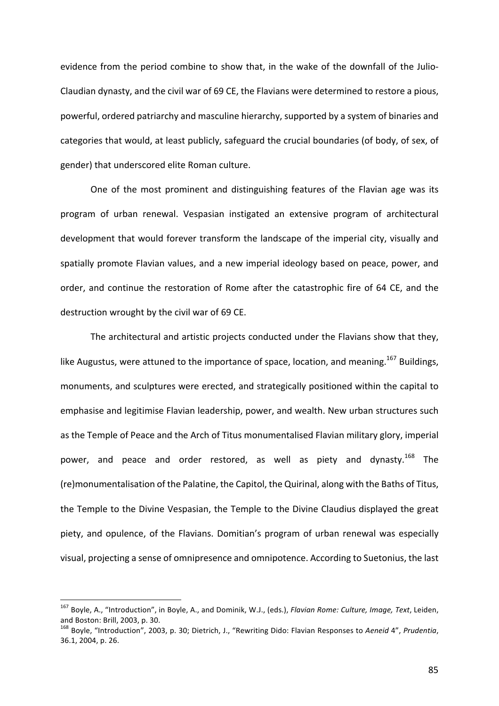evidence from the period combine to show that, in the wake of the downfall of the Julio-Claudian dynasty, and the civil war of 69 CE, the Flavians were determined to restore a pious, powerful, ordered patriarchy and masculine hierarchy, supported by a system of binaries and categories that would, at least publicly, safeguard the crucial boundaries (of body, of sex, of gender) that underscored elite Roman culture.

One of the most prominent and distinguishing features of the Flavian age was its program of urban renewal. Vespasian instigated an extensive program of architectural development that would forever transform the landscape of the imperial city, visually and spatially promote Flavian values, and a new imperial ideology based on peace, power, and order, and continue the restoration of Rome after the catastrophic fire of 64 CE, and the destruction wrought by the civil war of 69 CE.

The architectural and artistic projects conducted under the Flavians show that they. like Augustus, were attuned to the importance of space, location, and meaning.<sup>167</sup> Buildings, monuments, and sculptures were erected, and strategically positioned within the capital to emphasise and legitimise Flavian leadership, power, and wealth. New urban structures such as the Temple of Peace and the Arch of Titus monumentalised Flavian military glory, imperial power, and peace and order restored, as well as piety and dynasty.<sup>168</sup> The (re)monumentalisation of the Palatine, the Capitol, the Quirinal, along with the Baths of Titus, the Temple to the Divine Vespasian, the Temple to the Divine Claudius displayed the great piety, and opulence, of the Flavians. Domitian's program of urban renewal was especially visual, projecting a sense of omnipresence and omnipotence. According to Suetonius, the last

<sup>&</sup>lt;sup>167</sup> Bovle, A., "Introduction", in Boyle, A., and Dominik, W.J., (eds.), *Flavian Rome: Culture, Image, Text*, Leiden, and Boston: Brill, 2003, p. 30.

<sup>&</sup>lt;sup>168</sup> Boyle, "Introduction", 2003, p. 30; Dietrich, J., "Rewriting Dido: Flavian Responses to Aeneid 4", Prudentia, 36.1, 2004, p. 26.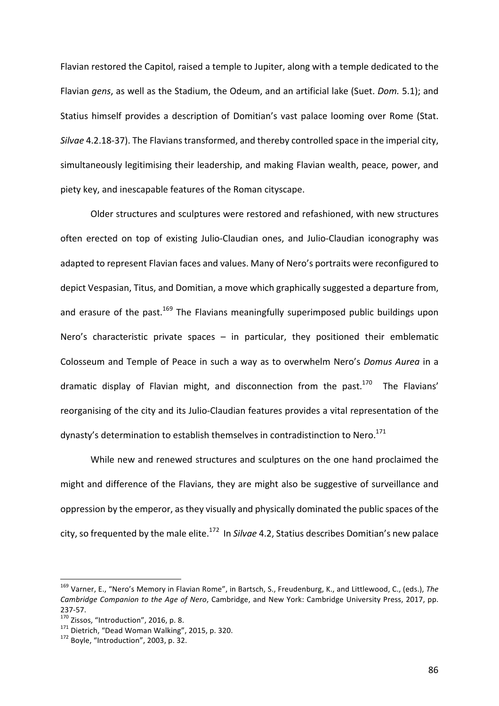Flavian restored the Capitol, raised a temple to Jupiter, along with a temple dedicated to the Flavian gens, as well as the Stadium, the Odeum, and an artificial lake (Suet. *Dom.* 5.1); and Statius himself provides a description of Domitian's vast palace looming over Rome (Stat. *Silvae* 4.2.18-37). The Flavians transformed, and thereby controlled space in the imperial city, simultaneously legitimising their leadership, and making Flavian wealth, peace, power, and piety key, and inescapable features of the Roman cityscape.

Older structures and sculptures were restored and refashioned, with new structures often erected on top of existing Julio-Claudian ones, and Julio-Claudian iconography was adapted to represent Flavian faces and values. Many of Nero's portraits were reconfigured to depict Vespasian, Titus, and Domitian, a move which graphically suggested a departure from, and erasure of the past.<sup>169</sup> The Flavians meaningfully superimposed public buildings upon Nero's characteristic private spaces  $-$  in particular, they positioned their emblematic Colosseum and Temple of Peace in such a way as to overwhelm Nero's *Domus Aurea* in a dramatic display of Flavian might, and disconnection from the past.<sup>170</sup> The Flavians' reorganising of the city and its Julio-Claudian features provides a vital representation of the dynasty's determination to establish themselves in contradistinction to Nero.<sup>171</sup>

While new and renewed structures and sculptures on the one hand proclaimed the might and difference of the Flavians, they are might also be suggestive of surveillance and oppression by the emperor, as they visually and physically dominated the public spaces of the city, so frequented by the male elite.<sup>172</sup> In *Silvae* 4.2, Statius describes Domitian's new palace

<sup>&</sup>lt;sup>169</sup> Varner, E., "Nero's Memory in Flavian Rome", in Bartsch, S., Freudenburg, K., and Littlewood, C., (eds.), The *Cambridge Companion to the Age of Nero*, Cambridge, and New York: Cambridge University Press, 2017, pp. 237-57.<br><sup>170</sup> Zissos, "Introduction", 2016, p. 8.<br><sup>171</sup> Dietrich, "Dead Woman Walking", 2015, p. 320.<br><sup>172</sup> Bovle, "Introduction", 2003, p. 32.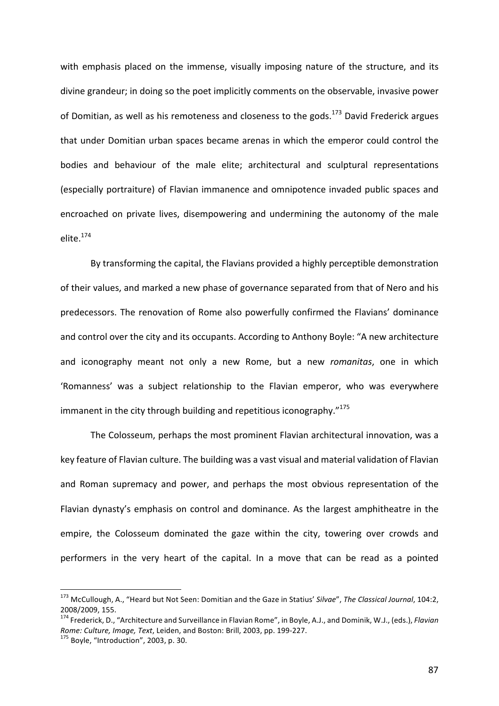with emphasis placed on the immense, visually imposing nature of the structure, and its divine grandeur; in doing so the poet implicitly comments on the observable, invasive power of Domitian, as well as his remoteness and closeness to the gods.<sup>173</sup> David Frederick argues that under Domitian urban spaces became arenas in which the emperor could control the bodies and behaviour of the male elite; architectural and sculptural representations (especially portraiture) of Flavian immanence and omnipotence invaded public spaces and encroached on private lives, disempowering and undermining the autonomy of the male elite.<sup>174</sup>

By transforming the capital, the Flavians provided a highly perceptible demonstration of their values, and marked a new phase of governance separated from that of Nero and his predecessors. The renovation of Rome also powerfully confirmed the Flavians' dominance and control over the city and its occupants. According to Anthony Boyle: "A new architecture and iconography meant not only a new Rome, but a new *romanitas*, one in which 'Romanness' was a subject relationship to the Flavian emperor, who was everywhere immanent in the city through building and repetitious iconography. $n^{175}$ 

The Colosseum, perhaps the most prominent Flavian architectural innovation, was a key feature of Flavian culture. The building was a vast visual and material validation of Flavian and Roman supremacy and power, and perhaps the most obvious representation of the Flavian dynasty's emphasis on control and dominance. As the largest amphitheatre in the empire, the Colosseum dominated the gaze within the city, towering over crowds and performers in the very heart of the capital. In a move that can be read as a pointed

<sup>&</sup>lt;sup>173</sup> McCullough, A., "Heard but Not Seen: Domitian and the Gaze in Statius' Silvae", The Classical Journal, 104:2, 2008/2009, 155.<br><sup>174</sup> Frederick, D., "Architecture and Surveillance in Flavian Rome", in Boyle, A.J., and Dominik, W.J., (eds.), *Flavian* 

*Rome: Culture, Image, Text*, Leiden, and Boston: Brill, 2003, pp. 199-227.<br><sup>175</sup> Bovle, "Introduction", 2003, p. 30.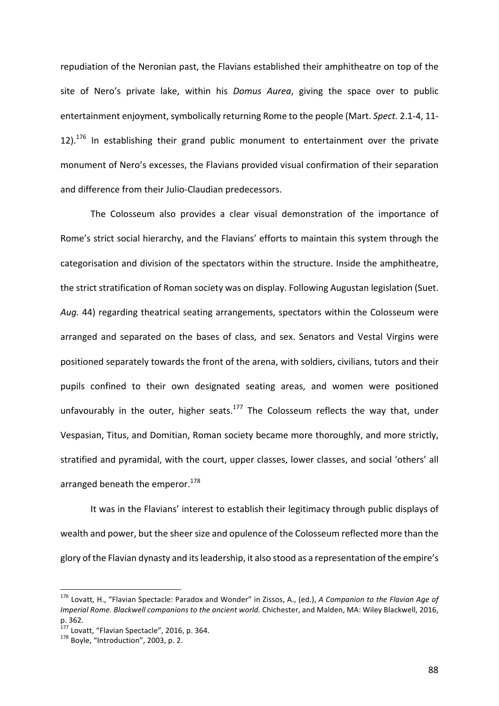repudiation of the Neronian past, the Flavians established their amphitheatre on top of the site of Nero's private lake, within his *Domus Aurea*, giving the space over to public entertainment enjoyment, symbolically returning Rome to the people (Mart. *Spect.* 2.1-4, 11-12).<sup>176</sup> In establishing their grand public monument to entertainment over the private monument of Nero's excesses, the Flavians provided visual confirmation of their separation and difference from their Julio-Claudian predecessors.

The Colosseum also provides a clear visual demonstration of the importance of Rome's strict social hierarchy, and the Flavians' efforts to maintain this system through the categorisation and division of the spectators within the structure. Inside the amphitheatre, the strict stratification of Roman society was on display. Following Augustan legislation (Suet. Aug. 44) regarding theatrical seating arrangements, spectators within the Colosseum were arranged and separated on the bases of class, and sex. Senators and Vestal Virgins were positioned separately towards the front of the arena, with soldiers, civilians, tutors and their pupils confined to their own designated seating areas, and women were positioned unfavourably in the outer, higher seats.<sup>177</sup> The Colosseum reflects the way that, under Vespasian, Titus, and Domitian, Roman society became more thoroughly, and more strictly, stratified and pyramidal, with the court, upper classes, lower classes, and social 'others' all arranged beneath the emperor.<sup>178</sup>

It was in the Flavians' interest to establish their legitimacy through public displays of wealth and power, but the sheer size and opulence of the Colosseum reflected more than the glory of the Flavian dynasty and its leadership, it also stood as a representation of the empire's

<sup>&</sup>lt;sup>176</sup> Lovatt, H., "Flavian Spectacle: Paradox and Wonder" in Zissos, A., (ed.), *A Companion to the Flavian Age of Imperial Rome. Blackwell companions to the ancient world.* Chichester, and Malden, MA: Wiley Blackwell, 2016, p. 362.

<sup>&</sup>lt;sup>177</sup> Lovatt, "Flavian Spectacle", 2016, p. 364.<br><sup>178</sup> Boyle, "Introduction", 2003, p. 2.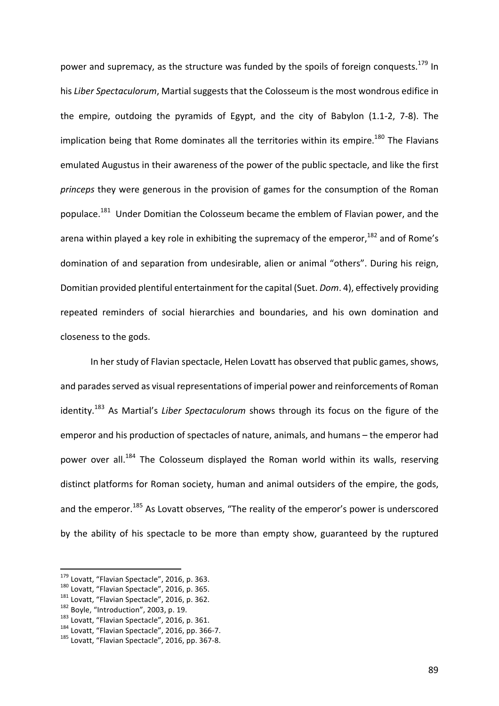power and supremacy, as the structure was funded by the spoils of foreign conquests.<sup>179</sup> In his *Liber Spectaculorum*, Martial suggests that the Colosseum is the most wondrous edifice in the empire, outdoing the pyramids of Egypt, and the city of Babylon  $(1.1-2, 7-8)$ . The implication being that Rome dominates all the territories within its empire.<sup>180</sup> The Flavians emulated Augustus in their awareness of the power of the public spectacle, and like the first *princeps* they were generous in the provision of games for the consumption of the Roman populace.<sup>181</sup> Under Domitian the Colosseum became the emblem of Flavian power, and the arena within played a key role in exhibiting the supremacy of the emperor,  $182$  and of Rome's domination of and separation from undesirable, alien or animal "others". During his reign, Domitian provided plentiful entertainment for the capital (Suet. *Dom.* 4), effectively providing repeated reminders of social hierarchies and boundaries, and his own domination and closeness to the gods.

In her study of Flavian spectacle, Helen Lovatt has observed that public games, shows, and parades served as visual representations of imperial power and reinforcements of Roman identity.<sup>183</sup> As Martial's *Liber Spectaculorum* shows through its focus on the figure of the emperor and his production of spectacles of nature, animals, and humans – the emperor had power over all.<sup>184</sup> The Colosseum displayed the Roman world within its walls, reserving distinct platforms for Roman society, human and animal outsiders of the empire, the gods, and the emperor.<sup>185</sup> As Lovatt observes, "The reality of the emperor's power is underscored by the ability of his spectacle to be more than empty show, guaranteed by the ruptured

<sup>&</sup>lt;sup>179</sup> Lovatt, "Flavian Spectacle", 2016, p. 363.<br><sup>180</sup> Lovatt, "Flavian Spectacle", 2016, p. 365.<br><sup>181</sup> Lovatt, "Flavian Spectacle", 2016, p. 362.<br><sup>182</sup> Boyle, "Introduction", 2003, p. 19.<br><sup>183</sup> Lovatt, "Flavian Spectacle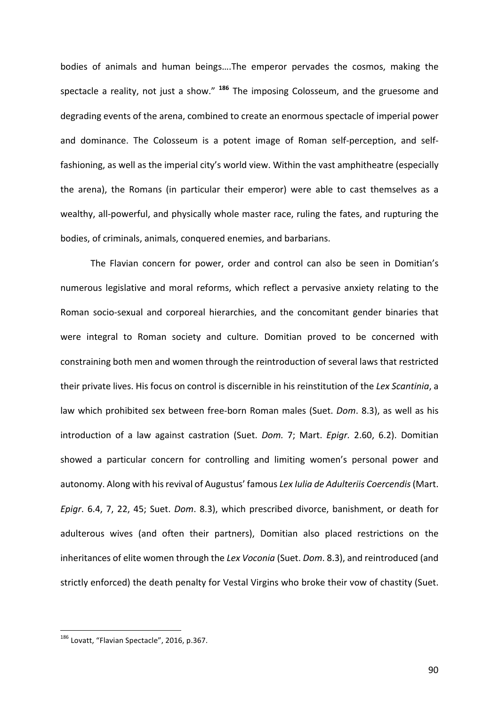bodies of animals and human beings....The emperor pervades the cosmos, making the spectacle a reality, not just a show." <sup>186</sup> The imposing Colosseum, and the gruesome and degrading events of the arena, combined to create an enormous spectacle of imperial power and dominance. The Colosseum is a potent image of Roman self-perception, and selffashioning, as well as the imperial city's world view. Within the vast amphitheatre (especially the arena), the Romans (in particular their emperor) were able to cast themselves as a wealthy, all-powerful, and physically whole master race, ruling the fates, and rupturing the bodies, of criminals, animals, conquered enemies, and barbarians.

The Flavian concern for power, order and control can also be seen in Domitian's numerous legislative and moral reforms, which reflect a pervasive anxiety relating to the Roman socio-sexual and corporeal hierarchies, and the concomitant gender binaries that were integral to Roman society and culture. Domitian proved to be concerned with constraining both men and women through the reintroduction of several laws that restricted their private lives. His focus on control is discernible in his reinstitution of the Lex Scantinia, a law which prohibited sex between free-born Roman males (Suet. *Dom.* 8.3), as well as his introduction of a law against castration (Suet. *Dom.* 7; Mart. *Epigr.* 2.60, 6.2). Domitian showed a particular concern for controlling and limiting women's personal power and autonomy. Along with his revival of Augustus' famous Lex Iulia de Adulteriis Coercendis (Mart. *Epigr.* 6.4, 7, 22, 45; Suet. *Dom.* 8.3), which prescribed divorce, banishment, or death for adulterous wives (and often their partners), Domitian also placed restrictions on the inheritances of elite women through the Lex Voconia (Suet. Dom. 8.3), and reintroduced (and strictly enforced) the death penalty for Vestal Virgins who broke their vow of chastity (Suet.

<sup>&</sup>lt;sup>186</sup> Lovatt, "Flavian Spectacle", 2016, p.367.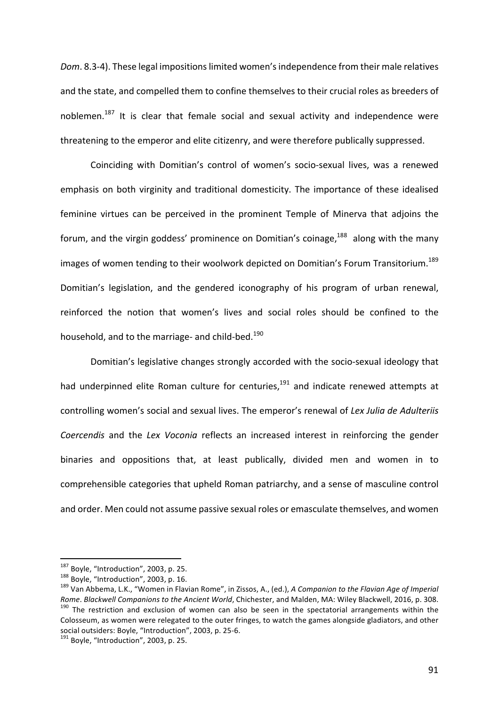*Dom.* 8.3-4). These legal impositions limited women's independence from their male relatives and the state, and compelled them to confine themselves to their crucial roles as breeders of noblemen.<sup>187</sup> It is clear that female social and sexual activity and independence were threatening to the emperor and elite citizenry, and were therefore publically suppressed.

Coinciding with Domitian's control of women's socio-sexual lives, was a renewed emphasis on both virginity and traditional domesticity. The importance of these idealised feminine virtues can be perceived in the prominent Temple of Minerva that adjoins the forum, and the virgin goddess' prominence on Domitian's coinage,<sup>188</sup> along with the many images of women tending to their woolwork depicted on Domitian's Forum Transitorium.<sup>189</sup> Domitian's legislation, and the gendered iconography of his program of urban renewal, reinforced the notion that women's lives and social roles should be confined to the household, and to the marriage- and child-bed.<sup>190</sup>

Domitian's legislative changes strongly accorded with the socio-sexual ideology that had underpinned elite Roman culture for centuries, $191$  and indicate renewed attempts at controlling women's social and sexual lives. The emperor's renewal of Lex Julia de Adulteriis *Coercendis* and the *Lex Voconia* reflects an increased interest in reinforcing the gender binaries and oppositions that, at least publically, divided men and women in to comprehensible categories that upheld Roman patriarchy, and a sense of masculine control and order. Men could not assume passive sexual roles or emasculate themselves, and women

<sup>&</sup>lt;sup>187</sup> Boyle, "Introduction", 2003, p. 25.<br><sup>188</sup> Boyle, "Introduction", 2003, p. 16.<br><sup>189</sup> Van Abbema, L.K., "Women in Flavian Rome", in Zissos, A., (ed.), *A Companion to the Flavian Age of Imperial* Rome. Blackwell Companions to the Ancient World, Chichester, and Malden, MA: Wiley Blackwell, 2016, p. 308.<br><sup>190</sup> The restriction and exclusion of women can also be seen in the spectatorial arrangements within the Colosseum, as women were relegated to the outer fringes, to watch the games alongside gladiators, and other social outsiders: Boyle, "Introduction", 2003, p. 25-6.<br><sup>191</sup> Bovle, "Introduction", 2003, p. 25.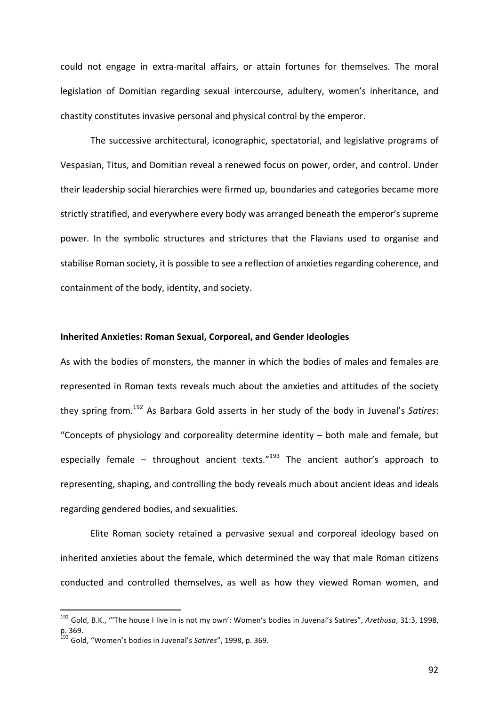could not engage in extra-marital affairs, or attain fortunes for themselves. The moral legislation of Domitian regarding sexual intercourse, adultery, women's inheritance, and chastity constitutes invasive personal and physical control by the emperor.

The successive architectural, iconographic, spectatorial, and legislative programs of Vespasian, Titus, and Domitian reveal a renewed focus on power, order, and control. Under their leadership social hierarchies were firmed up, boundaries and categories became more strictly stratified, and everywhere every body was arranged beneath the emperor's supreme power. In the symbolic structures and strictures that the Flavians used to organise and stabilise Roman society, it is possible to see a reflection of anxieties regarding coherence, and containment of the body, identity, and society.

# **Inherited Anxieties: Roman Sexual, Corporeal, and Gender Ideologies**

As with the bodies of monsters, the manner in which the bodies of males and females are represented in Roman texts reveals much about the anxieties and attitudes of the society they spring from.<sup>192</sup> As Barbara Gold asserts in her study of the body in Juvenal's Satires: "Concepts of physiology and corporeality determine identity  $-$  both male and female, but especially female – throughout ancient texts."<sup>193</sup> The ancient author's approach to representing, shaping, and controlling the body reveals much about ancient ideas and ideals regarding gendered bodies, and sexualities.

Elite Roman society retained a pervasive sexual and corporeal ideology based on inherited anxieties about the female, which determined the way that male Roman citizens conducted and controlled themselves, as well as how they viewed Roman women, and

<sup>&</sup>lt;sup>192</sup> Gold, B.K., "'The house I live in is not my own': Women's bodies in Juvenal's Satires", Arethusa, 31:3, 1998, p. 369. 

<sup>&</sup>lt;sup>193</sup> Gold, "Women's bodies in Juvenal's Satires", 1998, p. 369.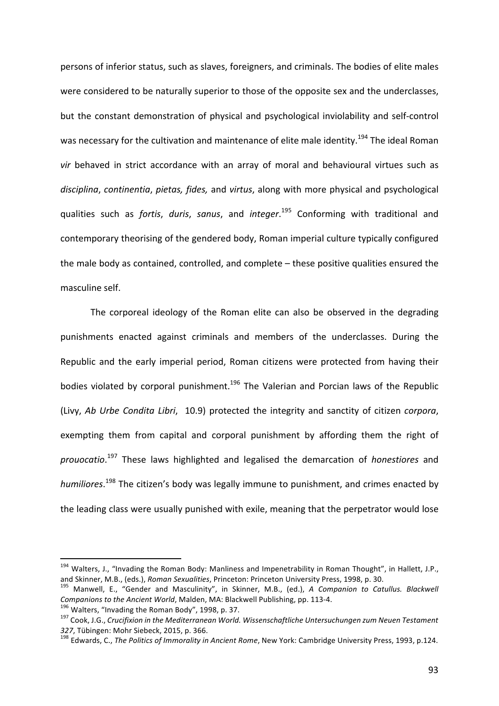persons of inferior status, such as slaves, foreigners, and criminals. The bodies of elite males were considered to be naturally superior to those of the opposite sex and the underclasses, but the constant demonstration of physical and psychological inviolability and self-control was necessary for the cultivation and maintenance of elite male identity.<sup>194</sup> The ideal Roman vir behaved in strict accordance with an array of moral and behavioural virtues such as disciplina, continentia, pietas, fides, and virtus, along with more physical and psychological qualities such as *fortis, duris, sanus,* and *integer*.<sup>195</sup> Conforming with traditional and contemporary theorising of the gendered body, Roman imperial culture typically configured the male body as contained, controlled, and complete  $-$  these positive qualities ensured the masculine self.

The corporeal ideology of the Roman elite can also be observed in the degrading punishments enacted against criminals and members of the underclasses. During the Republic and the early imperial period, Roman citizens were protected from having their bodies violated by corporal punishment.<sup>196</sup> The Valerian and Porcian laws of the Republic (Livy, Ab Urbe Condita Libri, 10.9) protected the integrity and sanctity of citizen *corpora*, exempting them from capital and corporal punishment by affording them the right of prouocatio.<sup>197</sup> These laws highlighted and legalised the demarcation of *honestiores* and humiliores.<sup>198</sup> The citizen's body was legally immune to punishment, and crimes enacted by the leading class were usually punished with exile, meaning that the perpetrator would lose

<sup>&</sup>lt;sup>194</sup> Walters, J., "Invading the Roman Body: Manliness and Impenetrability in Roman Thought", in Hallett, J.P., and Skinner, M.B., (eds.), Roman Sexualities, Princeton: Princeton University Press, 1998, p. 30.<br><sup>195</sup> Manwell, E., "Gender and Masculinity", in Skinner, M.B., (ed.), A Companion to Catullus. Blackwell

Companions to the Ancient World, Malden, MA: Blackwell Publishing, pp. 113-4.<br><sup>196</sup> Walters, "Invading the Roman Body", 1998, p. 37.<br><sup>197</sup> Cook, J.G., Crucifixion in the Mediterranean World. Wissenschaftliche Untersuchunge

<sup>327,</sup> Tübingen: Mohr Siebeck, 2015, p. 366.<br><sup>198</sup> Edwards, C., *The Politics of Immorality in Ancient Rome*, New York: Cambridge University Press, 1993, p.124.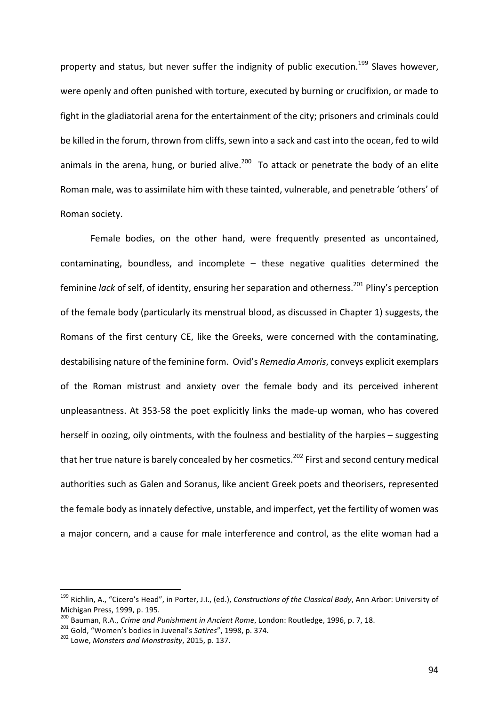property and status, but never suffer the indignity of public execution.<sup>199</sup> Slaves however, were openly and often punished with torture, executed by burning or crucifixion, or made to fight in the gladiatorial arena for the entertainment of the city; prisoners and criminals could be killed in the forum, thrown from cliffs, sewn into a sack and cast into the ocean, fed to wild animals in the arena, hung, or buried alive.<sup>200</sup> To attack or penetrate the body of an elite Roman male, was to assimilate him with these tainted, vulnerable, and penetrable 'others' of Roman society.

Female bodies, on the other hand, were frequently presented as uncontained, contaminating, boundless, and incomplete  $-$  these negative qualities determined the feminine *lack* of self, of identity, ensuring her separation and otherness.<sup>201</sup> Pliny's perception of the female body (particularly its menstrual blood, as discussed in Chapter 1) suggests, the Romans of the first century CE, like the Greeks, were concerned with the contaminating, destabilising nature of the feminine form. Ovid's *Remedia Amoris*, conveys explicit exemplars of the Roman mistrust and anxiety over the female body and its perceived inherent unpleasantness. At 353-58 the poet explicitly links the made-up woman, who has covered herself in oozing, oily ointments, with the foulness and bestiality of the harpies  $-$  suggesting that her true nature is barely concealed by her cosmetics.<sup>202</sup> First and second century medical authorities such as Galen and Soranus, like ancient Greek poets and theorisers, represented the female body as innately defective, unstable, and imperfect, yet the fertility of women was a major concern, and a cause for male interference and control, as the elite woman had a

<sup>&</sup>lt;sup>199</sup> Richlin, A., "Cicero's Head", in Porter, J.I., (ed.), *Constructions of the Classical Body*, Ann Arbor: University of Michigan Press, 1999, p. 195.

<sup>&</sup>lt;sup>200</sup> Bauman, R.A., *Crime and Punishment in Ancient Rome*, London: Routledge, 1996, p. 7, 18.<br><sup>201</sup> Gold, "Women's bodies in Juvenal's *Satires"*, 1998, p. 374.<br><sup>202</sup> Lowe. *Monsters and Monstrosity*, 2015, p. 137.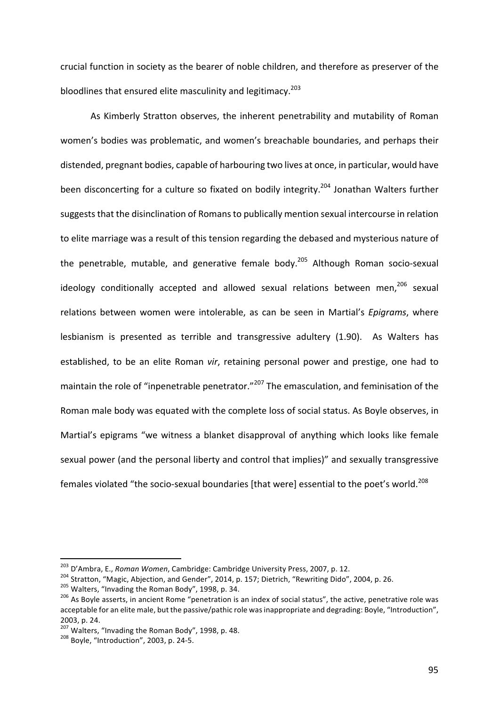crucial function in society as the bearer of noble children, and therefore as preserver of the bloodlines that ensured elite masculinity and legitimacy.<sup>203</sup>

As Kimberly Stratton observes, the inherent penetrability and mutability of Roman women's bodies was problematic, and women's breachable boundaries, and perhaps their distended, pregnant bodies, capable of harbouring two lives at once, in particular, would have been disconcerting for a culture so fixated on bodily integrity.<sup>204</sup> Jonathan Walters further suggests that the disinclination of Romans to publically mention sexual intercourse in relation to elite marriage was a result of this tension regarding the debased and mysterious nature of the penetrable, mutable, and generative female body.<sup>205</sup> Although Roman socio-sexual ideology conditionally accepted and allowed sexual relations between men,<sup>206</sup> sexual relations between women were intolerable, as can be seen in Martial's *Epigrams*, where lesbianism is presented as terrible and transgressive adultery (1.90). As Walters has established, to be an elite Roman *vir*, retaining personal power and prestige, one had to maintain the role of "inpenetrable penetrator."<sup>207</sup> The emasculation, and feminisation of the Roman male body was equated with the complete loss of social status. As Boyle observes, in Martial's epigrams "we witness a blanket disapproval of anything which looks like female sexual power (and the personal liberty and control that implies)" and sexually transgressive females violated "the socio-sexual boundaries [that were] essential to the poet's world.<sup>208</sup>

<sup>&</sup>lt;sup>203</sup> D'Ambra, E., *Roman Women*, Cambridge: Cambridge University Press, 2007, p. 12.<br><sup>204</sup> Stratton, "Magic, Abjection, and Gender", 2014, p. 157; Dietrich, "Rewriting Dido", 2004, p. 26.<br><sup>205</sup> Walters, "Invading the Rom acceptable for an elite male, but the passive/pathic role was inappropriate and degrading: Boyle, "Introduction", 2003, p. 24.

 $207$  Walters, "Invading the Roman Body", 1998, p. 48.<br> $208$  Bovle, "Introduction", 2003, p. 24-5.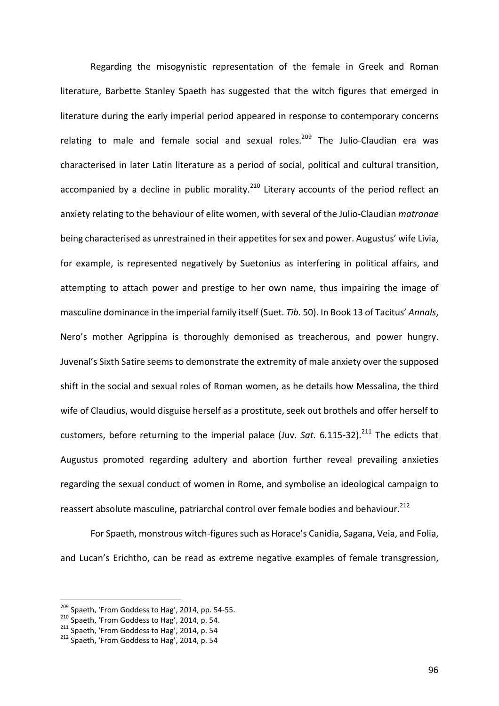Regarding the misogynistic representation of the female in Greek and Roman literature, Barbette Stanley Spaeth has suggested that the witch figures that emerged in literature during the early imperial period appeared in response to contemporary concerns relating to male and female social and sexual roles.<sup>209</sup> The Julio-Claudian era was characterised in later Latin literature as a period of social, political and cultural transition, accompanied by a decline in public morality.<sup>210</sup> Literary accounts of the period reflect an anxiety relating to the behaviour of elite women, with several of the Julio-Claudian *matronae* being characterised as unrestrained in their appetites for sex and power. Augustus' wife Livia, for example, is represented negatively by Suetonius as interfering in political affairs, and attempting to attach power and prestige to her own name, thus impairing the image of masculine dominance in the imperial family itself (Suet. *Tib.* 50). In Book 13 of Tacitus' Annals, Nero's mother Agrippina is thoroughly demonised as treacherous, and power hungry. Juvenal's Sixth Satire seems to demonstrate the extremity of male anxiety over the supposed shift in the social and sexual roles of Roman women, as he details how Messalina, the third wife of Claudius, would disguise herself as a prostitute, seek out brothels and offer herself to customers, before returning to the imperial palace (Juv. *Sat.* 6.115-32).<sup>211</sup> The edicts that Augustus promoted regarding adultery and abortion further reveal prevailing anxieties regarding the sexual conduct of women in Rome, and symbolise an ideological campaign to reassert absolute masculine, patriarchal control over female bodies and behaviour.<sup>212</sup>

For Spaeth, monstrous witch-figures such as Horace's Canidia, Sagana, Veia, and Folia, and Lucan's Erichtho, can be read as extreme negative examples of female transgression,

<sup>&</sup>lt;sup>209</sup> Spaeth, 'From Goddess to Hag', 2014, pp. 54-55.<br><sup>210</sup> Spaeth, 'From Goddess to Hag', 2014, p. 54.<br><sup>211</sup> Spaeth, 'From Goddess to Hag', 2014, p. 54<br><sup>212</sup> Spaeth. 'From Goddess to Hag', 2014, p. 54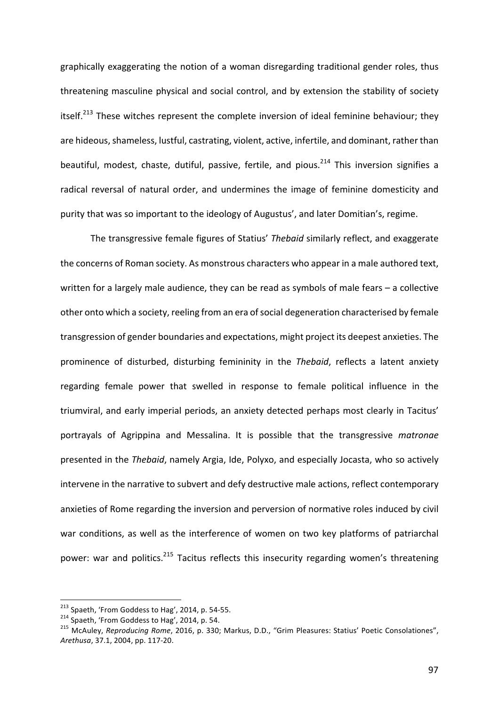graphically exaggerating the notion of a woman disregarding traditional gender roles, thus threatening masculine physical and social control, and by extension the stability of society itself.<sup>213</sup> These witches represent the complete inversion of ideal feminine behaviour; they are hideous, shameless, lustful, castrating, violent, active, infertile, and dominant, rather than beautiful, modest, chaste, dutiful, passive, fertile, and pious.<sup>214</sup> This inversion signifies a radical reversal of natural order, and undermines the image of feminine domesticity and purity that was so important to the ideology of Augustus', and later Domitian's, regime.

The transgressive female figures of Statius' *Thebaid* similarly reflect, and exaggerate the concerns of Roman society. As monstrous characters who appear in a male authored text, written for a largely male audience, they can be read as symbols of male fears  $-$  a collective other onto which a society, reeling from an era of social degeneration characterised by female transgression of gender boundaries and expectations, might project its deepest anxieties. The prominence of disturbed, disturbing femininity in the *Thebaid*, reflects a latent anxiety regarding female power that swelled in response to female political influence in the triumviral, and early imperial periods, an anxiety detected perhaps most clearly in Tacitus' portrayals of Agrippina and Messalina. It is possible that the transgressive *matronae* presented in the *Thebaid*, namely Argia, Ide, Polyxo, and especially Jocasta, who so actively intervene in the narrative to subvert and defy destructive male actions, reflect contemporary anxieties of Rome regarding the inversion and perversion of normative roles induced by civil war conditions, as well as the interference of women on two key platforms of patriarchal power: war and politics.<sup>215</sup> Tacitus reflects this insecurity regarding women's threatening

<sup>&</sup>lt;sup>213</sup> Spaeth, 'From Goddess to Hag', 2014, p. 54-55.<br><sup>214</sup> Spaeth, 'From Goddess to Hag', 2014, p. 54.<br><sup>215</sup> McAuley, *Reproducing Rome*, 2016, p. 330; Markus, D.D., "Grim Pleasures: Statius' Poetic Consolationes", *Arethusa*, 37.1, 2004, pp. 117-20.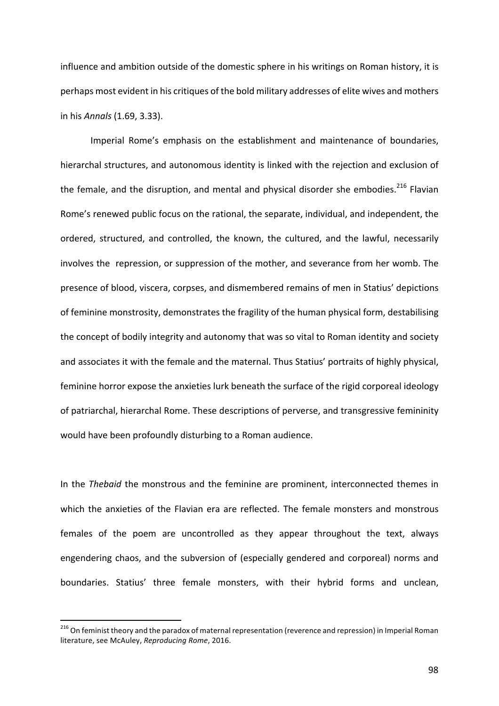influence and ambition outside of the domestic sphere in his writings on Roman history, it is perhaps most evident in his critiques of the bold military addresses of elite wives and mothers in his *Annals* (1.69, 3.33).

Imperial Rome's emphasis on the establishment and maintenance of boundaries, hierarchal structures, and autonomous identity is linked with the rejection and exclusion of the female, and the disruption, and mental and physical disorder she embodies.<sup>216</sup> Flavian Rome's renewed public focus on the rational, the separate, individual, and independent, the ordered, structured, and controlled, the known, the cultured, and the lawful, necessarily involves the repression, or suppression of the mother, and severance from her womb. The presence of blood, viscera, corpses, and dismembered remains of men in Statius' depictions of feminine monstrosity, demonstrates the fragility of the human physical form, destabilising the concept of bodily integrity and autonomy that was so vital to Roman identity and society and associates it with the female and the maternal. Thus Statius' portraits of highly physical, feminine horror expose the anxieties lurk beneath the surface of the rigid corporeal ideology of patriarchal, hierarchal Rome. These descriptions of perverse, and transgressive femininity would have been profoundly disturbing to a Roman audience.

In the *Thebaid* the monstrous and the feminine are prominent, interconnected themes in which the anxieties of the Flavian era are reflected. The female monsters and monstrous females of the poem are uncontrolled as they appear throughout the text, always engendering chaos, and the subversion of (especially gendered and corporeal) norms and boundaries. Statius' three female monsters, with their hybrid forms and unclean,

 $216$  On feminist theory and the paradox of maternal representation (reverence and repression) in Imperial Roman literature, see McAuley, *Reproducing Rome*, 2016.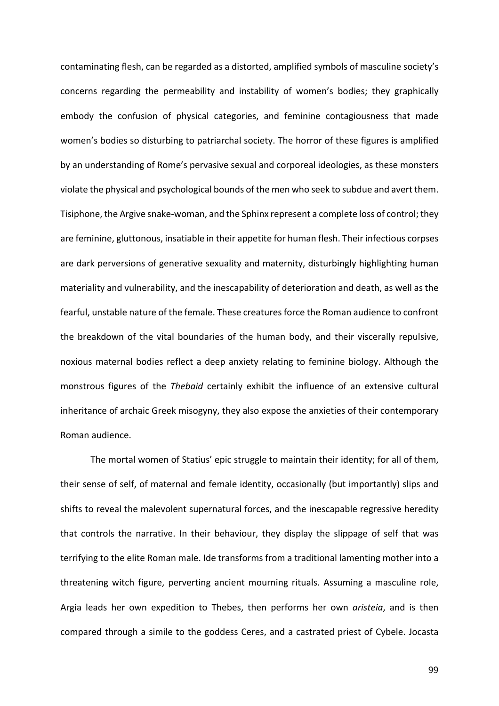contaminating flesh, can be regarded as a distorted, amplified symbols of masculine society's concerns regarding the permeability and instability of women's bodies; they graphically embody the confusion of physical categories, and feminine contagiousness that made women's bodies so disturbing to patriarchal society. The horror of these figures is amplified by an understanding of Rome's pervasive sexual and corporeal ideologies, as these monsters violate the physical and psychological bounds of the men who seek to subdue and avert them. Tisiphone, the Argive snake-woman, and the Sphinx represent a complete loss of control; they are feminine, gluttonous, insatiable in their appetite for human flesh. Their infectious corpses are dark perversions of generative sexuality and maternity, disturbingly highlighting human materiality and vulnerability, and the inescapability of deterioration and death, as well as the fearful, unstable nature of the female. These creatures force the Roman audience to confront the breakdown of the vital boundaries of the human body, and their viscerally repulsive, noxious maternal bodies reflect a deep anxiety relating to feminine biology. Although the monstrous figures of the *Thebaid* certainly exhibit the influence of an extensive cultural inheritance of archaic Greek misogyny, they also expose the anxieties of their contemporary Roman audience.

The mortal women of Statius' epic struggle to maintain their identity; for all of them, their sense of self, of maternal and female identity, occasionally (but importantly) slips and shifts to reveal the malevolent supernatural forces, and the inescapable regressive heredity that controls the narrative. In their behaviour, they display the slippage of self that was terrifying to the elite Roman male. Ide transforms from a traditional lamenting mother into a threatening witch figure, perverting ancient mourning rituals. Assuming a masculine role, Argia leads her own expedition to Thebes, then performs her own *aristeia*, and is then compared through a simile to the goddess Ceres, and a castrated priest of Cybele. Jocasta

99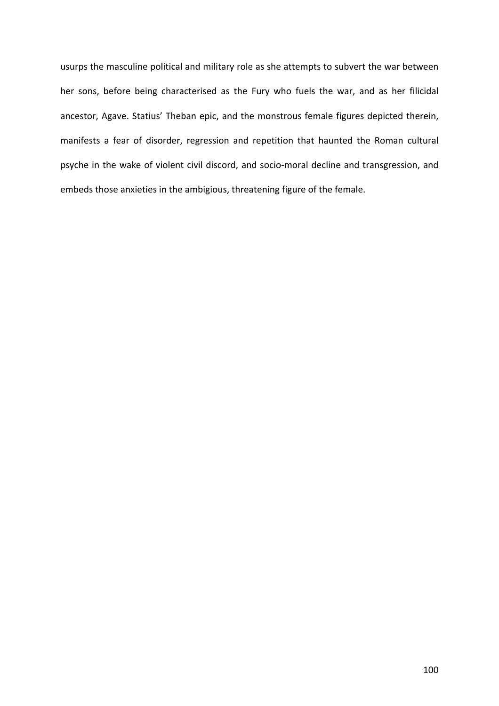usurps the masculine political and military role as she attempts to subvert the war between her sons, before being characterised as the Fury who fuels the war, and as her filicidal ancestor, Agave. Statius' Theban epic, and the monstrous female figures depicted therein, manifests a fear of disorder, regression and repetition that haunted the Roman cultural psyche in the wake of violent civil discord, and socio-moral decline and transgression, and embeds those anxieties in the ambigious, threatening figure of the female.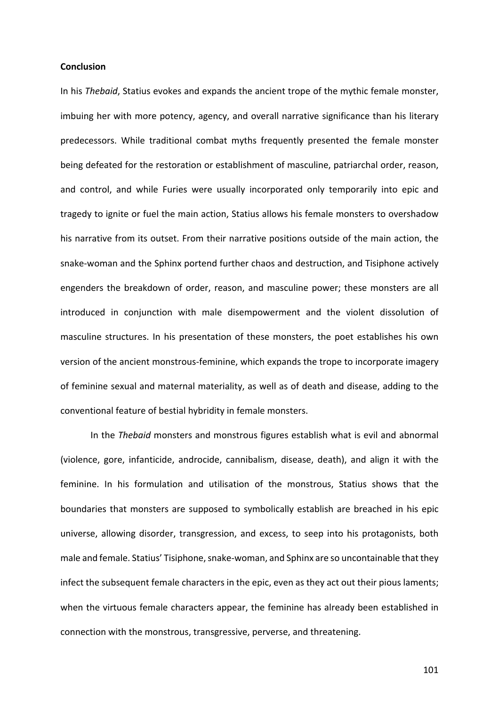# **Conclusion**

In his *Thebaid*, Statius evokes and expands the ancient trope of the mythic female monster, imbuing her with more potency, agency, and overall narrative significance than his literary predecessors. While traditional combat myths frequently presented the female monster being defeated for the restoration or establishment of masculine, patriarchal order, reason, and control, and while Furies were usually incorporated only temporarily into epic and tragedy to ignite or fuel the main action, Statius allows his female monsters to overshadow his narrative from its outset. From their narrative positions outside of the main action, the snake-woman and the Sphinx portend further chaos and destruction, and Tisiphone actively engenders the breakdown of order, reason, and masculine power; these monsters are all introduced in conjunction with male disempowerment and the violent dissolution of masculine structures. In his presentation of these monsters, the poet establishes his own version of the ancient monstrous-feminine, which expands the trope to incorporate imagery of feminine sexual and maternal materiality, as well as of death and disease, adding to the conventional feature of bestial hybridity in female monsters.

In the *Thebaid* monsters and monstrous figures establish what is evil and abnormal (violence, gore, infanticide, androcide, cannibalism, disease, death), and align it with the feminine. In his formulation and utilisation of the monstrous, Statius shows that the boundaries that monsters are supposed to symbolically establish are breached in his epic universe, allowing disorder, transgression, and excess, to seep into his protagonists, both male and female. Statius' Tisiphone, snake-woman, and Sphinx are so uncontainable that they infect the subsequent female characters in the epic, even as they act out their pious laments; when the virtuous female characters appear, the feminine has already been established in connection with the monstrous, transgressive, perverse, and threatening.

101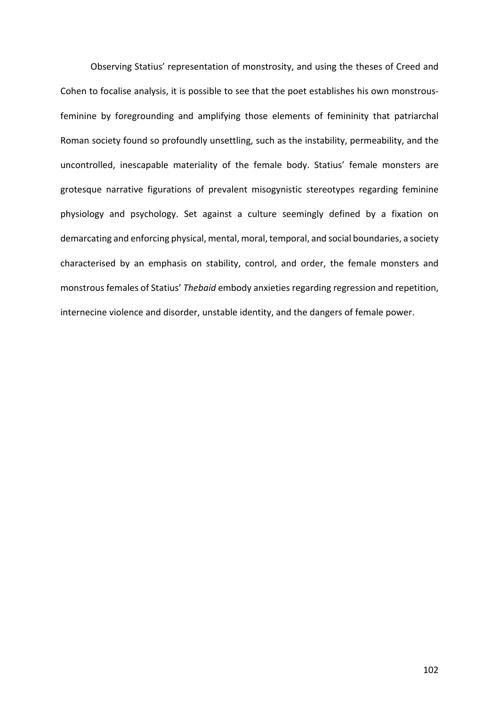Observing Statius' representation of monstrosity, and using the theses of Creed and Cohen to focalise analysis, it is possible to see that the poet establishes his own monstrousfeminine by foregrounding and amplifying those elements of femininity that patriarchal Roman society found so profoundly unsettling, such as the instability, permeability, and the uncontrolled, inescapable materiality of the female body. Statius' female monsters are grotesque narrative figurations of prevalent misogynistic stereotypes regarding feminine physiology and psychology. Set against a culture seemingly defined by a fixation on demarcating and enforcing physical, mental, moral, temporal, and social boundaries, a society characterised by an emphasis on stability, control, and order, the female monsters and monstrous females of Statius' Thebaid embody anxieties regarding regression and repetition, internecine violence and disorder, unstable identity, and the dangers of female power.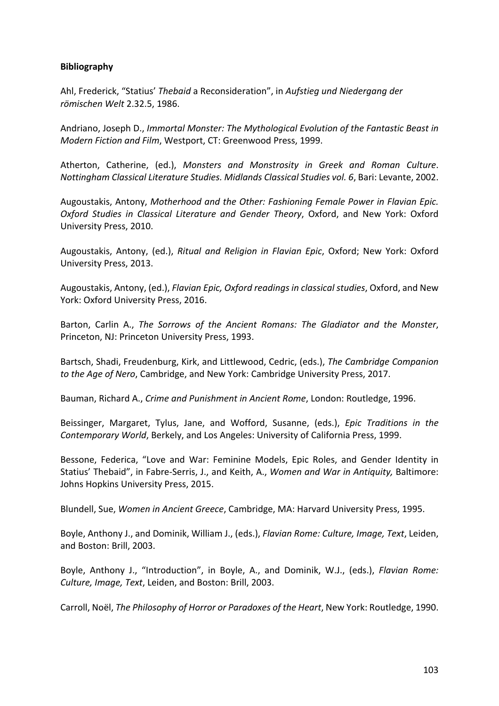## **Bibliography**

Ahl, Frederick, "Statius' *Thebaid* a Reconsideration", in *Aufstieg und Niedergang der römischen Welt* 2.32.5, 1986. 

Andriano, Joseph D., *Immortal Monster: The Mythological Evolution of the Fantastic Beast in Modern Fiction and Film, Westport, CT: Greenwood Press, 1999.* 

Atherton, Catherine, (ed.), Monsters and Monstrosity in Greek and Roman Culture. *Nottingham Classical Literature Studies. Midlands Classical Studies vol. 6, Bari: Levante, 2002.* 

Augoustakis, Antony, *Motherhood and the Other: Fashioning Female Power in Flavian Epic. Oxford Studies in Classical Literature and Gender Theory*, Oxford, and New York: Oxford University Press, 2010.

Augoustakis, Antony, (ed.), *Ritual and Religion in Flavian Epic*, Oxford; New York: Oxford University Press, 2013.

Augoustakis, Antony, (ed.), *Flavian Epic, Oxford readings in classical studies*, Oxford, and New York: Oxford University Press, 2016.

Barton, Carlin A., *The Sorrows of the Ancient Romans: The Gladiator and the Monster*, Princeton, NJ: Princeton University Press, 1993.

Bartsch, Shadi, Freudenburg, Kirk, and Littlewood, Cedric, (eds.), *The Cambridge Companion to the Age of Nero*, Cambridge, and New York: Cambridge University Press, 2017.

Bauman, Richard A., *Crime and Punishment in Ancient Rome*, London: Routledge, 1996.

Beissinger, Margaret, Tylus, Jane, and Wofford, Susanne, (eds.), *Epic Traditions in the Contemporary World*, Berkely, and Los Angeles: University of California Press. 1999.

Bessone, Federica, "Love and War: Feminine Models, Epic Roles, and Gender Identity in Statius' Thebaid", in Fabre-Serris, J., and Keith, A., Women and War in Antiquity, Baltimore: Johns Hopkins University Press, 2015.

Blundell, Sue, *Women in Ancient Greece*, Cambridge, MA: Harvard University Press, 1995.

Boyle, Anthony J., and Dominik, William J., (eds.), *Flavian Rome: Culture, Image, Text*, Leiden, and Boston: Brill, 2003.

Boyle, Anthony J., "Introduction", in Boyle, A., and Dominik, W.J., (eds.), *Flavian Rome: Culture, Image, Text, Leiden, and Boston: Brill, 2003.* 

Carroll, Noël, *The Philosophy of Horror or Paradoxes of the Heart*, New York: Routledge, 1990.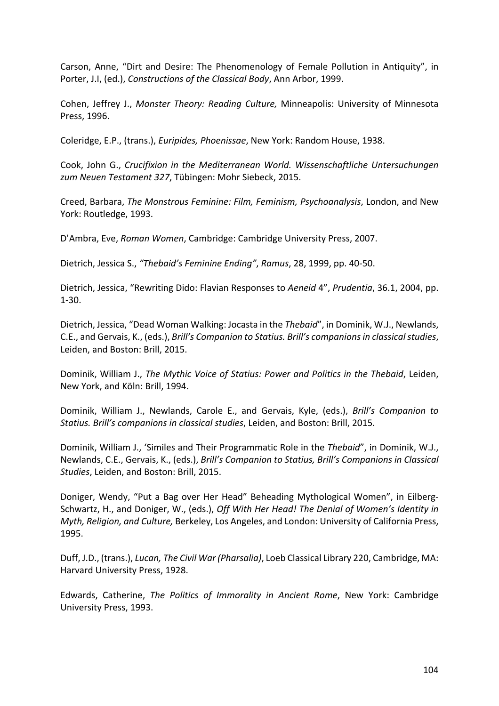Carson, Anne, "Dirt and Desire: The Phenomenology of Female Pollution in Antiquity", in Porter, J.I, (ed.), *Constructions of the Classical Body*, Ann Arbor, 1999.

Cohen, Jeffrey J., *Monster Theory: Reading Culture, Minneapolis: University of Minnesota* Press, 1996.

Coleridge, E.P., (trans.), *Euripides, Phoenissae*, New York: Random House, 1938.

Cook, John G., *Crucifixion in the Mediterranean World.* Wissenschaftliche Untersuchungen zum Neuen Testament 327, Tübingen: Mohr Siebeck, 2015.

Creed, Barbara, *The Monstrous Feminine: Film, Feminism, Psychoanalysis*, London, and New York: Routledge, 1993.

D'Ambra, Eve, *Roman Women*, Cambridge: Cambridge University Press, 2007.

Dietrich, Jessica S., *"Thebaid's Feminine Ending"*, *Ramus*, 28, 1999, pp. 40-50.

Dietrich, Jessica, "Rewriting Dido: Flavian Responses to Aeneid 4", Prudentia, 36.1, 2004, pp. 1-30. 

Dietrich, Jessica, "Dead Woman Walking: Jocasta in the *Thebaid"*, in Dominik, W.J., Newlands, C.E., and Gervais, K., (eds.), *Brill's Companion to Statius. Brill's companions in classical studies*, Leiden, and Boston: Brill, 2015.

Dominik, William J., *The Mythic Voice of Statius: Power and Politics in the Thebaid*, Leiden, New York, and Köln: Brill, 1994.

Dominik, William J., Newlands, Carole E., and Gervais, Kyle, (eds.), *Brill's Companion to Statius. Brill's companions in classical studies*, Leiden, and Boston: Brill, 2015.

Dominik, William J., 'Similes and Their Programmatic Role in the *Thebaid*", in Dominik, W.J., Newlands, C.E., Gervais, K., (eds.), *Brill's Companion to Statius, Brill's Companions in Classical Studies*, Leiden, and Boston: Brill, 2015.

Doniger, Wendy, "Put a Bag over Her Head" Beheading Mythological Women", in Eilberg-Schwartz, H., and Doniger, W., (eds.), *Off With Her Head! The Denial of Women's Identity in Myth, Religion, and Culture, Berkeley, Los Angeles, and London: University of California Press,* 1995.

Duff, J.D., (trans.), *Lucan, The Civil War (Pharsalia)*, Loeb Classical Library 220, Cambridge, MA: Harvard University Press, 1928.

Edwards, Catherine, *The Politics of Immorality in Ancient Rome*, New York: Cambridge University Press, 1993.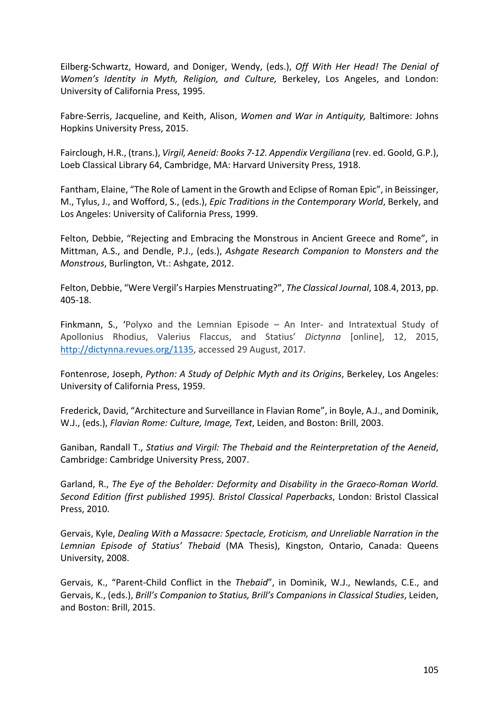Eilberg-Schwartz, Howard, and Doniger, Wendy, (eds.), *Off With Her Head! The Denial of Women's Identity in Myth, Religion, and Culture, Berkeley, Los Angeles, and London:* University of California Press, 1995.

Fabre-Serris, Jacqueline, and Keith, Alison, *Women and War in Antiquity*, Baltimore: Johns Hopkins University Press, 2015.

Fairclough, H.R., (trans.), *Virgil, Aeneid: Books 7-12. Appendix Vergiliana* (rev. ed. Goold, G.P.), Loeb Classical Library 64, Cambridge, MA: Harvard University Press, 1918.

Fantham, Elaine, "The Role of Lament in the Growth and Eclipse of Roman Epic", in Beissinger, M., Tylus, J., and Wofford, S., (eds.), *Epic Traditions in the Contemporary World*, Berkely, and Los Angeles: University of California Press, 1999.

Felton, Debbie, "Rejecting and Embracing the Monstrous in Ancient Greece and Rome", in Mittman, A.S., and Dendle, P.J., (eds.), Ashgate Research Companion to Monsters and the *Monstrous*, Burlington, Vt.: Ashgate, 2012.

Felton, Debbie, "Were Vergil's Harpies Menstruating?", *The Classical Journal*, 108.4, 2013, pp. 405-18.

Finkmann, S., 'Polyxo and the Lemnian Episode  $-$  An Inter- and Intratextual Study of Apollonius Rhodius, Valerius Flaccus, and Statius' *Dictynna* [online], 12, 2015, http://dictynna.revues.org/1135, accessed 29 August, 2017.

Fontenrose, Joseph, *Python: A Study of Delphic Myth and its Origins*, Berkeley, Los Angeles: University of California Press, 1959.

Frederick, David, "Architecture and Surveillance in Flavian Rome", in Boyle, A.J., and Dominik, W.J., (eds.), *Flavian Rome: Culture, Image, Text*, Leiden, and Boston: Brill, 2003.

Ganiban, Randall T., *Statius and Virgil: The Thebaid and the Reinterpretation of the Aeneid*, Cambridge: Cambridge University Press, 2007.

Garland, R., *The Eye of the Beholder: Deformity and Disability in the Graeco-Roman World.* Second Edition (first published 1995). Bristol Classical Paperbacks, London: Bristol Classical Press, 2010.

Gervais, Kyle, *Dealing With a Massacre: Spectacle, Eroticism, and Unreliable Narration in the* Lemnian Episode of Statius' Thebaid (MA Thesis), Kingston, Ontario, Canada: Queens University, 2008.

Gervais, K., "Parent-Child Conflict in the *Thebaid"*, in Dominik, W.J., Newlands, C.E., and Gervais, K., (eds.), *Brill's Companion to Statius, Brill's Companions in Classical Studies*, Leiden, and Boston: Brill, 2015.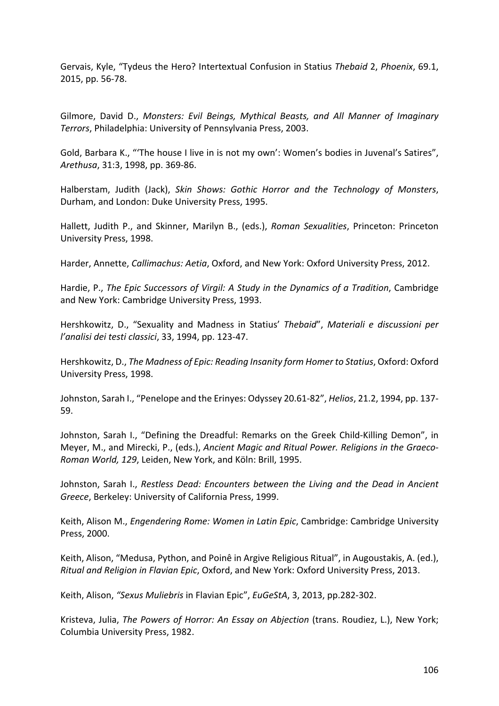Gervais, Kyle, "Tydeus the Hero? Intertextual Confusion in Statius Thebaid 2, *Phoenix*, 69.1, 2015, pp. 56-78.

Gilmore, David D., *Monsters: Evil Beings, Mythical Beasts, and All Manner of Imaginary Terrors*, Philadelphia: University of Pennsylvania Press, 2003.

Gold, Barbara K., "The house I live in is not my own': Women's bodies in Juvenal's Satires", *Arethusa*, 31:3, 1998, pp. 369-86.

Halberstam, Judith (Jack), *Skin Shows: Gothic Horror and the Technology of Monsters*, Durham, and London: Duke University Press, 1995.

Hallett, Judith P., and Skinner, Marilyn B., (eds.), *Roman Sexualities*, Princeton: Princeton University Press, 1998.

Harder, Annette, *Callimachus: Aetia*, Oxford, and New York: Oxford University Press, 2012.

Hardie, P., *The Epic Successors of Virgil: A Study in the Dynamics of a Tradition*, Cambridge and New York: Cambridge University Press, 1993.

Hershkowitz, D., "Sexuality and Madness in Statius' *Thebaid"*, *Materiali e discussioni per l'analisi dei testi classici*, 33, 1994, pp. 123-47.

Hershkowitz, D., *The Madness of Epic: Reading Insanity form Homer to Statius*, Oxford: Oxford University Press, 1998.

Johnston, Sarah I., "Penelope and the Erinyes: Odyssey 20.61-82", *Helios*, 21.2, 1994, pp. 137-59.

Johnston, Sarah I., "Defining the Dreadful: Remarks on the Greek Child-Killing Demon", in Meyer, M., and Mirecki, P., (eds.), *Ancient Magic and Ritual Power. Religions in the Graeco-Roman World, 129, Leiden, New York, and Köln: Brill, 1995.* 

Johnston, Sarah I., *Restless Dead: Encounters between the Living and the Dead in Ancient* Greece, Berkeley: University of California Press, 1999.

Keith, Alison M., *Engendering Rome: Women in Latin Epic*, Cambridge: Cambridge University Press, 2000.

Keith, Alison, "Medusa, Python, and Poinê in Argive Religious Ritual", in Augoustakis, A. (ed.), *Ritual and Religion in Flavian Epic, Oxford, and New York: Oxford University Press, 2013.* 

Keith, Alison, "Sexus Muliebris in Flavian Epic", *EuGeStA*, 3, 2013, pp.282-302.

Kristeva, Julia, *The Powers of Horror: An Essay on Abjection* (trans. Roudiez, L.), New York; Columbia University Press, 1982.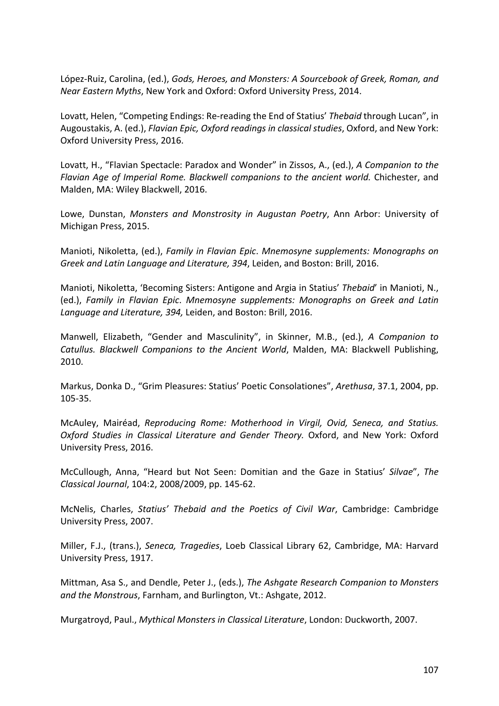López-Ruiz, Carolina, (ed.), *Gods, Heroes, and Monsters: A Sourcebook of Greek, Roman, and Near Eastern Myths*, New York and Oxford: Oxford University Press, 2014.

Lovatt, Helen, "Competing Endings: Re-reading the End of Statius' *Thebaid* through Lucan", in Augoustakis, A. (ed.), *Flavian Epic, Oxford readings in classical studies*, Oxford, and New York: Oxford University Press, 2016.

Lovatt, H., "Flavian Spectacle: Paradox and Wonder" in Zissos, A., (ed.), *A Companion to the* Flavian Age of Imperial Rome. Blackwell companions to the ancient world. Chichester, and Malden, MA: Wiley Blackwell, 2016.

Lowe, Dunstan, *Monsters and Monstrosity in Augustan Poetry*, Ann Arbor: University of Michigan Press, 2015.

Manioti, Nikoletta, (ed.), *Family in Flavian Epic. Mnemosyne supplements: Monographs on Greek and Latin Language and Literature, 394, Leiden, and Boston: Brill, 2016.* 

Manioti, Nikoletta, 'Becoming Sisters: Antigone and Argia in Statius' *Thebaid'* in Manioti, N., (ed.), *Family in Flavian Epic. Mnemosyne supplements: Monographs on Greek and Latin* Language and Literature, 394, Leiden, and Boston: Brill, 2016.

Manwell, Elizabeth, "Gender and Masculinity", in Skinner, M.B., (ed.), A Companion to *Catullus. Blackwell Companions to the Ancient World, Malden, MA: Blackwell Publishing,* 2010.

Markus, Donka D., "Grim Pleasures: Statius' Poetic Consolationes", Arethusa, 37.1, 2004, pp. 105-35.

McAuley, Mairéad, *Reproducing Rome: Motherhood in Virgil, Ovid, Seneca, and Statius. Oxford Studies in Classical Literature and Gender Theory.* Oxford, and New York: Oxford University Press, 2016.

McCullough, Anna, "Heard but Not Seen: Domitian and the Gaze in Statius' Silvae", The *Classical Journal*, 104:2, 2008/2009, pp. 145-62.

McNelis, Charles, Statius' Thebaid and the Poetics of Civil War, Cambridge: Cambridge University Press, 2007.

Miller, F.J., (trans.), Seneca, Tragedies, Loeb Classical Library 62, Cambridge, MA: Harvard University Press, 1917.

Mittman, Asa S., and Dendle, Peter J., (eds.), *The Ashgate Research Companion to Monsters and the Monstrous*, Farnham, and Burlington, Vt.: Ashgate, 2012.

Murgatroyd, Paul., *Mythical Monsters in Classical Literature*, London: Duckworth, 2007.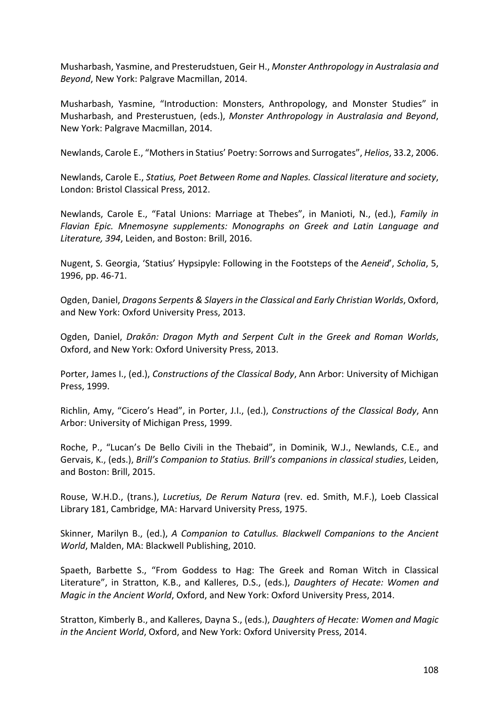Musharbash, Yasmine, and Presterudstuen, Geir H., *Monster Anthropology in Australasia and Beyond*, New York: Palgrave Macmillan, 2014.

Musharbash, Yasmine, "Introduction: Monsters, Anthropology, and Monster Studies" in Musharbash, and Presterustuen, (eds.), *Monster Anthropology in Australasia and Beyond*, New York: Palgrave Macmillan, 2014.

Newlands, Carole E., "Mothers in Statius' Poetry: Sorrows and Surrogates", *Helios*, 33.2, 2006.

Newlands, Carole E., *Statius, Poet Between Rome and Naples. Classical literature and society*, London: Bristol Classical Press, 2012.

Newlands, Carole E., "Fatal Unions: Marriage at Thebes", in Manioti, N., (ed.), *Family in* Flavian Epic. Mnemosyne supplements: Monographs on Greek and Latin Language and Literature, 394, Leiden, and Boston: Brill, 2016.

Nugent, S. Georgia, 'Statius' Hypsipyle: Following in the Footsteps of the Aeneid', *Scholia*, 5, 1996, pp. 46-71.

Ogden, Daniel, *Dragons Serpents & Slayers in the Classical and Early Christian Worlds*, Oxford, and New York: Oxford University Press, 2013.

Ogden, Daniel, *Drakōn: Dragon Myth and Serpent Cult in the Greek and Roman Worlds*, Oxford, and New York: Oxford University Press, 2013.

Porter, James I., (ed.), *Constructions of the Classical Body*, Ann Arbor: University of Michigan Press, 1999.

Richlin, Amy, "Cicero's Head", in Porter, J.I., (ed.), *Constructions of the Classical Body*, Ann Arbor: University of Michigan Press, 1999.

Roche, P., "Lucan's De Bello Civili in the Thebaid", in Dominik, W.J., Newlands, C.E., and Gervais, K., (eds.), *Brill's Companion to Statius. Brill's companions in classical studies*, Leiden, and Boston: Brill, 2015.

Rouse, W.H.D., (trans.), *Lucretius, De Rerum Natura* (rev. ed. Smith, M.F.), Loeb Classical Library 181, Cambridge, MA: Harvard University Press, 1975.

Skinner, Marilyn B., (ed.), *A Companion to Catullus. Blackwell Companions to the Ancient World*, Malden, MA: Blackwell Publishing, 2010.

Spaeth, Barbette S., "From Goddess to Hag: The Greek and Roman Witch in Classical Literature", in Stratton, K.B., and Kalleres, D.S., (eds.), *Daughters of Hecate: Women and Magic in the Ancient World*, Oxford, and New York: Oxford University Press, 2014.

Stratton, Kimberly B., and Kalleres, Dayna S., (eds.), *Daughters of Hecate: Women and Magic in the Ancient World, Oxford, and New York: Oxford University Press, 2014.*